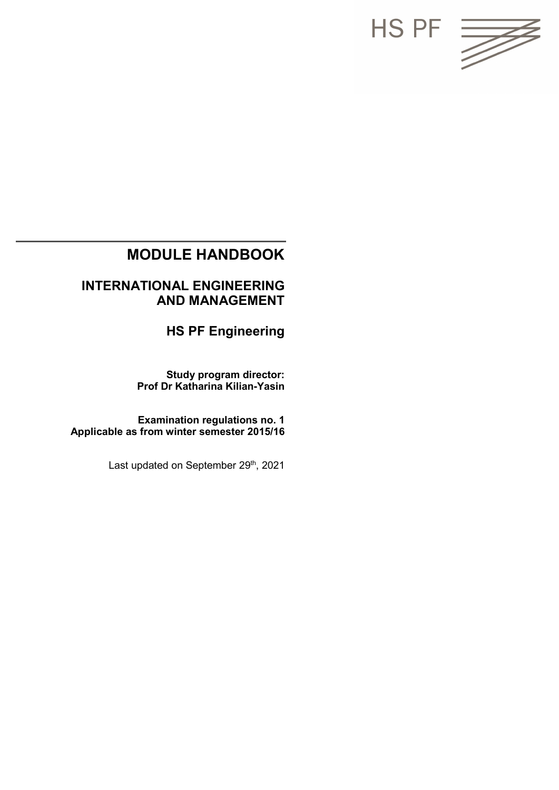

## **MODULE HANDBOOK**

## **INTERNATIONAL ENGINEERING AND MANAGEMENT**

**HS PF Engineering**

**Study program director: Prof Dr Katharina Kilian-Yasin**

**Examination regulations no. 1 Applicable as from winter semester 2015/16**

Last updated on September 29<sup>th</sup>, 2021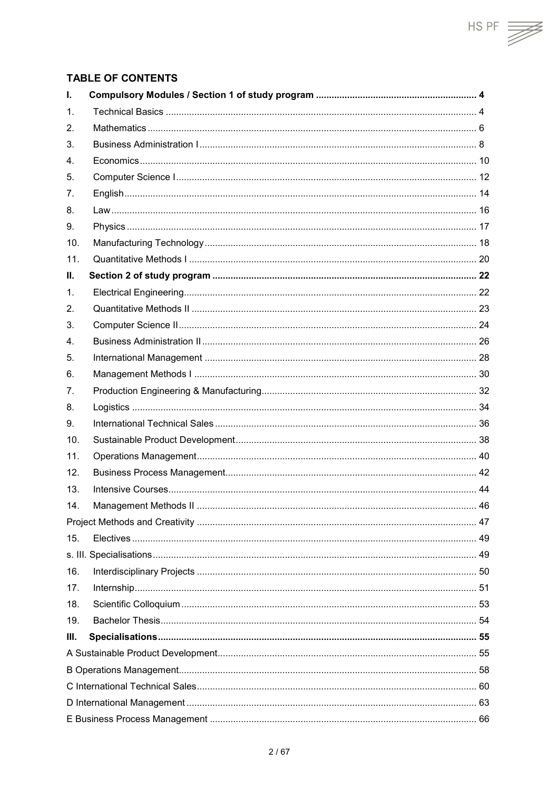## $HS PF \implies$

#### **TABLE OF CONTENTS**

| ı.   |  |    |  |
|------|--|----|--|
| 1.   |  |    |  |
| 2.   |  |    |  |
| 3.   |  |    |  |
| 4.   |  |    |  |
| 5.   |  |    |  |
| 7.   |  |    |  |
| 8.   |  |    |  |
| 9.   |  |    |  |
| 10.  |  |    |  |
| 11.  |  |    |  |
| Ш.   |  |    |  |
| 1.   |  |    |  |
| 2.   |  |    |  |
| 3.   |  |    |  |
| 4.   |  |    |  |
| 5.   |  |    |  |
| 6.   |  |    |  |
| 7.   |  |    |  |
| 8.   |  |    |  |
| 9.   |  |    |  |
| 10.  |  |    |  |
| 11.  |  |    |  |
| 12.  |  |    |  |
| 13.  |  |    |  |
| 14.  |  | 46 |  |
|      |  |    |  |
| 15.  |  |    |  |
|      |  |    |  |
| 16.  |  |    |  |
| 17.  |  |    |  |
| 18.  |  |    |  |
| 19.  |  |    |  |
| III. |  |    |  |
|      |  |    |  |
|      |  |    |  |
|      |  |    |  |
|      |  |    |  |
|      |  |    |  |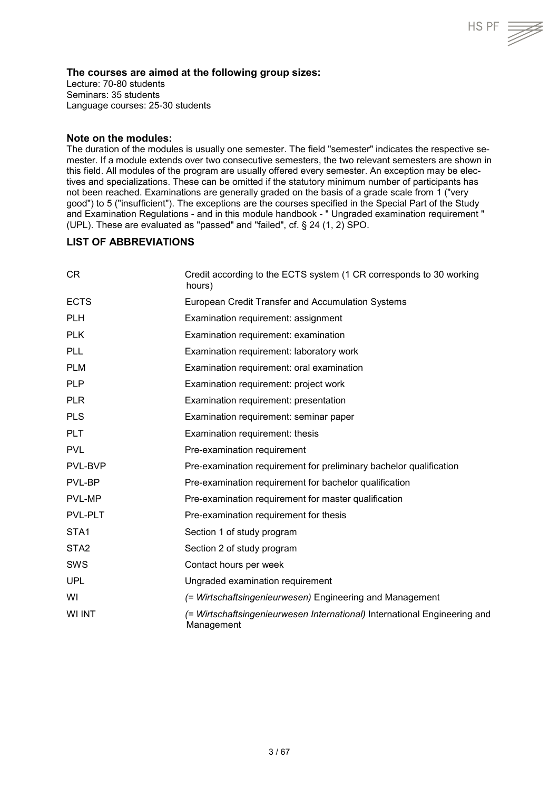#### **The courses are aimed at the following group sizes:**

Lecture: 70-80 students Seminars: 35 students Language courses: 25-30 students

#### **Note on the modules:**

The duration of the modules is usually one semester. The field "semester" indicates the respective semester. If a module extends over two consecutive semesters, the two relevant semesters are shown in this field. All modules of the program are usually offered every semester. An exception may be electives and specializations. These can be omitted if the statutory minimum number of participants has not been reached. Examinations are generally graded on the basis of a grade scale from 1 ("very good") to 5 ("insufficient"). The exceptions are the courses specified in the Special Part of the Study and Examination Regulations - and in this module handbook - " Ungraded examination requirement " (UPL). These are evaluated as "passed" and "failed", cf. § 24 (1, 2) SPO.

HS PF

#### **LIST OF ABBREVIATIONS**

| <b>CR</b>        | Credit according to the ECTS system (1 CR corresponds to 30 working<br>hours)           |
|------------------|-----------------------------------------------------------------------------------------|
| <b>ECTS</b>      | European Credit Transfer and Accumulation Systems                                       |
| <b>PLH</b>       | Examination requirement: assignment                                                     |
| <b>PLK</b>       | Examination requirement: examination                                                    |
| <b>PLL</b>       | Examination requirement: laboratory work                                                |
| <b>PLM</b>       | Examination requirement: oral examination                                               |
| <b>PLP</b>       | Examination requirement: project work                                                   |
| <b>PLR</b>       | Examination requirement: presentation                                                   |
| <b>PLS</b>       | Examination requirement: seminar paper                                                  |
| <b>PLT</b>       | Examination requirement: thesis                                                         |
| <b>PVL</b>       | Pre-examination requirement                                                             |
| PVL-BVP          | Pre-examination requirement for preliminary bachelor qualification                      |
| PVL-BP           | Pre-examination requirement for bachelor qualification                                  |
| PVL-MP           | Pre-examination requirement for master qualification                                    |
| PVL-PLT          | Pre-examination requirement for thesis                                                  |
| STA1             | Section 1 of study program                                                              |
| STA <sub>2</sub> | Section 2 of study program                                                              |
| <b>SWS</b>       | Contact hours per week                                                                  |
| <b>UPL</b>       | Ungraded examination requirement                                                        |
| WI               | (= Wirtschaftsingenieurwesen) Engineering and Management                                |
| WI INT           | (= Wirtschaftsingenieurwesen International) International Engineering and<br>Management |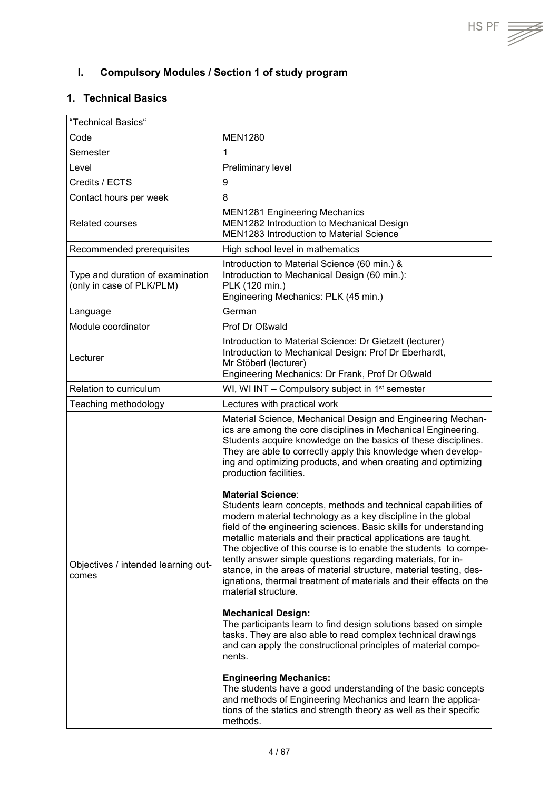<span id="page-3-0"></span>**I. Compulsory Modules / Section 1 of study program**

## <span id="page-3-1"></span>**1. Technical Basics**

| "Technical Basics"                                            |                                                                                                                                                                                                                                                                                                                                                                                                                                                                                                                                                                                                                                                                                                                                                                                                                                                                                                                                                                                                     |  |
|---------------------------------------------------------------|-----------------------------------------------------------------------------------------------------------------------------------------------------------------------------------------------------------------------------------------------------------------------------------------------------------------------------------------------------------------------------------------------------------------------------------------------------------------------------------------------------------------------------------------------------------------------------------------------------------------------------------------------------------------------------------------------------------------------------------------------------------------------------------------------------------------------------------------------------------------------------------------------------------------------------------------------------------------------------------------------------|--|
| Code                                                          | <b>MEN1280</b>                                                                                                                                                                                                                                                                                                                                                                                                                                                                                                                                                                                                                                                                                                                                                                                                                                                                                                                                                                                      |  |
| Semester                                                      | $\mathbf 1$                                                                                                                                                                                                                                                                                                                                                                                                                                                                                                                                                                                                                                                                                                                                                                                                                                                                                                                                                                                         |  |
| Level                                                         | Preliminary level                                                                                                                                                                                                                                                                                                                                                                                                                                                                                                                                                                                                                                                                                                                                                                                                                                                                                                                                                                                   |  |
| Credits / ECTS                                                | 9                                                                                                                                                                                                                                                                                                                                                                                                                                                                                                                                                                                                                                                                                                                                                                                                                                                                                                                                                                                                   |  |
| Contact hours per week                                        | 8                                                                                                                                                                                                                                                                                                                                                                                                                                                                                                                                                                                                                                                                                                                                                                                                                                                                                                                                                                                                   |  |
| <b>Related courses</b>                                        | <b>MEN1281 Engineering Mechanics</b><br>MEN1282 Introduction to Mechanical Design<br><b>MEN1283 Introduction to Material Science</b>                                                                                                                                                                                                                                                                                                                                                                                                                                                                                                                                                                                                                                                                                                                                                                                                                                                                |  |
| Recommended prerequisites                                     | High school level in mathematics                                                                                                                                                                                                                                                                                                                                                                                                                                                                                                                                                                                                                                                                                                                                                                                                                                                                                                                                                                    |  |
| Type and duration of examination<br>(only in case of PLK/PLM) | Introduction to Material Science (60 min.) &<br>Introduction to Mechanical Design (60 min.):<br>PLK (120 min.)<br>Engineering Mechanics: PLK (45 min.)                                                                                                                                                                                                                                                                                                                                                                                                                                                                                                                                                                                                                                                                                                                                                                                                                                              |  |
| Language                                                      | German                                                                                                                                                                                                                                                                                                                                                                                                                                                                                                                                                                                                                                                                                                                                                                                                                                                                                                                                                                                              |  |
| Module coordinator                                            | Prof Dr Oßwald                                                                                                                                                                                                                                                                                                                                                                                                                                                                                                                                                                                                                                                                                                                                                                                                                                                                                                                                                                                      |  |
| Lecturer                                                      | Introduction to Material Science: Dr Gietzelt (lecturer)<br>Introduction to Mechanical Design: Prof Dr Eberhardt,<br>Mr Stöberl (lecturer)<br>Engineering Mechanics: Dr Frank, Prof Dr Oßwald                                                                                                                                                                                                                                                                                                                                                                                                                                                                                                                                                                                                                                                                                                                                                                                                       |  |
| Relation to curriculum                                        | WI, WI INT $-$ Compulsory subject in 1 <sup>st</sup> semester                                                                                                                                                                                                                                                                                                                                                                                                                                                                                                                                                                                                                                                                                                                                                                                                                                                                                                                                       |  |
| Teaching methodology                                          | Lectures with practical work                                                                                                                                                                                                                                                                                                                                                                                                                                                                                                                                                                                                                                                                                                                                                                                                                                                                                                                                                                        |  |
| Objectives / intended learning out-<br>comes                  | Material Science, Mechanical Design and Engineering Mechan-<br>ics are among the core disciplines in Mechanical Engineering.<br>Students acquire knowledge on the basics of these disciplines.<br>They are able to correctly apply this knowledge when develop-<br>ing and optimizing products, and when creating and optimizing<br>production facilities.<br><b>Material Science:</b><br>Students learn concepts, methods and technical capabilities of<br>modern material technology as a key discipline in the global<br>field of the engineering sciences. Basic skills for understanding<br>metallic materials and their practical applications are taught.<br>The objective of this course is to enable the students to compe-<br>tently answer simple questions regarding materials, for in-<br>stance, in the areas of material structure, material testing, des-<br>ignations, thermal treatment of materials and their effects on the<br>material structure.<br><b>Mechanical Design:</b> |  |
|                                                               | The participants learn to find design solutions based on simple<br>tasks. They are also able to read complex technical drawings<br>and can apply the constructional principles of material compo-<br>nents.                                                                                                                                                                                                                                                                                                                                                                                                                                                                                                                                                                                                                                                                                                                                                                                         |  |
|                                                               | <b>Engineering Mechanics:</b><br>The students have a good understanding of the basic concepts<br>and methods of Engineering Mechanics and learn the applica-<br>tions of the statics and strength theory as well as their specific<br>methods.                                                                                                                                                                                                                                                                                                                                                                                                                                                                                                                                                                                                                                                                                                                                                      |  |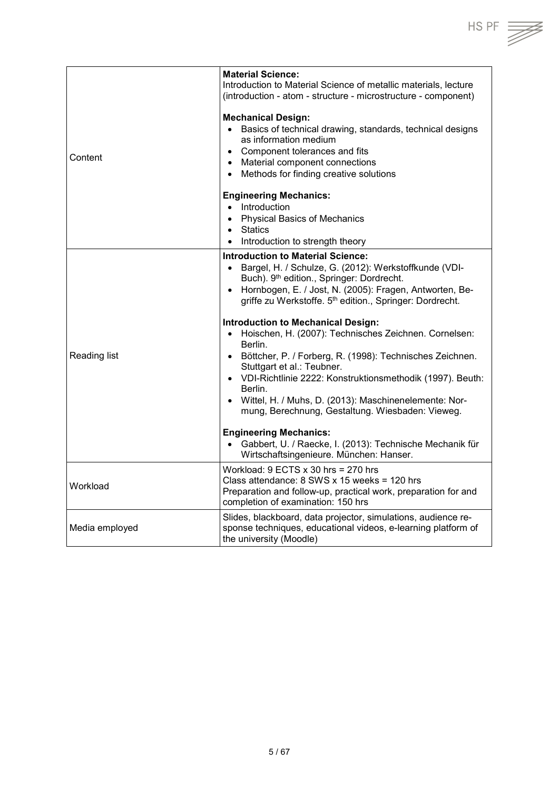|                | <b>Material Science:</b><br>Introduction to Material Science of metallic materials, lecture                                                                                                                                                                                                                                                                                                                                                                                                                                                                                                                                                                                                                                                                                                                                                                |
|----------------|------------------------------------------------------------------------------------------------------------------------------------------------------------------------------------------------------------------------------------------------------------------------------------------------------------------------------------------------------------------------------------------------------------------------------------------------------------------------------------------------------------------------------------------------------------------------------------------------------------------------------------------------------------------------------------------------------------------------------------------------------------------------------------------------------------------------------------------------------------|
|                | (introduction - atom - structure - microstructure - component)                                                                                                                                                                                                                                                                                                                                                                                                                                                                                                                                                                                                                                                                                                                                                                                             |
| Content        | <b>Mechanical Design:</b><br>Basics of technical drawing, standards, technical designs<br>$\bullet$<br>as information medium<br>• Component tolerances and fits<br>• Material component connections<br>• Methods for finding creative solutions                                                                                                                                                                                                                                                                                                                                                                                                                                                                                                                                                                                                            |
|                | <b>Engineering Mechanics:</b><br>• Introduction<br>• Physical Basics of Mechanics<br>Statics<br>$\bullet$<br>• Introduction to strength theory                                                                                                                                                                                                                                                                                                                                                                                                                                                                                                                                                                                                                                                                                                             |
| Reading list   | <b>Introduction to Material Science:</b><br>Bargel, H. / Schulze, G. (2012): Werkstoffkunde (VDI-<br>$\bullet$<br>Buch). 9th edition., Springer: Dordrecht.<br>Hornbogen, E. / Jost, N. (2005): Fragen, Antworten, Be-<br>$\bullet$<br>griffe zu Werkstoffe. 5th edition., Springer: Dordrecht.<br><b>Introduction to Mechanical Design:</b><br>Hoischen, H. (2007): Technisches Zeichnen. Cornelsen:<br>$\bullet$<br>Berlin.<br>• Böttcher, P. / Forberg, R. (1998): Technisches Zeichnen.<br>Stuttgart et al.: Teubner.<br>• VDI-Richtlinie 2222: Konstruktionsmethodik (1997). Beuth:<br>Berlin.<br>• Wittel, H. / Muhs, D. (2013): Maschinenelemente: Nor-<br>mung, Berechnung, Gestaltung. Wiesbaden: Vieweg.<br><b>Engineering Mechanics:</b><br>Gabbert, U. / Raecke, I. (2013): Technische Mechanik für<br>Wirtschaftsingenieure. München: Hanser. |
| Workload       | Workload: $9$ ECTS $x$ 30 hrs = 270 hrs<br>Class attendance: $8$ SWS x 15 weeks = 120 hrs<br>Preparation and follow-up, practical work, preparation for and<br>completion of examination: 150 hrs                                                                                                                                                                                                                                                                                                                                                                                                                                                                                                                                                                                                                                                          |
| Media employed | Slides, blackboard, data projector, simulations, audience re-<br>sponse techniques, educational videos, e-learning platform of<br>the university (Moodle)                                                                                                                                                                                                                                                                                                                                                                                                                                                                                                                                                                                                                                                                                                  |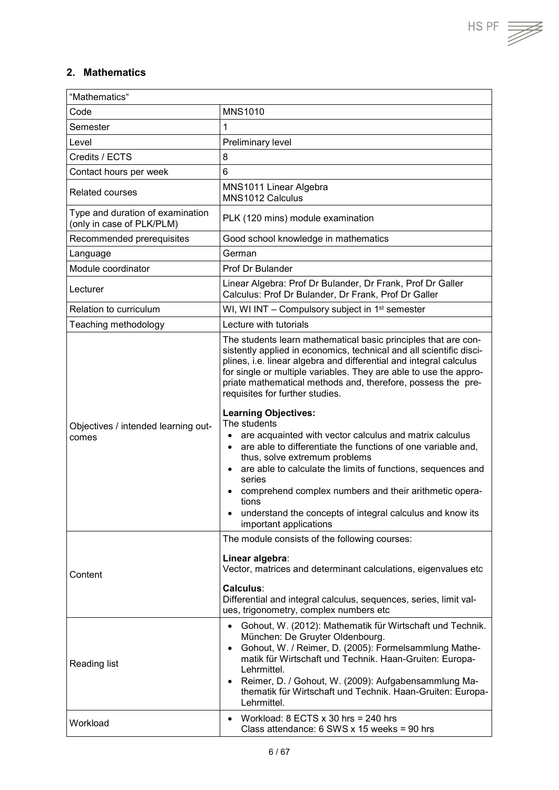$\overline{\phantom{a}}$ 

## <span id="page-5-0"></span>**2. Mathematics**

 $\mathbf{r}$ 

| "Mathematics"                                                 |                                                                                                                                                                                                                                                                                                                                                                                                                                                          |  |
|---------------------------------------------------------------|----------------------------------------------------------------------------------------------------------------------------------------------------------------------------------------------------------------------------------------------------------------------------------------------------------------------------------------------------------------------------------------------------------------------------------------------------------|--|
| Code                                                          | <b>MNS1010</b>                                                                                                                                                                                                                                                                                                                                                                                                                                           |  |
| Semester                                                      | 1                                                                                                                                                                                                                                                                                                                                                                                                                                                        |  |
| Level                                                         | Preliminary level                                                                                                                                                                                                                                                                                                                                                                                                                                        |  |
| Credits / ECTS                                                | 8                                                                                                                                                                                                                                                                                                                                                                                                                                                        |  |
| Contact hours per week                                        | $6\phantom{1}6$                                                                                                                                                                                                                                                                                                                                                                                                                                          |  |
| <b>Related courses</b>                                        | MNS1011 Linear Algebra<br>MNS1012 Calculus                                                                                                                                                                                                                                                                                                                                                                                                               |  |
| Type and duration of examination<br>(only in case of PLK/PLM) | PLK (120 mins) module examination                                                                                                                                                                                                                                                                                                                                                                                                                        |  |
| Recommended prerequisites                                     | Good school knowledge in mathematics                                                                                                                                                                                                                                                                                                                                                                                                                     |  |
| Language                                                      | German                                                                                                                                                                                                                                                                                                                                                                                                                                                   |  |
| Module coordinator                                            | <b>Prof Dr Bulander</b>                                                                                                                                                                                                                                                                                                                                                                                                                                  |  |
| Lecturer                                                      | Linear Algebra: Prof Dr Bulander, Dr Frank, Prof Dr Galler<br>Calculus: Prof Dr Bulander, Dr Frank, Prof Dr Galler                                                                                                                                                                                                                                                                                                                                       |  |
| Relation to curriculum                                        | WI, WI INT - Compulsory subject in 1 <sup>st</sup> semester                                                                                                                                                                                                                                                                                                                                                                                              |  |
| Teaching methodology                                          | Lecture with tutorials                                                                                                                                                                                                                                                                                                                                                                                                                                   |  |
|                                                               | The students learn mathematical basic principles that are con-<br>sistently applied in economics, technical and all scientific disci-<br>plines, i.e. linear algebra and differential and integral calculus<br>for single or multiple variables. They are able to use the appro-<br>priate mathematical methods and, therefore, possess the pre-<br>requisites for further studies.                                                                      |  |
| Objectives / intended learning out-<br>comes                  | <b>Learning Objectives:</b><br>The students<br>are acquainted with vector calculus and matrix calculus<br>are able to differentiate the functions of one variable and,<br>$\bullet$<br>thus, solve extremum problems<br>are able to calculate the limits of functions, sequences and<br>series<br>comprehend complex numbers and their arithmetic opera-<br>tions<br>understand the concepts of integral calculus and know its<br>important applications |  |
|                                                               | The module consists of the following courses:<br>Linear algebra:                                                                                                                                                                                                                                                                                                                                                                                         |  |
| Content                                                       | Vector, matrices and determinant calculations, eigenvalues etc<br>Calculus:<br>Differential and integral calculus, sequences, series, limit val-<br>ues, trigonometry, complex numbers etc                                                                                                                                                                                                                                                               |  |
| Reading list                                                  | Gohout, W. (2012): Mathematik für Wirtschaft und Technik.<br>$\bullet$<br>München: De Gruyter Oldenbourg.<br>Gohout, W. / Reimer, D. (2005): Formelsammlung Mathe-<br>$\bullet$<br>matik für Wirtschaft und Technik. Haan-Gruiten: Europa-<br>Lehrmittel.<br>Reimer, D. / Gohout, W. (2009): Aufgabensammlung Ma-<br>$\bullet$<br>thematik für Wirtschaft und Technik. Haan-Gruiten: Europa-<br>Lehrmittel.                                              |  |
| Workload                                                      | Workload: $8$ ECTS $x$ 30 hrs = 240 hrs<br>$\bullet$<br>Class attendance: $6$ SWS x 15 weeks = 90 hrs                                                                                                                                                                                                                                                                                                                                                    |  |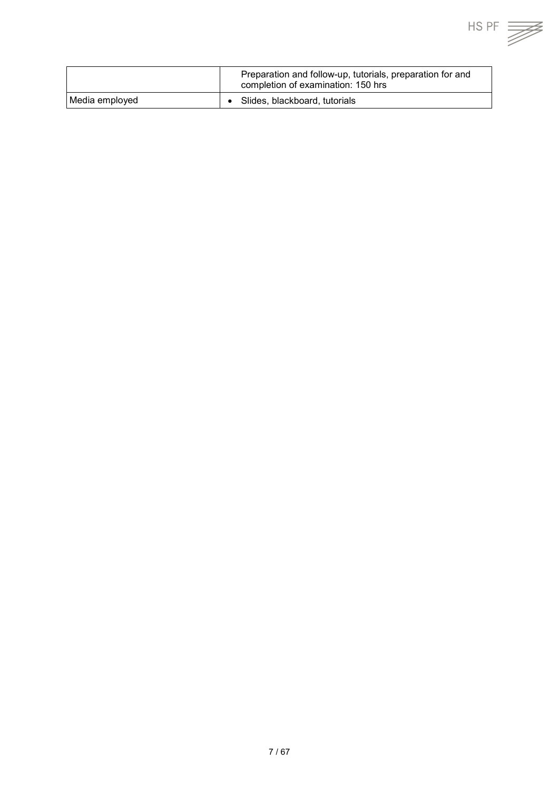|                 | Preparation and follow-up, tutorials, preparation for and<br>completion of examination: 150 hrs |
|-----------------|-------------------------------------------------------------------------------------------------|
| Media employed_ | Slides, blackboard, tutorials                                                                   |

 $HS PF \equiv \sqrt{\frac{1}{1.55}}$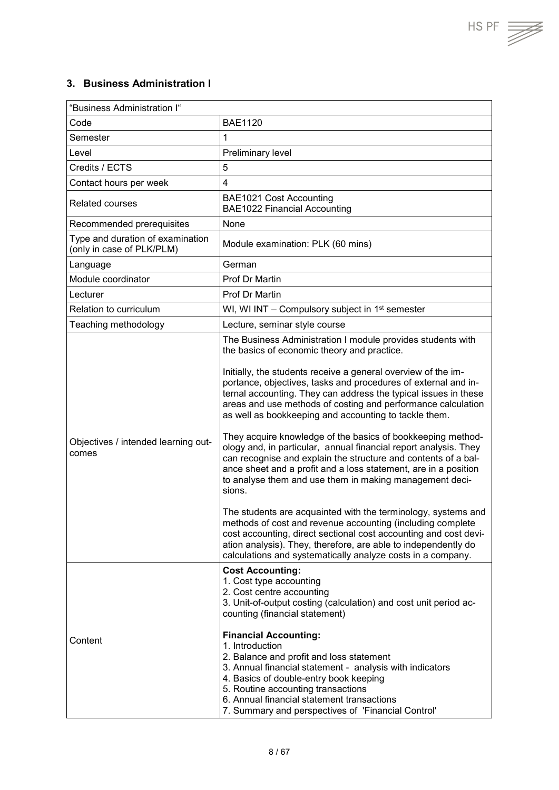$\overline{\mathbb{Z}}$ 

## <span id="page-7-0"></span>**3. Business Administration I**

| "Business Administration I"                                   |                                                                                                                                                                                                                                                                                                                                                                                                                                                                                                                                                                                                                                                                                                                                                                                                                                                                                                                                                                                                                                                                                                                            |  |
|---------------------------------------------------------------|----------------------------------------------------------------------------------------------------------------------------------------------------------------------------------------------------------------------------------------------------------------------------------------------------------------------------------------------------------------------------------------------------------------------------------------------------------------------------------------------------------------------------------------------------------------------------------------------------------------------------------------------------------------------------------------------------------------------------------------------------------------------------------------------------------------------------------------------------------------------------------------------------------------------------------------------------------------------------------------------------------------------------------------------------------------------------------------------------------------------------|--|
| Code                                                          | <b>BAE1120</b>                                                                                                                                                                                                                                                                                                                                                                                                                                                                                                                                                                                                                                                                                                                                                                                                                                                                                                                                                                                                                                                                                                             |  |
| Semester                                                      | 1                                                                                                                                                                                                                                                                                                                                                                                                                                                                                                                                                                                                                                                                                                                                                                                                                                                                                                                                                                                                                                                                                                                          |  |
| Level                                                         | Preliminary level                                                                                                                                                                                                                                                                                                                                                                                                                                                                                                                                                                                                                                                                                                                                                                                                                                                                                                                                                                                                                                                                                                          |  |
| Credits / ECTS                                                | 5                                                                                                                                                                                                                                                                                                                                                                                                                                                                                                                                                                                                                                                                                                                                                                                                                                                                                                                                                                                                                                                                                                                          |  |
| Contact hours per week                                        | 4                                                                                                                                                                                                                                                                                                                                                                                                                                                                                                                                                                                                                                                                                                                                                                                                                                                                                                                                                                                                                                                                                                                          |  |
| <b>Related courses</b>                                        | BAE1021 Cost Accounting<br><b>BAE1022 Financial Accounting</b>                                                                                                                                                                                                                                                                                                                                                                                                                                                                                                                                                                                                                                                                                                                                                                                                                                                                                                                                                                                                                                                             |  |
| Recommended prerequisites                                     | None                                                                                                                                                                                                                                                                                                                                                                                                                                                                                                                                                                                                                                                                                                                                                                                                                                                                                                                                                                                                                                                                                                                       |  |
| Type and duration of examination<br>(only in case of PLK/PLM) | Module examination: PLK (60 mins)                                                                                                                                                                                                                                                                                                                                                                                                                                                                                                                                                                                                                                                                                                                                                                                                                                                                                                                                                                                                                                                                                          |  |
| Language                                                      | German                                                                                                                                                                                                                                                                                                                                                                                                                                                                                                                                                                                                                                                                                                                                                                                                                                                                                                                                                                                                                                                                                                                     |  |
| Module coordinator                                            | Prof Dr Martin                                                                                                                                                                                                                                                                                                                                                                                                                                                                                                                                                                                                                                                                                                                                                                                                                                                                                                                                                                                                                                                                                                             |  |
| Lecturer                                                      | Prof Dr Martin                                                                                                                                                                                                                                                                                                                                                                                                                                                                                                                                                                                                                                                                                                                                                                                                                                                                                                                                                                                                                                                                                                             |  |
| Relation to curriculum                                        | WI, WI INT - Compulsory subject in 1 <sup>st</sup> semester                                                                                                                                                                                                                                                                                                                                                                                                                                                                                                                                                                                                                                                                                                                                                                                                                                                                                                                                                                                                                                                                |  |
| Teaching methodology                                          | Lecture, seminar style course                                                                                                                                                                                                                                                                                                                                                                                                                                                                                                                                                                                                                                                                                                                                                                                                                                                                                                                                                                                                                                                                                              |  |
| Objectives / intended learning out-<br>comes                  | The Business Administration I module provides students with<br>the basics of economic theory and practice.<br>Initially, the students receive a general overview of the im-<br>portance, objectives, tasks and procedures of external and in-<br>ternal accounting. They can address the typical issues in these<br>areas and use methods of costing and performance calculation<br>as well as bookkeeping and accounting to tackle them.<br>They acquire knowledge of the basics of bookkeeping method-<br>ology and, in particular, annual financial report analysis. They<br>can recognise and explain the structure and contents of a bal-<br>ance sheet and a profit and a loss statement, are in a position<br>to analyse them and use them in making management deci-<br>sions.<br>The students are acquainted with the terminology, systems and<br>methods of cost and revenue accounting (including complete<br>cost accounting, direct sectional cost accounting and cost devi-<br>ation analysis). They, therefore, are able to independently do<br>calculations and systematically analyze costs in a company. |  |
| Content                                                       | <b>Cost Accounting:</b><br>1. Cost type accounting<br>2. Cost centre accounting<br>3. Unit-of-output costing (calculation) and cost unit period ac-<br>counting (financial statement)<br><b>Financial Accounting:</b><br>1. Introduction<br>2. Balance and profit and loss statement<br>3. Annual financial statement - analysis with indicators<br>4. Basics of double-entry book keeping<br>5. Routine accounting transactions<br>6. Annual financial statement transactions<br>7. Summary and perspectives of 'Financial Control'                                                                                                                                                                                                                                                                                                                                                                                                                                                                                                                                                                                       |  |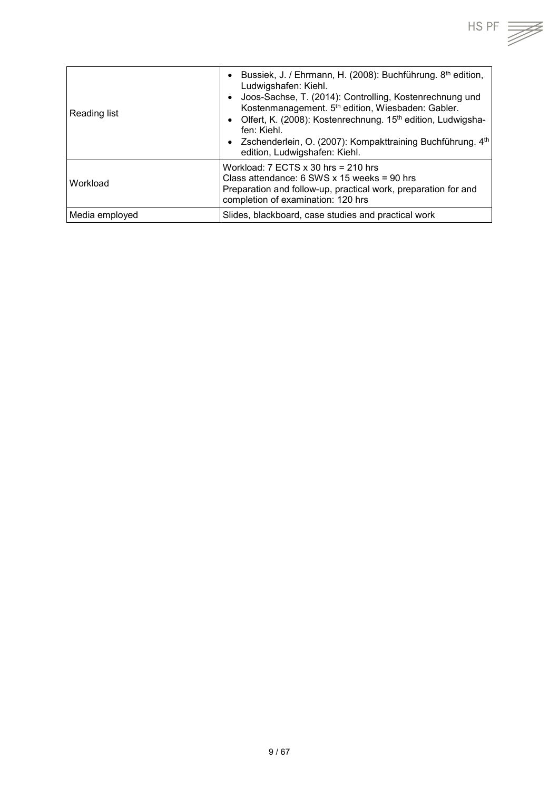

| Reading list   | Bussiek, J. / Ehrmann, H. (2008): Buchführung. 8th edition,<br>Ludwigshafen: Kiehl.<br>Joos-Sachse, T. (2014): Controlling, Kostenrechnung und<br>$\bullet$<br>Kostenmanagement. 5th edition, Wiesbaden: Gabler.<br>Olfert, K. (2008): Kostenrechnung. 15 <sup>th</sup> edition, Ludwigsha-<br>$\bullet$<br>fen: Kiehl.<br>• Zschenderlein, O. (2007): Kompakttraining Buchführung. $4th$<br>edition, Ludwigshafen: Kiehl. |
|----------------|----------------------------------------------------------------------------------------------------------------------------------------------------------------------------------------------------------------------------------------------------------------------------------------------------------------------------------------------------------------------------------------------------------------------------|
| Workload       | Workload: $7$ ECTS $\times$ 30 hrs = 210 hrs<br>Class attendance: 6 SWS x 15 weeks = 90 hrs<br>Preparation and follow-up, practical work, preparation for and<br>completion of examination: 120 hrs                                                                                                                                                                                                                        |
| Media employed | Slides, blackboard, case studies and practical work                                                                                                                                                                                                                                                                                                                                                                        |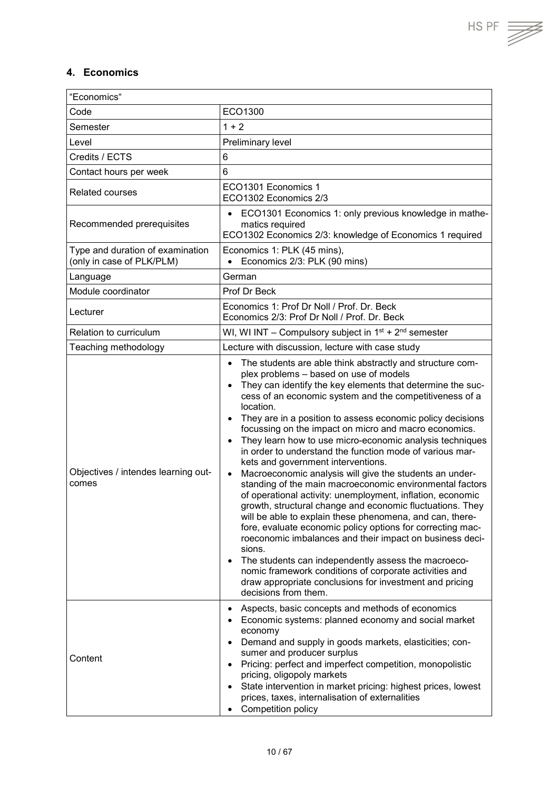## <span id="page-9-0"></span>**4. Economics**

| "Economics"                                                   |                                                                                                                                                                                                                                                                                                                                                                                                                                                                                                                                                                                                                                                                                                                                                                                                                                                                                                                                                                                                                                                                                                                                                                                                                                                                    |  |
|---------------------------------------------------------------|--------------------------------------------------------------------------------------------------------------------------------------------------------------------------------------------------------------------------------------------------------------------------------------------------------------------------------------------------------------------------------------------------------------------------------------------------------------------------------------------------------------------------------------------------------------------------------------------------------------------------------------------------------------------------------------------------------------------------------------------------------------------------------------------------------------------------------------------------------------------------------------------------------------------------------------------------------------------------------------------------------------------------------------------------------------------------------------------------------------------------------------------------------------------------------------------------------------------------------------------------------------------|--|
| Code                                                          | ECO1300                                                                                                                                                                                                                                                                                                                                                                                                                                                                                                                                                                                                                                                                                                                                                                                                                                                                                                                                                                                                                                                                                                                                                                                                                                                            |  |
| Semester                                                      | $1 + 2$                                                                                                                                                                                                                                                                                                                                                                                                                                                                                                                                                                                                                                                                                                                                                                                                                                                                                                                                                                                                                                                                                                                                                                                                                                                            |  |
| Level                                                         | Preliminary level                                                                                                                                                                                                                                                                                                                                                                                                                                                                                                                                                                                                                                                                                                                                                                                                                                                                                                                                                                                                                                                                                                                                                                                                                                                  |  |
| Credits / ECTS                                                | 6                                                                                                                                                                                                                                                                                                                                                                                                                                                                                                                                                                                                                                                                                                                                                                                                                                                                                                                                                                                                                                                                                                                                                                                                                                                                  |  |
| Contact hours per week                                        | $6\phantom{1}$                                                                                                                                                                                                                                                                                                                                                                                                                                                                                                                                                                                                                                                                                                                                                                                                                                                                                                                                                                                                                                                                                                                                                                                                                                                     |  |
| <b>Related courses</b>                                        | ECO1301 Economics 1<br>ECO1302 Economics 2/3                                                                                                                                                                                                                                                                                                                                                                                                                                                                                                                                                                                                                                                                                                                                                                                                                                                                                                                                                                                                                                                                                                                                                                                                                       |  |
| Recommended prerequisites                                     | ECO1301 Economics 1: only previous knowledge in mathe-<br>matics required<br>ECO1302 Economics 2/3: knowledge of Economics 1 required                                                                                                                                                                                                                                                                                                                                                                                                                                                                                                                                                                                                                                                                                                                                                                                                                                                                                                                                                                                                                                                                                                                              |  |
| Type and duration of examination<br>(only in case of PLK/PLM) | Economics 1: PLK (45 mins),<br>Economics 2/3: PLK (90 mins)                                                                                                                                                                                                                                                                                                                                                                                                                                                                                                                                                                                                                                                                                                                                                                                                                                                                                                                                                                                                                                                                                                                                                                                                        |  |
| Language                                                      | German                                                                                                                                                                                                                                                                                                                                                                                                                                                                                                                                                                                                                                                                                                                                                                                                                                                                                                                                                                                                                                                                                                                                                                                                                                                             |  |
| Module coordinator                                            | Prof Dr Beck                                                                                                                                                                                                                                                                                                                                                                                                                                                                                                                                                                                                                                                                                                                                                                                                                                                                                                                                                                                                                                                                                                                                                                                                                                                       |  |
| Lecturer                                                      | Economics 1: Prof Dr Noll / Prof. Dr. Beck<br>Economics 2/3: Prof Dr Noll / Prof. Dr. Beck                                                                                                                                                                                                                                                                                                                                                                                                                                                                                                                                                                                                                                                                                                                                                                                                                                                                                                                                                                                                                                                                                                                                                                         |  |
| Relation to curriculum                                        | WI, WI INT - Compulsory subject in $1^{st}$ + $2^{nd}$ semester                                                                                                                                                                                                                                                                                                                                                                                                                                                                                                                                                                                                                                                                                                                                                                                                                                                                                                                                                                                                                                                                                                                                                                                                    |  |
| Teaching methodology                                          | Lecture with discussion, lecture with case study                                                                                                                                                                                                                                                                                                                                                                                                                                                                                                                                                                                                                                                                                                                                                                                                                                                                                                                                                                                                                                                                                                                                                                                                                   |  |
| Objectives / intendes learning out-<br>comes                  | The students are able think abstractly and structure com-<br>$\bullet$<br>plex problems - based on use of models<br>They can identify the key elements that determine the suc-<br>$\bullet$<br>cess of an economic system and the competitiveness of a<br>location.<br>They are in a position to assess economic policy decisions<br>$\bullet$<br>focussing on the impact on micro and macro economics.<br>They learn how to use micro-economic analysis techniques<br>$\bullet$<br>in order to understand the function mode of various mar-<br>kets and government interventions.<br>Macroeconomic analysis will give the students an under-<br>$\bullet$<br>standing of the main macroeconomic environmental factors<br>of operational activity: unemployment, inflation, economic<br>growth, structural change and economic fluctuations. They<br>will be able to explain these phenomena, and can, there-<br>fore, evaluate economic policy options for correcting mac-<br>roeconomic imbalances and their impact on business deci-<br>sions.<br>The students can independently assess the macroeco-<br>$\bullet$<br>nomic framework conditions of corporate activities and<br>draw appropriate conclusions for investment and pricing<br>decisions from them. |  |
| Content                                                       | Aspects, basic concepts and methods of economics<br>$\bullet$<br>Economic systems: planned economy and social market<br>economy<br>Demand and supply in goods markets, elasticities; con-<br>$\bullet$<br>sumer and producer surplus<br>Pricing: perfect and imperfect competition, monopolistic<br>$\bullet$<br>pricing, oligopoly markets<br>State intervention in market pricing: highest prices, lowest<br>$\bullet$<br>prices, taxes, internalisation of externalities<br>Competition policy                                                                                                                                                                                                                                                                                                                                                                                                                                                                                                                                                                                                                                                                                                                                                                  |  |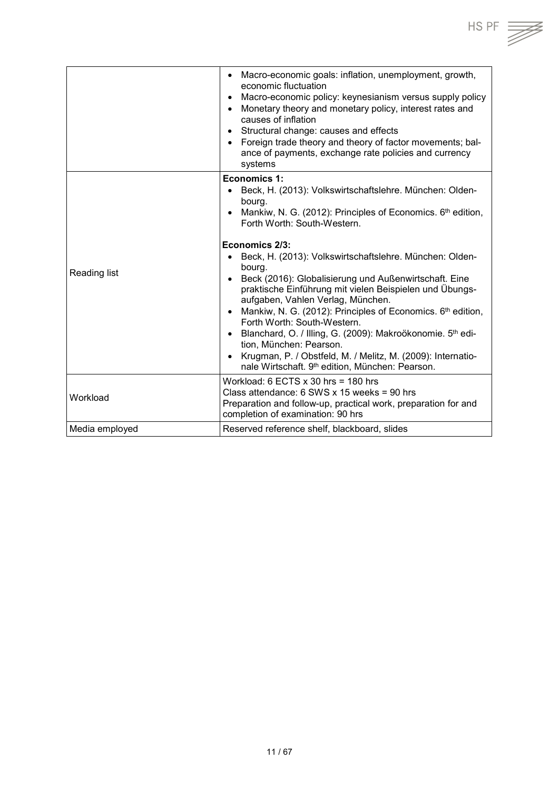| Macro-economic goals: inflation, unemployment, growth,<br>economic fluctuation<br>Macro-economic policy: keynesianism versus supply policy<br>Monetary theory and monetary policy, interest rates and<br>causes of inflation<br>Structural change: causes and effects<br>Foreign trade theory and theory of factor movements; bal-<br>ance of payments, exchange rate policies and currency<br>systems<br><b>Economics 1:</b><br>Beck, H. (2013): Volkswirtschaftslehre. München: Olden-<br>bourg.<br>• Mankiw, N. G. (2012): Principles of Economics. $6th$ edition,<br>Forth Worth: South-Western.<br>Economics 2/3:<br>Beck, H. (2013): Volkswirtschaftslehre. München: Olden-<br>bourg.<br>Beck (2016): Globalisierung und Außenwirtschaft. Eine<br>praktische Einführung mit vielen Beispielen und Übungs-<br>aufgaben, Vahlen Verlag, München.<br>• Mankiw, N. G. (2012): Principles of Economics. 6 <sup>th</sup> edition,<br>Forth Worth: South-Western.<br>• Blanchard, O. / Illing, G. (2009): Makroökonomie. 5th edi-<br>tion, München: Pearson.<br>Krugman, P. / Obstfeld, M. / Melitz, M. (2009): Internatio-<br>nale Wirtschaft. 9 <sup>th</sup> edition, München: Pearson.<br>Workload: $6$ ECTS $x$ 30 hrs = 180 hrs<br>Class attendance: $6$ SWS x 15 weeks = 90 hrs<br>Preparation and follow-up, practical work, preparation for and<br>completion of examination: 90 hrs<br>Reserved reference shelf, blackboard, slides |                |  |
|----------------------------------------------------------------------------------------------------------------------------------------------------------------------------------------------------------------------------------------------------------------------------------------------------------------------------------------------------------------------------------------------------------------------------------------------------------------------------------------------------------------------------------------------------------------------------------------------------------------------------------------------------------------------------------------------------------------------------------------------------------------------------------------------------------------------------------------------------------------------------------------------------------------------------------------------------------------------------------------------------------------------------------------------------------------------------------------------------------------------------------------------------------------------------------------------------------------------------------------------------------------------------------------------------------------------------------------------------------------------------------------------------------------------------------------------|----------------|--|
|                                                                                                                                                                                                                                                                                                                                                                                                                                                                                                                                                                                                                                                                                                                                                                                                                                                                                                                                                                                                                                                                                                                                                                                                                                                                                                                                                                                                                                              |                |  |
|                                                                                                                                                                                                                                                                                                                                                                                                                                                                                                                                                                                                                                                                                                                                                                                                                                                                                                                                                                                                                                                                                                                                                                                                                                                                                                                                                                                                                                              | Reading list   |  |
|                                                                                                                                                                                                                                                                                                                                                                                                                                                                                                                                                                                                                                                                                                                                                                                                                                                                                                                                                                                                                                                                                                                                                                                                                                                                                                                                                                                                                                              |                |  |
|                                                                                                                                                                                                                                                                                                                                                                                                                                                                                                                                                                                                                                                                                                                                                                                                                                                                                                                                                                                                                                                                                                                                                                                                                                                                                                                                                                                                                                              | Workload       |  |
|                                                                                                                                                                                                                                                                                                                                                                                                                                                                                                                                                                                                                                                                                                                                                                                                                                                                                                                                                                                                                                                                                                                                                                                                                                                                                                                                                                                                                                              | Media employed |  |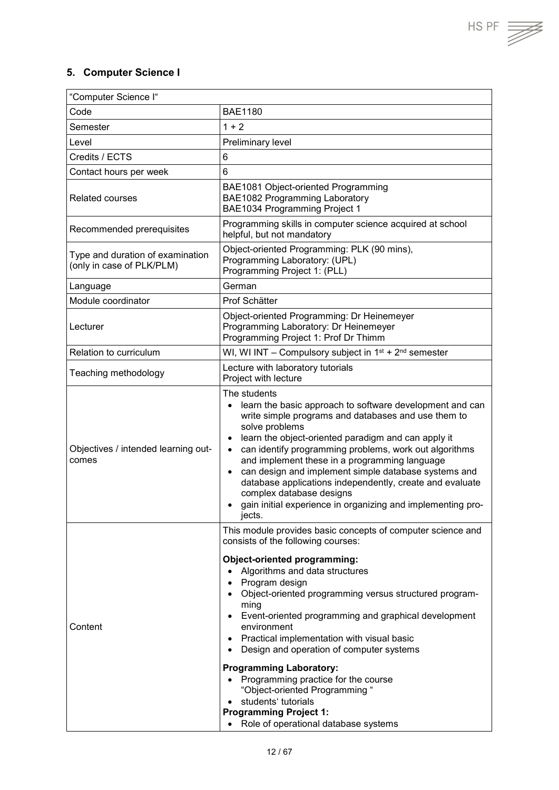HS PF  $\overline{\mathcal{Z}}$ 

## <span id="page-11-0"></span>**5. Computer Science I**

| "Computer Science I"                                          |                                                                                                                                                                                                                                                                                                                                                                                                                                                                                                                                                                                                                                                                                                                   |
|---------------------------------------------------------------|-------------------------------------------------------------------------------------------------------------------------------------------------------------------------------------------------------------------------------------------------------------------------------------------------------------------------------------------------------------------------------------------------------------------------------------------------------------------------------------------------------------------------------------------------------------------------------------------------------------------------------------------------------------------------------------------------------------------|
| Code                                                          | <b>BAE1180</b>                                                                                                                                                                                                                                                                                                                                                                                                                                                                                                                                                                                                                                                                                                    |
| Semester                                                      | $1 + 2$                                                                                                                                                                                                                                                                                                                                                                                                                                                                                                                                                                                                                                                                                                           |
| Level                                                         | Preliminary level                                                                                                                                                                                                                                                                                                                                                                                                                                                                                                                                                                                                                                                                                                 |
| Credits / ECTS                                                | 6                                                                                                                                                                                                                                                                                                                                                                                                                                                                                                                                                                                                                                                                                                                 |
| Contact hours per week                                        | 6                                                                                                                                                                                                                                                                                                                                                                                                                                                                                                                                                                                                                                                                                                                 |
| <b>Related courses</b>                                        | BAE1081 Object-oriented Programming<br>BAE1082 Programming Laboratory<br>BAE1034 Programming Project 1                                                                                                                                                                                                                                                                                                                                                                                                                                                                                                                                                                                                            |
| Recommended prerequisites                                     | Programming skills in computer science acquired at school<br>helpful, but not mandatory                                                                                                                                                                                                                                                                                                                                                                                                                                                                                                                                                                                                                           |
| Type and duration of examination<br>(only in case of PLK/PLM) | Object-oriented Programming: PLK (90 mins),<br>Programming Laboratory: (UPL)<br>Programming Project 1: (PLL)                                                                                                                                                                                                                                                                                                                                                                                                                                                                                                                                                                                                      |
| Language                                                      | German                                                                                                                                                                                                                                                                                                                                                                                                                                                                                                                                                                                                                                                                                                            |
| Module coordinator                                            | Prof Schätter                                                                                                                                                                                                                                                                                                                                                                                                                                                                                                                                                                                                                                                                                                     |
| Lecturer                                                      | Object-oriented Programming: Dr Heinemeyer<br>Programming Laboratory: Dr Heinemeyer<br>Programming Project 1: Prof Dr Thimm                                                                                                                                                                                                                                                                                                                                                                                                                                                                                                                                                                                       |
| Relation to curriculum                                        | WI, WI INT – Compulsory subject in $1^{st}$ + $2^{nd}$ semester                                                                                                                                                                                                                                                                                                                                                                                                                                                                                                                                                                                                                                                   |
| Teaching methodology                                          | Lecture with laboratory tutorials<br>Project with lecture                                                                                                                                                                                                                                                                                                                                                                                                                                                                                                                                                                                                                                                         |
| Objectives / intended learning out-<br>comes                  | The students<br>learn the basic approach to software development and can<br>$\bullet$<br>write simple programs and databases and use them to<br>solve problems<br>learn the object-oriented paradigm and can apply it<br>٠<br>can identify programming problems, work out algorithms<br>$\bullet$<br>and implement these in a programming language<br>can design and implement simple database systems and<br>$\bullet$<br>database applications independently, create and evaluate<br>complex database designs<br>gain initial experience in organizing and implementing pro-<br>jects.                                                                                                                          |
| Content                                                       | This module provides basic concepts of computer science and<br>consists of the following courses:<br>Object-oriented programming:<br>Algorithms and data structures<br>$\bullet$<br>Program design<br>$\bullet$<br>Object-oriented programming versus structured program-<br>$\bullet$<br>ming<br>Event-oriented programming and graphical development<br>$\bullet$<br>environment<br>Practical implementation with visual basic<br>$\bullet$<br>Design and operation of computer systems<br><b>Programming Laboratory:</b><br>Programming practice for the course<br>$\bullet$<br>"Object-oriented Programming "<br>students' tutorials<br><b>Programming Project 1:</b><br>Role of operational database systems |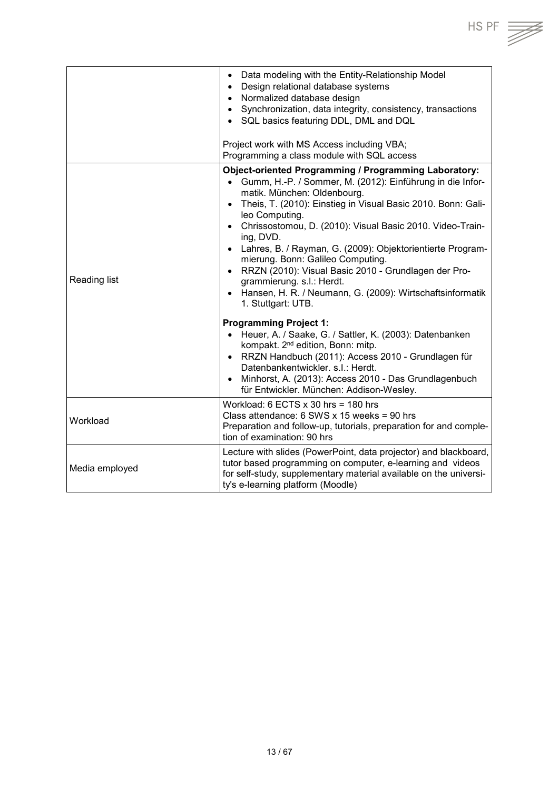|                | Data modeling with the Entity-Relationship Model<br>Design relational database systems<br>$\bullet$<br>• Normalized database design<br>Synchronization, data integrity, consistency, transactions<br>$\bullet$<br>SQL basics featuring DDL, DML and DQL<br>Project work with MS Access including VBA;<br>Programming a class module with SQL access                                                                                                                                                                                                                                                                                                                                                                                                                                                                                                                                                                                                                                  |
|----------------|--------------------------------------------------------------------------------------------------------------------------------------------------------------------------------------------------------------------------------------------------------------------------------------------------------------------------------------------------------------------------------------------------------------------------------------------------------------------------------------------------------------------------------------------------------------------------------------------------------------------------------------------------------------------------------------------------------------------------------------------------------------------------------------------------------------------------------------------------------------------------------------------------------------------------------------------------------------------------------------|
| Reading list   | <b>Object-oriented Programming / Programming Laboratory:</b><br>Gumm, H.-P. / Sommer, M. (2012): Einführung in die Infor-<br>$\bullet$<br>matik. München: Oldenbourg.<br>Theis, T. (2010): Einstieg in Visual Basic 2010. Bonn: Gali-<br>$\bullet$<br>leo Computing.<br>• Chrissostomou, D. (2010): Visual Basic 2010. Video-Train-<br>ing, DVD.<br>• Lahres, B. / Rayman, G. (2009): Objektorientierte Program-<br>mierung. Bonn: Galileo Computing.<br>• RRZN (2010): Visual Basic 2010 - Grundlagen der Pro-<br>grammierung. s.l.: Herdt.<br>Hansen, H. R. / Neumann, G. (2009): Wirtschaftsinformatik<br>$\bullet$<br>1. Stuttgart: UTB.<br><b>Programming Project 1:</b><br>Heuer, A. / Saake, G. / Sattler, K. (2003): Datenbanken<br>$\bullet$<br>kompakt. 2 <sup>nd</sup> edition, Bonn: mitp.<br>RRZN Handbuch (2011): Access 2010 - Grundlagen für<br>$\bullet$<br>Datenbankentwickler. s.l.: Herdt.<br>Minhorst, A. (2013): Access 2010 - Das Grundlagenbuch<br>$\bullet$ |
| Workload       | für Entwickler. München: Addison-Wesley.<br>Workload: $6$ ECTS $x$ 30 hrs = 180 hrs<br>Class attendance: $6$ SWS x 15 weeks = 90 hrs<br>Preparation and follow-up, tutorials, preparation for and comple-<br>tion of examination: 90 hrs                                                                                                                                                                                                                                                                                                                                                                                                                                                                                                                                                                                                                                                                                                                                             |
| Media employed | Lecture with slides (PowerPoint, data projector) and blackboard,<br>tutor based programming on computer, e-learning and videos<br>for self-study, supplementary material available on the universi-<br>ty's e-learning platform (Moodle)                                                                                                                                                                                                                                                                                                                                                                                                                                                                                                                                                                                                                                                                                                                                             |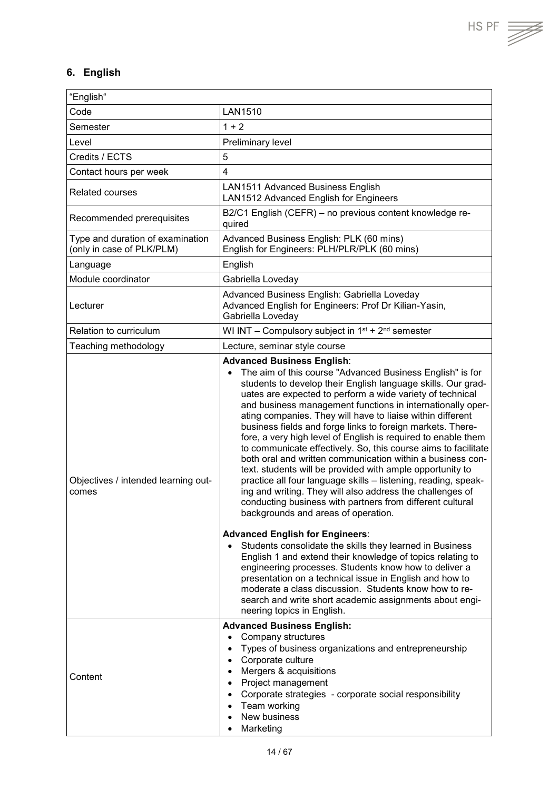## <span id="page-13-0"></span>**6. English**

| "English"                                                     |                                                                                                                                                                                                                                                                                                                                                                                                                                                                                                                                                                                                                                                                                                                                                                                                                                                                                                                                                                                                                                                                                                                                                                                                                                                                                                                                                                                            |
|---------------------------------------------------------------|--------------------------------------------------------------------------------------------------------------------------------------------------------------------------------------------------------------------------------------------------------------------------------------------------------------------------------------------------------------------------------------------------------------------------------------------------------------------------------------------------------------------------------------------------------------------------------------------------------------------------------------------------------------------------------------------------------------------------------------------------------------------------------------------------------------------------------------------------------------------------------------------------------------------------------------------------------------------------------------------------------------------------------------------------------------------------------------------------------------------------------------------------------------------------------------------------------------------------------------------------------------------------------------------------------------------------------------------------------------------------------------------|
| Code                                                          | <b>LAN1510</b>                                                                                                                                                                                                                                                                                                                                                                                                                                                                                                                                                                                                                                                                                                                                                                                                                                                                                                                                                                                                                                                                                                                                                                                                                                                                                                                                                                             |
| Semester                                                      | $1 + 2$                                                                                                                                                                                                                                                                                                                                                                                                                                                                                                                                                                                                                                                                                                                                                                                                                                                                                                                                                                                                                                                                                                                                                                                                                                                                                                                                                                                    |
| Level                                                         | Preliminary level                                                                                                                                                                                                                                                                                                                                                                                                                                                                                                                                                                                                                                                                                                                                                                                                                                                                                                                                                                                                                                                                                                                                                                                                                                                                                                                                                                          |
| Credits / ECTS                                                | 5                                                                                                                                                                                                                                                                                                                                                                                                                                                                                                                                                                                                                                                                                                                                                                                                                                                                                                                                                                                                                                                                                                                                                                                                                                                                                                                                                                                          |
| Contact hours per week                                        | $\overline{4}$                                                                                                                                                                                                                                                                                                                                                                                                                                                                                                                                                                                                                                                                                                                                                                                                                                                                                                                                                                                                                                                                                                                                                                                                                                                                                                                                                                             |
| <b>Related courses</b>                                        | <b>LAN1511 Advanced Business English</b><br>LAN1512 Advanced English for Engineers                                                                                                                                                                                                                                                                                                                                                                                                                                                                                                                                                                                                                                                                                                                                                                                                                                                                                                                                                                                                                                                                                                                                                                                                                                                                                                         |
| Recommended prerequisites                                     | B2/C1 English (CEFR) - no previous content knowledge re-<br>quired                                                                                                                                                                                                                                                                                                                                                                                                                                                                                                                                                                                                                                                                                                                                                                                                                                                                                                                                                                                                                                                                                                                                                                                                                                                                                                                         |
| Type and duration of examination<br>(only in case of PLK/PLM) | Advanced Business English: PLK (60 mins)<br>English for Engineers: PLH/PLR/PLK (60 mins)                                                                                                                                                                                                                                                                                                                                                                                                                                                                                                                                                                                                                                                                                                                                                                                                                                                                                                                                                                                                                                                                                                                                                                                                                                                                                                   |
| Language                                                      | English                                                                                                                                                                                                                                                                                                                                                                                                                                                                                                                                                                                                                                                                                                                                                                                                                                                                                                                                                                                                                                                                                                                                                                                                                                                                                                                                                                                    |
| Module coordinator                                            | Gabriella Loveday                                                                                                                                                                                                                                                                                                                                                                                                                                                                                                                                                                                                                                                                                                                                                                                                                                                                                                                                                                                                                                                                                                                                                                                                                                                                                                                                                                          |
| Lecturer                                                      | Advanced Business English: Gabriella Loveday<br>Advanced English for Engineers: Prof Dr Kilian-Yasin,<br>Gabriella Loveday                                                                                                                                                                                                                                                                                                                                                                                                                                                                                                                                                                                                                                                                                                                                                                                                                                                                                                                                                                                                                                                                                                                                                                                                                                                                 |
| Relation to curriculum                                        | WI INT – Compulsory subject in $1^{st}$ + $2^{nd}$ semester                                                                                                                                                                                                                                                                                                                                                                                                                                                                                                                                                                                                                                                                                                                                                                                                                                                                                                                                                                                                                                                                                                                                                                                                                                                                                                                                |
| Teaching methodology                                          | Lecture, seminar style course                                                                                                                                                                                                                                                                                                                                                                                                                                                                                                                                                                                                                                                                                                                                                                                                                                                                                                                                                                                                                                                                                                                                                                                                                                                                                                                                                              |
| Objectives / intended learning out-<br>comes                  | <b>Advanced Business English:</b><br>The aim of this course "Advanced Business English" is for<br>$\bullet$<br>students to develop their English language skills. Our grad-<br>uates are expected to perform a wide variety of technical<br>and business management functions in internationally oper-<br>ating companies. They will have to liaise within different<br>business fields and forge links to foreign markets. There-<br>fore, a very high level of English is required to enable them<br>to communicate effectively. So, this course aims to facilitate<br>both oral and written communication within a business con-<br>text. students will be provided with ample opportunity to<br>practice all four language skills - listening, reading, speak-<br>ing and writing. They will also address the challenges of<br>conducting business with partners from different cultural<br>backgrounds and areas of operation.<br><b>Advanced English for Engineers:</b><br>Students consolidate the skills they learned in Business<br>$\bullet$<br>English 1 and extend their knowledge of topics relating to<br>engineering processes. Students know how to deliver a<br>presentation on a technical issue in English and how to<br>moderate a class discussion. Students know how to re-<br>search and write short academic assignments about engi-<br>neering topics in English. |
| Content                                                       | <b>Advanced Business English:</b><br>Company structures<br>$\bullet$<br>Types of business organizations and entrepreneurship<br>$\bullet$<br>• Corporate culture<br>• Mergers & acquisitions<br>• Project management<br>Corporate strategies - corporate social responsibility<br>$\bullet$<br>• Team working<br>New business<br>Marketing                                                                                                                                                                                                                                                                                                                                                                                                                                                                                                                                                                                                                                                                                                                                                                                                                                                                                                                                                                                                                                                 |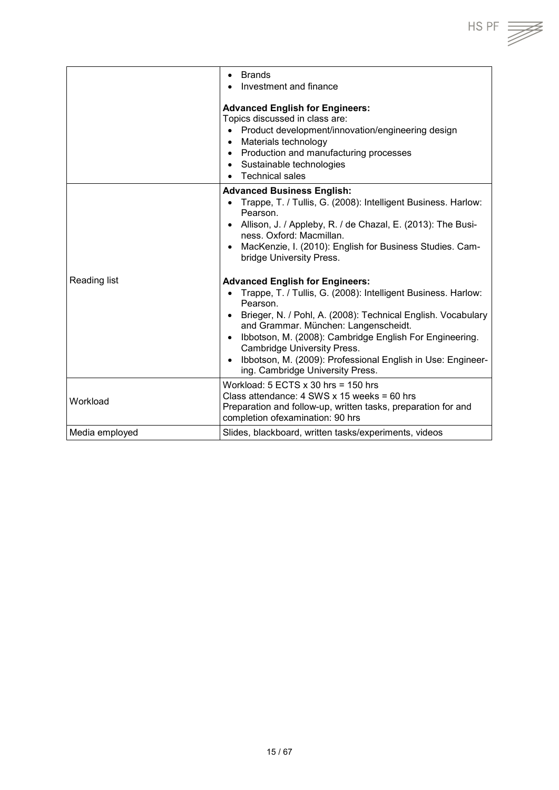|                | <b>Brands</b><br>$\bullet$<br>Investment and finance                                                                                                                                                                                                                                                                                                                                                                                                                     |
|----------------|--------------------------------------------------------------------------------------------------------------------------------------------------------------------------------------------------------------------------------------------------------------------------------------------------------------------------------------------------------------------------------------------------------------------------------------------------------------------------|
|                | <b>Advanced English for Engineers:</b><br>Topics discussed in class are:<br>Product development/innovation/engineering design<br>$\bullet$<br>• Materials technology<br>• Production and manufacturing processes<br>• Sustainable technologies<br>Technical sales<br>$\bullet$                                                                                                                                                                                           |
|                | <b>Advanced Business English:</b><br>• Trappe, T. / Tullis, G. (2008): Intelligent Business. Harlow:<br>Pearson.<br>• Allison, J. / Appleby, R. / de Chazal, E. (2013): The Busi-<br>ness. Oxford: Macmillan.<br>MacKenzie, I. (2010): English for Business Studies. Cam-<br>$\bullet$<br>bridge University Press.                                                                                                                                                       |
| Reading list   | <b>Advanced English for Engineers:</b><br>Trappe, T. / Tullis, G. (2008): Intelligent Business. Harlow:<br>$\bullet$<br>Pearson.<br>• Brieger, N. / Pohl, A. (2008): Technical English. Vocabulary<br>and Grammar. München: Langenscheidt.<br>Ibbotson, M. (2008): Cambridge English For Engineering.<br>$\bullet$<br><b>Cambridge University Press.</b><br>Ibbotson, M. (2009): Professional English in Use: Engineer-<br>$\bullet$<br>ing. Cambridge University Press. |
| Workload       | Workload: $5$ ECTS $x$ 30 hrs = 150 hrs<br>Class attendance: $4$ SWS x 15 weeks = 60 hrs<br>Preparation and follow-up, written tasks, preparation for and<br>completion ofexamination: 90 hrs                                                                                                                                                                                                                                                                            |
| Media employed | Slides, blackboard, written tasks/experiments, videos                                                                                                                                                                                                                                                                                                                                                                                                                    |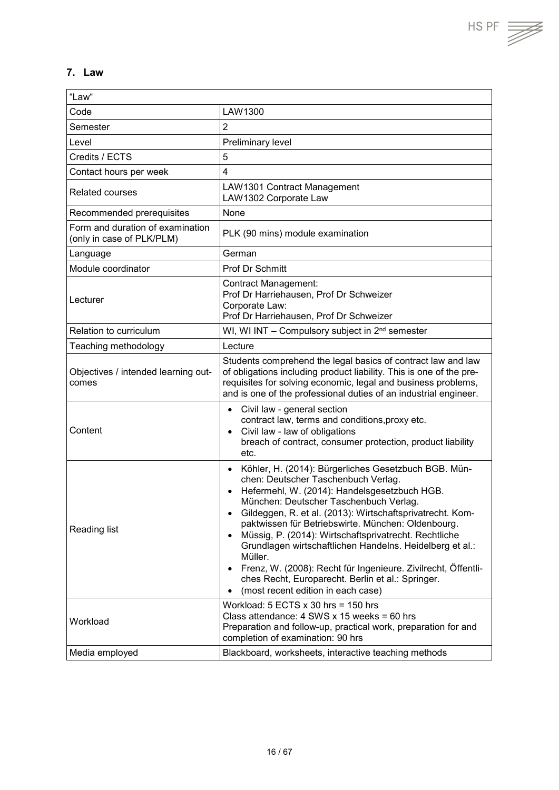## <span id="page-15-0"></span>**7. Law**

| "Law"                                                         |                                                                                                                                                                                                                                                                                                                                                                                                                                                                                                                                                                                                                                                                       |
|---------------------------------------------------------------|-----------------------------------------------------------------------------------------------------------------------------------------------------------------------------------------------------------------------------------------------------------------------------------------------------------------------------------------------------------------------------------------------------------------------------------------------------------------------------------------------------------------------------------------------------------------------------------------------------------------------------------------------------------------------|
| Code                                                          | LAW1300                                                                                                                                                                                                                                                                                                                                                                                                                                                                                                                                                                                                                                                               |
| Semester                                                      | $\overline{2}$                                                                                                                                                                                                                                                                                                                                                                                                                                                                                                                                                                                                                                                        |
| Level                                                         | Preliminary level                                                                                                                                                                                                                                                                                                                                                                                                                                                                                                                                                                                                                                                     |
| Credits / ECTS                                                | 5                                                                                                                                                                                                                                                                                                                                                                                                                                                                                                                                                                                                                                                                     |
| Contact hours per week                                        | 4                                                                                                                                                                                                                                                                                                                                                                                                                                                                                                                                                                                                                                                                     |
| <b>Related courses</b>                                        | LAW1301 Contract Management<br>LAW1302 Corporate Law                                                                                                                                                                                                                                                                                                                                                                                                                                                                                                                                                                                                                  |
| Recommended prerequisites                                     | None                                                                                                                                                                                                                                                                                                                                                                                                                                                                                                                                                                                                                                                                  |
| Form and duration of examination<br>(only in case of PLK/PLM) | PLK (90 mins) module examination                                                                                                                                                                                                                                                                                                                                                                                                                                                                                                                                                                                                                                      |
| Language                                                      | German                                                                                                                                                                                                                                                                                                                                                                                                                                                                                                                                                                                                                                                                |
| Module coordinator                                            | Prof Dr Schmitt                                                                                                                                                                                                                                                                                                                                                                                                                                                                                                                                                                                                                                                       |
| Lecturer                                                      | <b>Contract Management:</b><br>Prof Dr Harriehausen, Prof Dr Schweizer<br>Corporate Law:<br>Prof Dr Harriehausen, Prof Dr Schweizer                                                                                                                                                                                                                                                                                                                                                                                                                                                                                                                                   |
| Relation to curriculum                                        | WI, WI INT - Compulsory subject in 2 <sup>nd</sup> semester                                                                                                                                                                                                                                                                                                                                                                                                                                                                                                                                                                                                           |
| Teaching methodology                                          | Lecture                                                                                                                                                                                                                                                                                                                                                                                                                                                                                                                                                                                                                                                               |
| Objectives / intended learning out-<br>comes                  | Students comprehend the legal basics of contract law and law<br>of obligations including product liability. This is one of the pre-<br>requisites for solving economic, legal and business problems,<br>and is one of the professional duties of an industrial engineer.                                                                                                                                                                                                                                                                                                                                                                                              |
| Content                                                       | Civil law - general section<br>$\bullet$<br>contract law, terms and conditions, proxy etc.<br>Civil law - law of obligations<br>$\bullet$<br>breach of contract, consumer protection, product liability<br>etc.                                                                                                                                                                                                                                                                                                                                                                                                                                                       |
| Reading list                                                  | Köhler, H. (2014): Bürgerliches Gesetzbuch BGB. Mün-<br>$\bullet$<br>chen: Deutscher Taschenbuch Verlag.<br>Hefermehl, W. (2014): Handelsgesetzbuch HGB.<br>$\bullet$<br>München: Deutscher Taschenbuch Verlag.<br>Gildeggen, R. et al. (2013): Wirtschaftsprivatrecht. Kom-<br>paktwissen für Betriebswirte. München: Oldenbourg.<br>Müssig, P. (2014): Wirtschaftsprivatrecht. Rechtliche<br>$\bullet$<br>Grundlagen wirtschaftlichen Handelns. Heidelberg et al.:<br>Müller.<br>Frenz, W. (2008): Recht für Ingenieure. Zivilrecht, Öffentli-<br>$\bullet$<br>ches Recht, Europarecht. Berlin et al.: Springer.<br>(most recent edition in each case)<br>$\bullet$ |
| Workload                                                      | Workload: $5$ ECTS $x$ 30 hrs = 150 hrs<br>Class attendance: 4 SWS x 15 weeks = 60 hrs<br>Preparation and follow-up, practical work, preparation for and<br>completion of examination: 90 hrs                                                                                                                                                                                                                                                                                                                                                                                                                                                                         |
| Media employed                                                | Blackboard, worksheets, interactive teaching methods                                                                                                                                                                                                                                                                                                                                                                                                                                                                                                                                                                                                                  |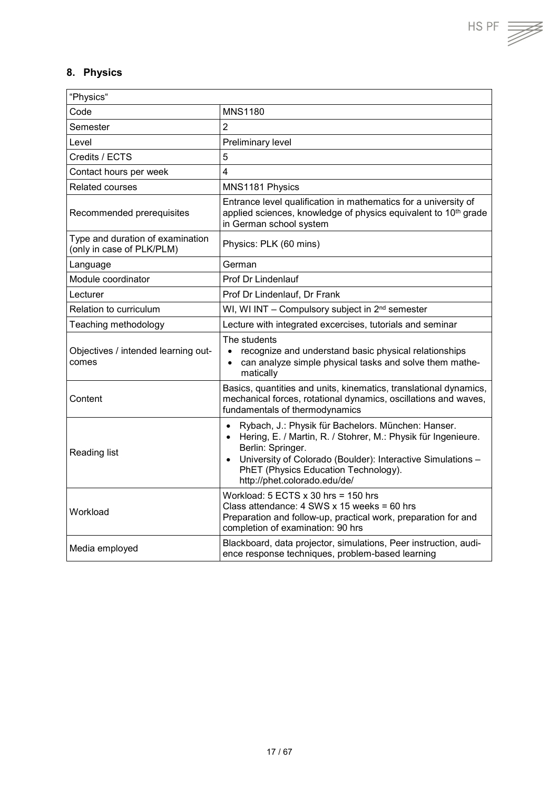## <span id="page-16-0"></span>**8. Physics**

| "Physics"                                                     |                                                                                                                                                                                                                                                                                                                        |
|---------------------------------------------------------------|------------------------------------------------------------------------------------------------------------------------------------------------------------------------------------------------------------------------------------------------------------------------------------------------------------------------|
| Code                                                          | <b>MNS1180</b>                                                                                                                                                                                                                                                                                                         |
| Semester                                                      | $\overline{2}$                                                                                                                                                                                                                                                                                                         |
| Level                                                         | Preliminary level                                                                                                                                                                                                                                                                                                      |
| Credits / ECTS                                                | 5                                                                                                                                                                                                                                                                                                                      |
| Contact hours per week                                        | $\overline{4}$                                                                                                                                                                                                                                                                                                         |
| Related courses                                               | MNS1181 Physics                                                                                                                                                                                                                                                                                                        |
| Recommended prerequisites                                     | Entrance level qualification in mathematics for a university of<br>applied sciences, knowledge of physics equivalent to 10 <sup>th</sup> grade<br>in German school system                                                                                                                                              |
| Type and duration of examination<br>(only in case of PLK/PLM) | Physics: PLK (60 mins)                                                                                                                                                                                                                                                                                                 |
| Language                                                      | German                                                                                                                                                                                                                                                                                                                 |
| Module coordinator                                            | Prof Dr Lindenlauf                                                                                                                                                                                                                                                                                                     |
| Lecturer                                                      | Prof Dr Lindenlauf, Dr Frank                                                                                                                                                                                                                                                                                           |
| Relation to curriculum                                        | WI, WI INT - Compulsory subject in 2 <sup>nd</sup> semester                                                                                                                                                                                                                                                            |
| Teaching methodology                                          | Lecture with integrated excercises, tutorials and seminar                                                                                                                                                                                                                                                              |
| Objectives / intended learning out-<br>comes                  | The students<br>recognize and understand basic physical relationships<br>$\bullet$<br>can analyze simple physical tasks and solve them mathe-<br>$\bullet$<br>matically                                                                                                                                                |
| Content                                                       | Basics, quantities and units, kinematics, translational dynamics,<br>mechanical forces, rotational dynamics, oscillations and waves,<br>fundamentals of thermodynamics                                                                                                                                                 |
| Reading list                                                  | Rybach, J.: Physik für Bachelors. München: Hanser.<br>$\bullet$<br>Hering, E. / Martin, R. / Stohrer, M.: Physik für Ingenieure.<br>$\bullet$<br>Berlin: Springer.<br>University of Colorado (Boulder): Interactive Simulations -<br>$\bullet$<br>PhET (Physics Education Technology).<br>http://phet.colorado.edu/de/ |
| Workload                                                      | Workload: $5$ ECTS $x$ 30 hrs = 150 hrs<br>Class attendance: $4$ SWS x 15 weeks = 60 hrs<br>Preparation and follow-up, practical work, preparation for and<br>completion of examination: 90 hrs                                                                                                                        |
| Media employed                                                | Blackboard, data projector, simulations, Peer instruction, audi-<br>ence response techniques, problem-based learning                                                                                                                                                                                                   |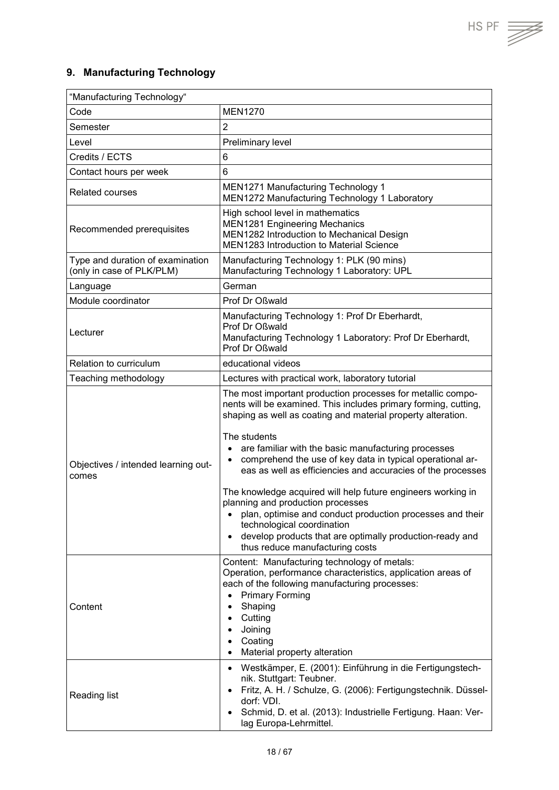## <span id="page-17-0"></span>**9. Manufacturing Technology**

| "Manufacturing Technology"                                    |                                                                                                                                                                                                                                                                                                                                                                                                                                                                                                                                                                                                                                                                                                                                         |  |
|---------------------------------------------------------------|-----------------------------------------------------------------------------------------------------------------------------------------------------------------------------------------------------------------------------------------------------------------------------------------------------------------------------------------------------------------------------------------------------------------------------------------------------------------------------------------------------------------------------------------------------------------------------------------------------------------------------------------------------------------------------------------------------------------------------------------|--|
| Code                                                          | <b>MEN1270</b>                                                                                                                                                                                                                                                                                                                                                                                                                                                                                                                                                                                                                                                                                                                          |  |
| Semester                                                      | $\overline{2}$                                                                                                                                                                                                                                                                                                                                                                                                                                                                                                                                                                                                                                                                                                                          |  |
| Level                                                         | Preliminary level                                                                                                                                                                                                                                                                                                                                                                                                                                                                                                                                                                                                                                                                                                                       |  |
| Credits / ECTS                                                | 6                                                                                                                                                                                                                                                                                                                                                                                                                                                                                                                                                                                                                                                                                                                                       |  |
| Contact hours per week                                        | $6\phantom{1}$                                                                                                                                                                                                                                                                                                                                                                                                                                                                                                                                                                                                                                                                                                                          |  |
| <b>Related courses</b>                                        | <b>MEN1271 Manufacturing Technology 1</b><br>MEN1272 Manufacturing Technology 1 Laboratory                                                                                                                                                                                                                                                                                                                                                                                                                                                                                                                                                                                                                                              |  |
| Recommended prerequisites                                     | High school level in mathematics<br><b>MEN1281 Engineering Mechanics</b><br>MEN1282 Introduction to Mechanical Design<br>MEN1283 Introduction to Material Science                                                                                                                                                                                                                                                                                                                                                                                                                                                                                                                                                                       |  |
| Type and duration of examination<br>(only in case of PLK/PLM) | Manufacturing Technology 1: PLK (90 mins)<br>Manufacturing Technology 1 Laboratory: UPL                                                                                                                                                                                                                                                                                                                                                                                                                                                                                                                                                                                                                                                 |  |
| Language                                                      | German                                                                                                                                                                                                                                                                                                                                                                                                                                                                                                                                                                                                                                                                                                                                  |  |
| Module coordinator                                            | Prof Dr Oßwald                                                                                                                                                                                                                                                                                                                                                                                                                                                                                                                                                                                                                                                                                                                          |  |
| Lecturer                                                      | Manufacturing Technology 1: Prof Dr Eberhardt,<br>Prof Dr Oßwald<br>Manufacturing Technology 1 Laboratory: Prof Dr Eberhardt,<br>Prof Dr Oßwald                                                                                                                                                                                                                                                                                                                                                                                                                                                                                                                                                                                         |  |
| Relation to curriculum                                        | educational videos                                                                                                                                                                                                                                                                                                                                                                                                                                                                                                                                                                                                                                                                                                                      |  |
| Teaching methodology                                          | Lectures with practical work, laboratory tutorial                                                                                                                                                                                                                                                                                                                                                                                                                                                                                                                                                                                                                                                                                       |  |
| Objectives / intended learning out-<br>comes                  | The most important production processes for metallic compo-<br>nents will be examined. This includes primary forming, cutting,<br>shaping as well as coating and material property alteration.<br>The students<br>are familiar with the basic manufacturing processes<br>$\bullet$<br>comprehend the use of key data in typical operational ar-<br>$\bullet$<br>eas as well as efficiencies and accuracies of the processes<br>The knowledge acquired will help future engineers working in<br>planning and production processes<br>plan, optimise and conduct production processes and their<br>technological coordination<br>develop products that are optimally production-ready and<br>$\bullet$<br>thus reduce manufacturing costs |  |
| Content                                                       | Content: Manufacturing technology of metals:<br>Operation, performance characteristics, application areas of<br>each of the following manufacturing processes:<br><b>Primary Forming</b><br>$\bullet$<br>Shaping<br>$\bullet$<br>Cutting<br>$\bullet$<br>Joining<br>Coating<br>$\bullet$<br>Material property alteration<br>$\bullet$<br>Westkämper, E. (2001): Einführung in die Fertigungstech-<br>$\bullet$                                                                                                                                                                                                                                                                                                                          |  |
| <b>Reading list</b>                                           | nik. Stuttgart: Teubner.<br>Fritz, A. H. / Schulze, G. (2006): Fertigungstechnik. Düssel-<br>$\bullet$<br>dorf: VDI.<br>Schmid, D. et al. (2013): Industrielle Fertigung. Haan: Ver-<br>$\bullet$<br>lag Europa-Lehrmittel.                                                                                                                                                                                                                                                                                                                                                                                                                                                                                                             |  |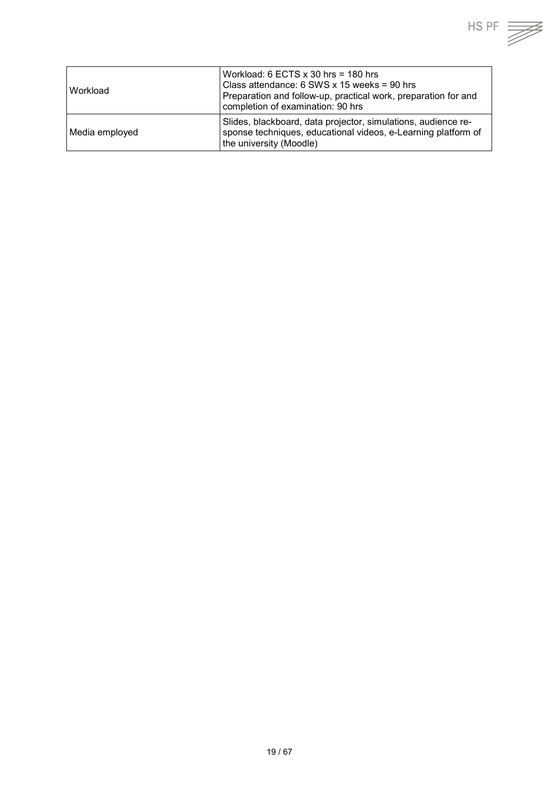| <b>Workload</b> | Workload: 6 ECTS $\times$ 30 hrs = 180 hrs<br>Class attendance: $6$ SWS x 15 weeks = 90 hrs<br>Preparation and follow-up, practical work, preparation for and<br>completion of examination: 90 hrs |
|-----------------|----------------------------------------------------------------------------------------------------------------------------------------------------------------------------------------------------|
| Media employed  | Slides, blackboard, data projector, simulations, audience re-<br>sponse techniques, educational videos, e-Learning platform of<br>the university (Moodle)                                          |

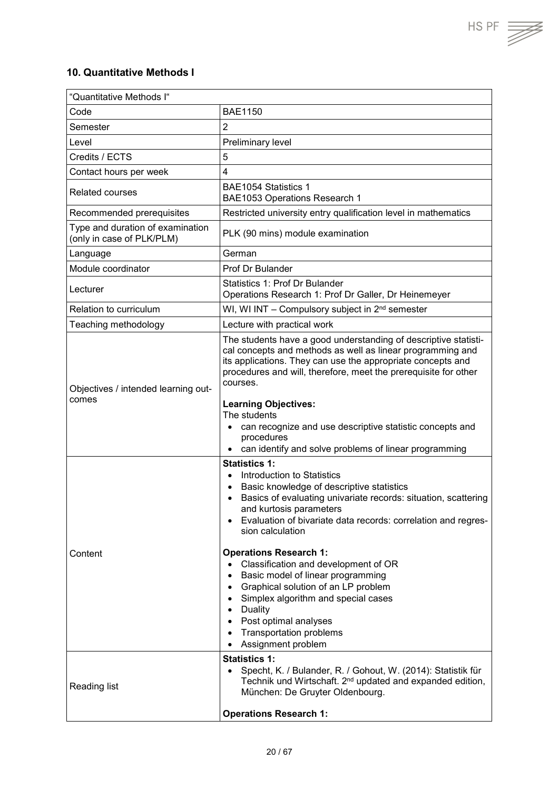## <span id="page-19-0"></span>**10. Quantitative Methods I**

| "Quantitative Methods I"                                      |                                                                                                                                                                                                                                                                                                                                                                                                                                                                                                                                                                                                                                                                                              |
|---------------------------------------------------------------|----------------------------------------------------------------------------------------------------------------------------------------------------------------------------------------------------------------------------------------------------------------------------------------------------------------------------------------------------------------------------------------------------------------------------------------------------------------------------------------------------------------------------------------------------------------------------------------------------------------------------------------------------------------------------------------------|
| Code                                                          | <b>BAE1150</b>                                                                                                                                                                                                                                                                                                                                                                                                                                                                                                                                                                                                                                                                               |
| Semester                                                      | $\overline{2}$                                                                                                                                                                                                                                                                                                                                                                                                                                                                                                                                                                                                                                                                               |
| Level                                                         | Preliminary level                                                                                                                                                                                                                                                                                                                                                                                                                                                                                                                                                                                                                                                                            |
| Credits / ECTS                                                | 5                                                                                                                                                                                                                                                                                                                                                                                                                                                                                                                                                                                                                                                                                            |
| Contact hours per week                                        | $\overline{4}$                                                                                                                                                                                                                                                                                                                                                                                                                                                                                                                                                                                                                                                                               |
| <b>Related courses</b>                                        | BAE1054 Statistics 1<br>BAE1053 Operations Research 1                                                                                                                                                                                                                                                                                                                                                                                                                                                                                                                                                                                                                                        |
| Recommended prerequisites                                     | Restricted university entry qualification level in mathematics                                                                                                                                                                                                                                                                                                                                                                                                                                                                                                                                                                                                                               |
| Type and duration of examination<br>(only in case of PLK/PLM) | PLK (90 mins) module examination                                                                                                                                                                                                                                                                                                                                                                                                                                                                                                                                                                                                                                                             |
| Language                                                      | German                                                                                                                                                                                                                                                                                                                                                                                                                                                                                                                                                                                                                                                                                       |
| Module coordinator                                            | Prof Dr Bulander                                                                                                                                                                                                                                                                                                                                                                                                                                                                                                                                                                                                                                                                             |
| Lecturer                                                      | Statistics 1: Prof Dr Bulander<br>Operations Research 1: Prof Dr Galler, Dr Heinemeyer                                                                                                                                                                                                                                                                                                                                                                                                                                                                                                                                                                                                       |
| Relation to curriculum                                        | WI, WI INT - Compulsory subject in 2 <sup>nd</sup> semester                                                                                                                                                                                                                                                                                                                                                                                                                                                                                                                                                                                                                                  |
| Teaching methodology                                          | Lecture with practical work                                                                                                                                                                                                                                                                                                                                                                                                                                                                                                                                                                                                                                                                  |
| Objectives / intended learning out-<br>comes                  | The students have a good understanding of descriptive statisti-<br>cal concepts and methods as well as linear programming and<br>its applications. They can use the appropriate concepts and<br>procedures and will, therefore, meet the prerequisite for other<br>courses.<br><b>Learning Objectives:</b><br>The students<br>can recognize and use descriptive statistic concepts and<br>$\bullet$<br>procedures<br>can identify and solve problems of linear programming                                                                                                                                                                                                                   |
| Content                                                       | <b>Statistics 1:</b><br>Introduction to Statistics<br>$\bullet$<br>Basic knowledge of descriptive statistics<br>$\bullet$<br>Basics of evaluating univariate records: situation, scattering<br>and kurtosis parameters<br>Evaluation of bivariate data records: correlation and regres-<br>sion calculation<br><b>Operations Research 1:</b><br>Classification and development of OR<br>Basic model of linear programming<br>$\bullet$<br>Graphical solution of an LP problem<br>$\bullet$<br>Simplex algorithm and special cases<br>$\bullet$<br>Duality<br>$\bullet$<br>Post optimal analyses<br>$\bullet$<br><b>Transportation problems</b><br>Assignment problem<br><b>Statistics 1:</b> |
| <b>Reading list</b>                                           | Specht, K. / Bulander, R. / Gohout, W. (2014): Statistik für<br>$\bullet$<br>Technik und Wirtschaft. 2 <sup>nd</sup> updated and expanded edition,<br>München: De Gruyter Oldenbourg.<br><b>Operations Research 1:</b>                                                                                                                                                                                                                                                                                                                                                                                                                                                                       |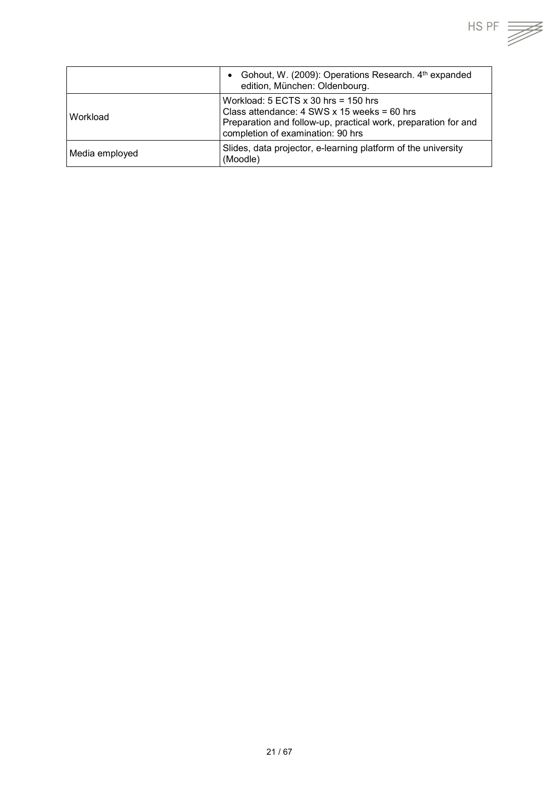

|                | Gohout, W. (2009): Operations Research. 4th expanded<br>edition, München: Oldenbourg.                                                                                                           |
|----------------|-------------------------------------------------------------------------------------------------------------------------------------------------------------------------------------------------|
| Workload       | Workload: $5$ ECTS $x$ 30 hrs = 150 hrs<br>Class attendance: $4$ SWS x 15 weeks = 60 hrs<br>Preparation and follow-up, practical work, preparation for and<br>completion of examination: 90 hrs |
| Media employed | Slides, data projector, e-learning platform of the university<br>(Moodle)                                                                                                                       |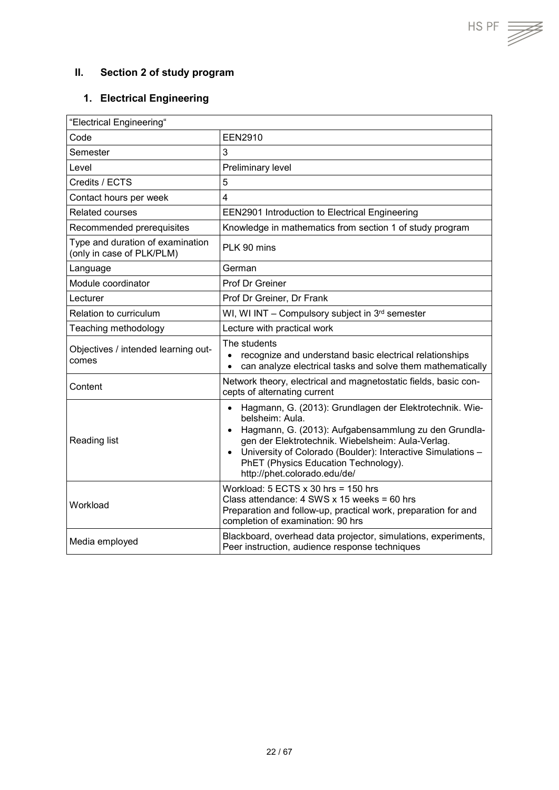## <span id="page-21-0"></span>**II. Section 2 of study program**

#### <span id="page-21-1"></span>**1. Electrical Engineering**

| "Electrical Engineering"                                      |                                                                                                                                                                                                                                                                                                                                                                       |
|---------------------------------------------------------------|-----------------------------------------------------------------------------------------------------------------------------------------------------------------------------------------------------------------------------------------------------------------------------------------------------------------------------------------------------------------------|
| Code                                                          | EEN2910                                                                                                                                                                                                                                                                                                                                                               |
| Semester                                                      | 3                                                                                                                                                                                                                                                                                                                                                                     |
| Level                                                         | Preliminary level                                                                                                                                                                                                                                                                                                                                                     |
| Credits / ECTS                                                | 5                                                                                                                                                                                                                                                                                                                                                                     |
| Contact hours per week                                        | $\overline{\mathbf{4}}$                                                                                                                                                                                                                                                                                                                                               |
| Related courses                                               | <b>EEN2901 Introduction to Electrical Engineering</b>                                                                                                                                                                                                                                                                                                                 |
| Recommended prerequisites                                     | Knowledge in mathematics from section 1 of study program                                                                                                                                                                                                                                                                                                              |
| Type and duration of examination<br>(only in case of PLK/PLM) | PLK 90 mins                                                                                                                                                                                                                                                                                                                                                           |
| Language                                                      | German                                                                                                                                                                                                                                                                                                                                                                |
| Module coordinator                                            | Prof Dr Greiner                                                                                                                                                                                                                                                                                                                                                       |
| Lecturer                                                      | Prof Dr Greiner, Dr Frank                                                                                                                                                                                                                                                                                                                                             |
| Relation to curriculum                                        | WI, WI INT $-$ Compulsory subject in $3rd$ semester                                                                                                                                                                                                                                                                                                                   |
| Teaching methodology                                          | Lecture with practical work                                                                                                                                                                                                                                                                                                                                           |
| Objectives / intended learning out-<br>comes                  | The students<br>recognize and understand basic electrical relationships<br>can analyze electrical tasks and solve them mathematically                                                                                                                                                                                                                                 |
| Content                                                       | Network theory, electrical and magnetostatic fields, basic con-<br>cepts of alternating current                                                                                                                                                                                                                                                                       |
| Reading list                                                  | Hagmann, G. (2013): Grundlagen der Elektrotechnik. Wie-<br>$\bullet$<br>belsheim: Aula.<br>Hagmann, G. (2013): Aufgabensammlung zu den Grundla-<br>$\bullet$<br>gen der Elektrotechnik. Wiebelsheim: Aula-Verlag.<br>University of Colorado (Boulder): Interactive Simulations -<br>$\bullet$<br>PhET (Physics Education Technology).<br>http://phet.colorado.edu/de/ |
| Workload                                                      | Workload: $5$ ECTS $x$ 30 hrs = 150 hrs<br>Class attendance: $4$ SWS x 15 weeks = 60 hrs<br>Preparation and follow-up, practical work, preparation for and<br>completion of examination: 90 hrs                                                                                                                                                                       |
| Media employed                                                | Blackboard, overhead data projector, simulations, experiments,<br>Peer instruction, audience response techniques                                                                                                                                                                                                                                                      |

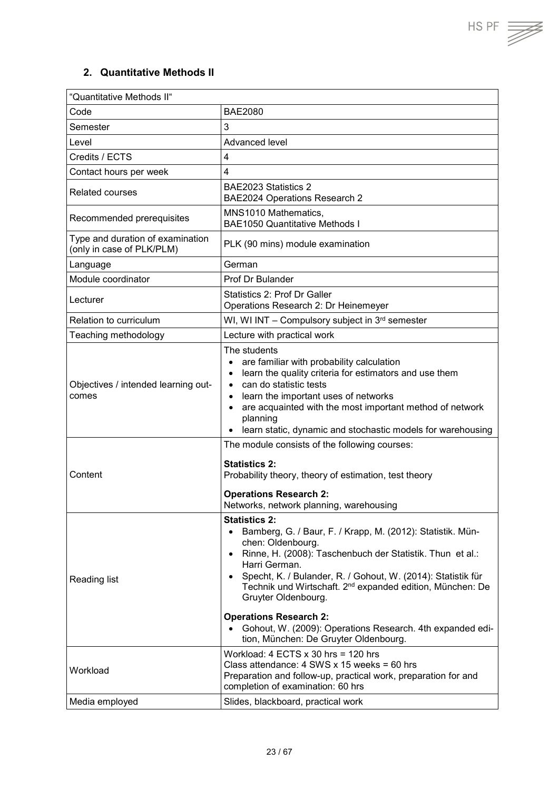$HS PF \implies$ 

#### <span id="page-22-0"></span>**2. Quantitative Methods II**

| "Quantitative Methods II"                                     |                                                                                                                                                                                                                                                                                                                                                                                                    |
|---------------------------------------------------------------|----------------------------------------------------------------------------------------------------------------------------------------------------------------------------------------------------------------------------------------------------------------------------------------------------------------------------------------------------------------------------------------------------|
| Code                                                          | <b>BAE2080</b>                                                                                                                                                                                                                                                                                                                                                                                     |
| Semester                                                      | 3                                                                                                                                                                                                                                                                                                                                                                                                  |
| Level                                                         | Advanced level                                                                                                                                                                                                                                                                                                                                                                                     |
| Credits / ECTS                                                | 4                                                                                                                                                                                                                                                                                                                                                                                                  |
| Contact hours per week                                        | 4                                                                                                                                                                                                                                                                                                                                                                                                  |
| Related courses                                               | BAE2023 Statistics 2<br>BAE2024 Operations Research 2                                                                                                                                                                                                                                                                                                                                              |
| Recommended prerequisites                                     | MNS1010 Mathematics,<br><b>BAE1050 Quantitative Methods I</b>                                                                                                                                                                                                                                                                                                                                      |
| Type and duration of examination<br>(only in case of PLK/PLM) | PLK (90 mins) module examination                                                                                                                                                                                                                                                                                                                                                                   |
| Language                                                      | German                                                                                                                                                                                                                                                                                                                                                                                             |
| Module coordinator                                            | Prof Dr Bulander                                                                                                                                                                                                                                                                                                                                                                                   |
| Lecturer                                                      | Statistics 2: Prof Dr Galler<br>Operations Research 2: Dr Heinemeyer                                                                                                                                                                                                                                                                                                                               |
| Relation to curriculum                                        | WI, WI INT - Compulsory subject in 3rd semester                                                                                                                                                                                                                                                                                                                                                    |
| Teaching methodology                                          | Lecture with practical work                                                                                                                                                                                                                                                                                                                                                                        |
| Objectives / intended learning out-<br>comes                  | The students<br>are familiar with probability calculation<br>$\bullet$<br>learn the quality criteria for estimators and use them<br>$\bullet$<br>can do statistic tests<br>$\bullet$<br>learn the important uses of networks<br>$\bullet$<br>are acquainted with the most important method of network<br>$\bullet$<br>planning<br>learn static, dynamic and stochastic models for warehousing<br>٠ |
| Content                                                       | The module consists of the following courses:<br><b>Statistics 2:</b><br>Probability theory, theory of estimation, test theory<br><b>Operations Research 2:</b><br>Networks, network planning, warehousing                                                                                                                                                                                         |
| Reading list                                                  | <b>Statistics 2:</b><br>Bamberg, G. / Baur, F. / Krapp, M. (2012): Statistik. Mün-<br>$\bullet$<br>chen: Oldenbourg.<br>Rinne, H. (2008): Taschenbuch der Statistik. Thun et al.:<br>$\bullet$<br>Harri German.<br>Specht, K. / Bulander, R. / Gohout, W. (2014): Statistik für<br>$\bullet$<br>Technik und Wirtschaft. 2 <sup>nd</sup> expanded edition, München: De<br>Gruyter Oldenbourg.       |
|                                                               | <b>Operations Research 2:</b><br>Gohout, W. (2009): Operations Research. 4th expanded edi-<br>$\bullet$<br>tion, München: De Gruyter Oldenbourg.                                                                                                                                                                                                                                                   |
| Workload                                                      | Workload: $4$ ECTS $x$ 30 hrs = 120 hrs<br>Class attendance: $4$ SWS x 15 weeks = 60 hrs<br>Preparation and follow-up, practical work, preparation for and<br>completion of examination: 60 hrs                                                                                                                                                                                                    |
| Media employed                                                | Slides, blackboard, practical work                                                                                                                                                                                                                                                                                                                                                                 |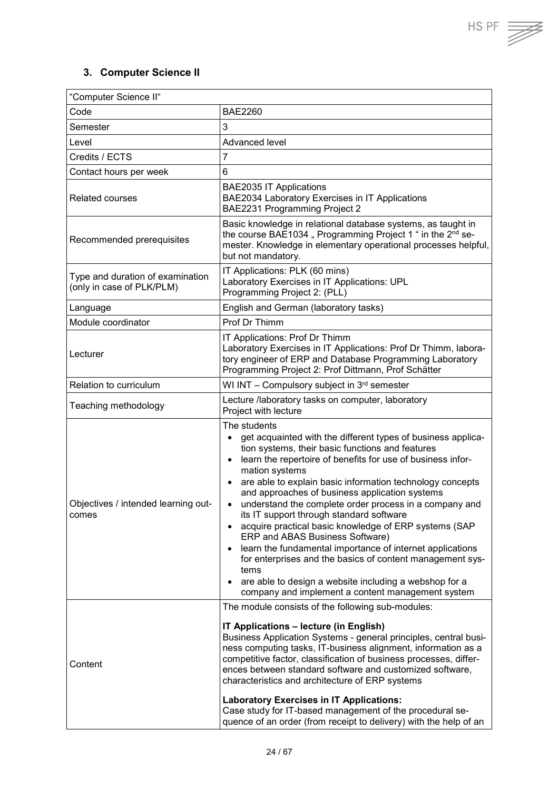## <span id="page-23-0"></span>**3. Computer Science II**

| "Computer Science II"                                         |                                                                                                                                                                                                                                                                                                                                                                                                                                                                                                                                                                                                                                                                                                                                                                                                                                                                                |  |
|---------------------------------------------------------------|--------------------------------------------------------------------------------------------------------------------------------------------------------------------------------------------------------------------------------------------------------------------------------------------------------------------------------------------------------------------------------------------------------------------------------------------------------------------------------------------------------------------------------------------------------------------------------------------------------------------------------------------------------------------------------------------------------------------------------------------------------------------------------------------------------------------------------------------------------------------------------|--|
| Code                                                          | <b>BAE2260</b>                                                                                                                                                                                                                                                                                                                                                                                                                                                                                                                                                                                                                                                                                                                                                                                                                                                                 |  |
| Semester                                                      | 3                                                                                                                                                                                                                                                                                                                                                                                                                                                                                                                                                                                                                                                                                                                                                                                                                                                                              |  |
| Level                                                         | Advanced level                                                                                                                                                                                                                                                                                                                                                                                                                                                                                                                                                                                                                                                                                                                                                                                                                                                                 |  |
| Credits / ECTS                                                | $\overline{7}$                                                                                                                                                                                                                                                                                                                                                                                                                                                                                                                                                                                                                                                                                                                                                                                                                                                                 |  |
| Contact hours per week                                        | 6                                                                                                                                                                                                                                                                                                                                                                                                                                                                                                                                                                                                                                                                                                                                                                                                                                                                              |  |
| <b>Related courses</b>                                        | <b>BAE2035 IT Applications</b><br>BAE2034 Laboratory Exercises in IT Applications<br>BAE2231 Programming Project 2                                                                                                                                                                                                                                                                                                                                                                                                                                                                                                                                                                                                                                                                                                                                                             |  |
| Recommended prerequisites                                     | Basic knowledge in relational database systems, as taught in<br>the course BAE1034, Programming Project 1 " in the 2 <sup>nd</sup> se-<br>mester. Knowledge in elementary operational processes helpful,<br>but not mandatory.                                                                                                                                                                                                                                                                                                                                                                                                                                                                                                                                                                                                                                                 |  |
| Type and duration of examination<br>(only in case of PLK/PLM) | IT Applications: PLK (60 mins)<br>Laboratory Exercises in IT Applications: UPL<br>Programming Project 2: (PLL)                                                                                                                                                                                                                                                                                                                                                                                                                                                                                                                                                                                                                                                                                                                                                                 |  |
| Language                                                      | English and German (laboratory tasks)                                                                                                                                                                                                                                                                                                                                                                                                                                                                                                                                                                                                                                                                                                                                                                                                                                          |  |
| Module coordinator                                            | Prof Dr Thimm                                                                                                                                                                                                                                                                                                                                                                                                                                                                                                                                                                                                                                                                                                                                                                                                                                                                  |  |
| Lecturer                                                      | IT Applications: Prof Dr Thimm<br>Laboratory Exercises in IT Applications: Prof Dr Thimm, labora-<br>tory engineer of ERP and Database Programming Laboratory<br>Programming Project 2: Prof Dittmann, Prof Schätter                                                                                                                                                                                                                                                                                                                                                                                                                                                                                                                                                                                                                                                           |  |
| <b>Relation to curriculum</b>                                 | WI INT - Compulsory subject in 3rd semester                                                                                                                                                                                                                                                                                                                                                                                                                                                                                                                                                                                                                                                                                                                                                                                                                                    |  |
| Teaching methodology                                          | Lecture /laboratory tasks on computer, laboratory<br>Project with lecture                                                                                                                                                                                                                                                                                                                                                                                                                                                                                                                                                                                                                                                                                                                                                                                                      |  |
| Objectives / intended learning out-<br>comes                  | The students<br>get acquainted with the different types of business applica-<br>$\bullet$<br>tion systems, their basic functions and features<br>learn the repertoire of benefits for use of business infor-<br>$\bullet$<br>mation systems<br>are able to explain basic information technology concepts<br>$\bullet$<br>and approaches of business application systems<br>understand the complete order process in a company and<br>$\bullet$<br>its IT support through standard software<br>acquire practical basic knowledge of ERP systems (SAP<br>$\bullet$<br>ERP and ABAS Business Software)<br>learn the fundamental importance of internet applications<br>$\bullet$<br>for enterprises and the basics of content management sys-<br>tems<br>are able to design a website including a webshop for a<br>$\bullet$<br>company and implement a content management system |  |
| Content                                                       | The module consists of the following sub-modules:<br>IT Applications - lecture (in English)<br>Business Application Systems - general principles, central busi-<br>ness computing tasks, IT-business alignment, information as a<br>competitive factor, classification of business processes, differ-<br>ences between standard software and customized software,<br>characteristics and architecture of ERP systems<br><b>Laboratory Exercises in IT Applications:</b><br>Case study for IT-based management of the procedural se-<br>quence of an order (from receipt to delivery) with the help of an                                                                                                                                                                                                                                                                       |  |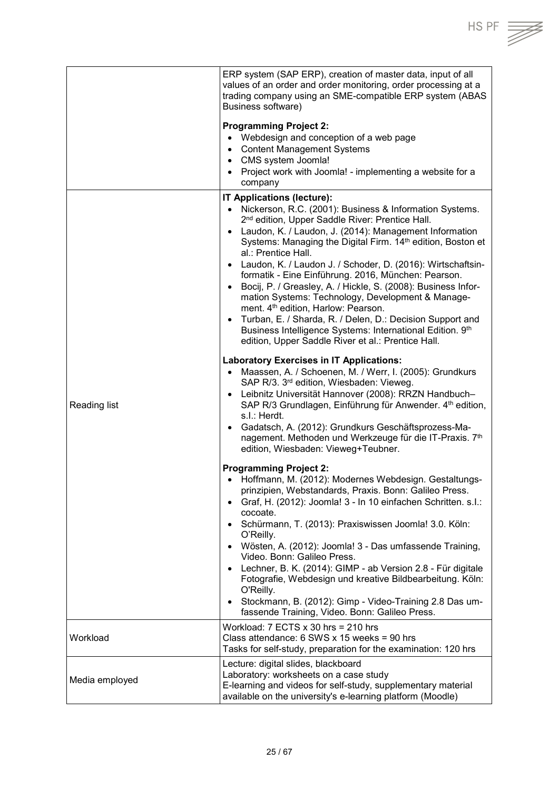|                | ERP system (SAP ERP), creation of master data, input of all<br>values of an order and order monitoring, order processing at a<br>trading company using an SME-compatible ERP system (ABAS<br>Business software)                                                                                                                                                                                                                                                                                                                                                                                                                                                                                                                                                                                                                                                                                                                                                                                                                                                                                                                                                                                                                                                                                                                                                                                                                                                                                                                                                                                                                                                                                                                                                                                                                                                                                                                                                                                                |
|----------------|----------------------------------------------------------------------------------------------------------------------------------------------------------------------------------------------------------------------------------------------------------------------------------------------------------------------------------------------------------------------------------------------------------------------------------------------------------------------------------------------------------------------------------------------------------------------------------------------------------------------------------------------------------------------------------------------------------------------------------------------------------------------------------------------------------------------------------------------------------------------------------------------------------------------------------------------------------------------------------------------------------------------------------------------------------------------------------------------------------------------------------------------------------------------------------------------------------------------------------------------------------------------------------------------------------------------------------------------------------------------------------------------------------------------------------------------------------------------------------------------------------------------------------------------------------------------------------------------------------------------------------------------------------------------------------------------------------------------------------------------------------------------------------------------------------------------------------------------------------------------------------------------------------------------------------------------------------------------------------------------------------------|
|                | <b>Programming Project 2:</b><br>• Webdesign and conception of a web page<br>• Content Management Systems<br>• CMS system Joomla!<br>• Project work with Joomla! - implementing a website for a<br>company                                                                                                                                                                                                                                                                                                                                                                                                                                                                                                                                                                                                                                                                                                                                                                                                                                                                                                                                                                                                                                                                                                                                                                                                                                                                                                                                                                                                                                                                                                                                                                                                                                                                                                                                                                                                     |
| Reading list   | IT Applications (lecture):<br>Nickerson, R.C. (2001): Business & Information Systems.<br>$\bullet$<br>2 <sup>nd</sup> edition, Upper Saddle River: Prentice Hall.<br>Laudon, K. / Laudon, J. (2014): Management Information<br>$\bullet$<br>Systems: Managing the Digital Firm. 14th edition, Boston et<br>al.: Prentice Hall.<br>Laudon, K. / Laudon J. / Schoder, D. (2016): Wirtschaftsin-<br>$\bullet$<br>formatik - Eine Einführung. 2016, München: Pearson.<br>Bocij, P. / Greasley, A. / Hickle, S. (2008): Business Infor-<br>$\bullet$<br>mation Systems: Technology, Development & Manage-<br>ment. 4 <sup>th</sup> edition, Harlow: Pearson.<br>Turban, E. / Sharda, R. / Delen, D.: Decision Support and<br>$\bullet$<br>Business Intelligence Systems: International Edition. 9th<br>edition, Upper Saddle River et al.: Prentice Hall.<br><b>Laboratory Exercises in IT Applications:</b><br>Maassen, A. / Schoenen, M. / Werr, I. (2005): Grundkurs<br>$\bullet$<br>SAP R/3. 3rd edition, Wiesbaden: Vieweg.<br>Leibnitz Universität Hannover (2008): RRZN Handbuch-<br>$\bullet$<br>SAP R/3 Grundlagen, Einführung für Anwender. 4th edition,<br>s.l.: Herdt.<br>Gadatsch, A. (2012): Grundkurs Geschäftsprozess-Ma-<br>nagement. Methoden und Werkzeuge für die IT-Praxis. 7th<br>edition, Wiesbaden: Vieweg+Teubner.<br><b>Programming Project 2:</b><br>• Hoffmann, M. (2012): Modernes Webdesign. Gestaltungs-<br>prinzipien, Webstandards, Praxis. Bonn: Galileo Press.<br>Graf, H. (2012): Joomla! 3 - In 10 einfachen Schritten. s.l.:<br>$\bullet$<br>cocoate.<br>Schürmann, T. (2013): Praxiswissen Joomla! 3.0. Köln:<br>$\bullet$<br>O'Reilly.<br>Wösten, A. (2012): Joomla! 3 - Das umfassende Training,<br>$\bullet$<br>Video. Bonn: Galileo Press.<br>Lechner, B. K. (2014): GIMP - ab Version 2.8 - Für digitale<br>$\bullet$<br>Fotografie, Webdesign und kreative Bildbearbeitung. Köln:<br>O'Reilly.<br>Stockmann, B. (2012): Gimp - Video-Training 2.8 Das um-<br>$\bullet$ |
| Workload       | fassende Training, Video. Bonn: Galileo Press.<br>Workload: $7$ ECTS $x$ 30 hrs = 210 hrs<br>Class attendance: $6$ SWS x 15 weeks = 90 hrs<br>Tasks for self-study, preparation for the examination: 120 hrs                                                                                                                                                                                                                                                                                                                                                                                                                                                                                                                                                                                                                                                                                                                                                                                                                                                                                                                                                                                                                                                                                                                                                                                                                                                                                                                                                                                                                                                                                                                                                                                                                                                                                                                                                                                                   |
| Media employed | Lecture: digital slides, blackboard<br>Laboratory: worksheets on a case study<br>E-learning and videos for self-study, supplementary material<br>available on the university's e-learning platform (Moodle)                                                                                                                                                                                                                                                                                                                                                                                                                                                                                                                                                                                                                                                                                                                                                                                                                                                                                                                                                                                                                                                                                                                                                                                                                                                                                                                                                                                                                                                                                                                                                                                                                                                                                                                                                                                                    |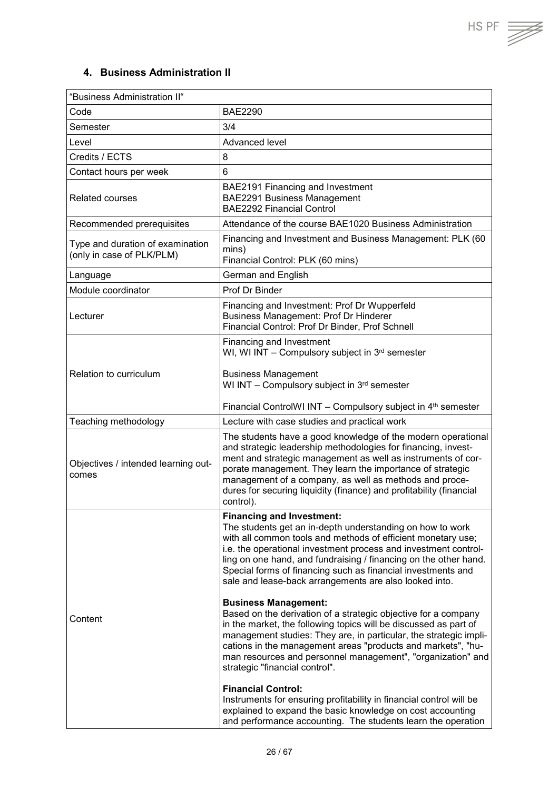#### <span id="page-25-0"></span>**4. Business Administration II**

| "Business Administration II"                                  |                                                                                                                                                                                                                                                                                                                                                                                                                                                                                                                                                                                                                                                                          |  |
|---------------------------------------------------------------|--------------------------------------------------------------------------------------------------------------------------------------------------------------------------------------------------------------------------------------------------------------------------------------------------------------------------------------------------------------------------------------------------------------------------------------------------------------------------------------------------------------------------------------------------------------------------------------------------------------------------------------------------------------------------|--|
| Code                                                          | <b>BAE2290</b>                                                                                                                                                                                                                                                                                                                                                                                                                                                                                                                                                                                                                                                           |  |
| Semester                                                      | 3/4                                                                                                                                                                                                                                                                                                                                                                                                                                                                                                                                                                                                                                                                      |  |
| Level                                                         | Advanced level                                                                                                                                                                                                                                                                                                                                                                                                                                                                                                                                                                                                                                                           |  |
| Credits / ECTS                                                | 8                                                                                                                                                                                                                                                                                                                                                                                                                                                                                                                                                                                                                                                                        |  |
| Contact hours per week                                        | 6                                                                                                                                                                                                                                                                                                                                                                                                                                                                                                                                                                                                                                                                        |  |
| <b>Related courses</b>                                        | BAE2191 Financing and Investment<br><b>BAE2291 Business Management</b><br><b>BAE2292 Financial Control</b>                                                                                                                                                                                                                                                                                                                                                                                                                                                                                                                                                               |  |
| Recommended prerequisites                                     | Attendance of the course BAE1020 Business Administration                                                                                                                                                                                                                                                                                                                                                                                                                                                                                                                                                                                                                 |  |
| Type and duration of examination<br>(only in case of PLK/PLM) | Financing and Investment and Business Management: PLK (60<br>mins)<br>Financial Control: PLK (60 mins)                                                                                                                                                                                                                                                                                                                                                                                                                                                                                                                                                                   |  |
| Language                                                      | German and English                                                                                                                                                                                                                                                                                                                                                                                                                                                                                                                                                                                                                                                       |  |
| Module coordinator                                            | Prof Dr Binder                                                                                                                                                                                                                                                                                                                                                                                                                                                                                                                                                                                                                                                           |  |
| Lecturer                                                      | Financing and Investment: Prof Dr Wupperfeld<br><b>Business Management: Prof Dr Hinderer</b><br>Financial Control: Prof Dr Binder, Prof Schnell                                                                                                                                                                                                                                                                                                                                                                                                                                                                                                                          |  |
|                                                               | Financing and Investment<br>WI, WI INT - Compulsory subject in $3^{rd}$ semester                                                                                                                                                                                                                                                                                                                                                                                                                                                                                                                                                                                         |  |
| Relation to curriculum                                        | <b>Business Management</b><br>WI INT - Compulsory subject in 3rd semester                                                                                                                                                                                                                                                                                                                                                                                                                                                                                                                                                                                                |  |
|                                                               | Financial ControlWI INT - Compulsory subject in 4 <sup>th</sup> semester                                                                                                                                                                                                                                                                                                                                                                                                                                                                                                                                                                                                 |  |
| Teaching methodology                                          | Lecture with case studies and practical work                                                                                                                                                                                                                                                                                                                                                                                                                                                                                                                                                                                                                             |  |
| Objectives / intended learning out-<br>comes                  | The students have a good knowledge of the modern operational<br>and strategic leadership methodologies for financing, invest-<br>ment and strategic management as well as instruments of cor-<br>porate management. They learn the importance of strategic<br>management of a company, as well as methods and proce-<br>dures for securing liquidity (finance) and profitability (financial<br>control).                                                                                                                                                                                                                                                                 |  |
| Content                                                       | <b>Financing and Investment:</b><br>The students get an in-depth understanding on how to work<br>with all common tools and methods of efficient monetary use;<br>i.e. the operational investment process and investment control-<br>ling on one hand, and fundraising / financing on the other hand.<br>Special forms of financing such as financial investments and<br>sale and lease-back arrangements are also looked into.<br><b>Business Management:</b><br>Based on the derivation of a strategic objective for a company<br>in the market, the following topics will be discussed as part of<br>management studies: They are, in particular, the strategic impli- |  |
|                                                               | cations in the management areas "products and markets", "hu-<br>man resources and personnel management", "organization" and<br>strategic "financial control".<br><b>Financial Control:</b><br>Instruments for ensuring profitability in financial control will be<br>explained to expand the basic knowledge on cost accounting<br>and performance accounting. The students learn the operation                                                                                                                                                                                                                                                                          |  |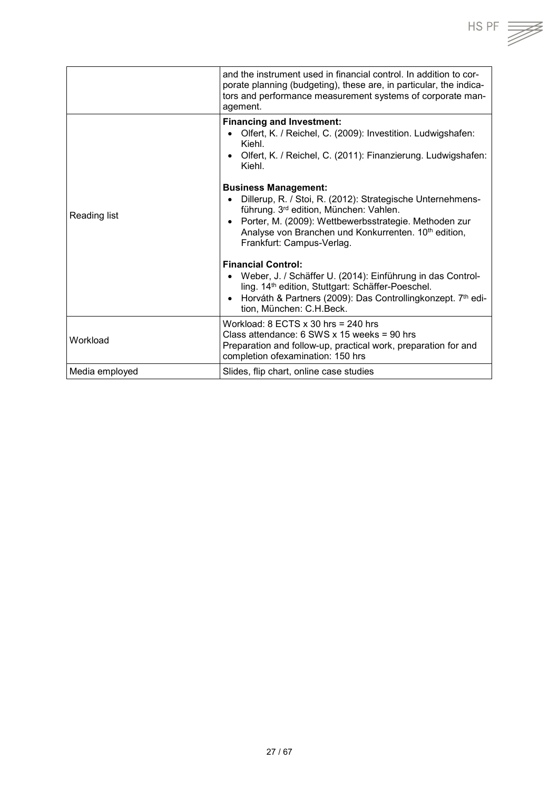|                | and the instrument used in financial control. In addition to cor-<br>porate planning (budgeting), these are, in particular, the indica-<br>tors and performance measurement systems of corporate man-<br>agement.                                                                                          |
|----------------|------------------------------------------------------------------------------------------------------------------------------------------------------------------------------------------------------------------------------------------------------------------------------------------------------------|
| Reading list   | <b>Financing and Investment:</b><br>Olfert, K. / Reichel, C. (2009): Investition. Ludwigshafen:<br>Kiehl.<br>Olfert, K. / Reichel, C. (2011): Finanzierung. Ludwigshafen:<br>$\bullet$<br>Kiehl.                                                                                                           |
|                | <b>Business Management:</b><br>Dillerup, R. / Stoi, R. (2012): Strategische Unternehmens-<br>führung. 3rd edition, München: Vahlen.<br>Porter, M. (2009): Wettbewerbsstrategie. Methoden zur<br>$\bullet$<br>Analyse von Branchen und Konkurrenten. 10 <sup>th</sup> edition,<br>Frankfurt: Campus-Verlag. |
|                | <b>Financial Control:</b><br>Weber, J. / Schäffer U. (2014): Einführung in das Control-<br>ling. 14 <sup>th</sup> edition, Stuttgart: Schäffer-Poeschel.<br>Horváth & Partners (2009): Das Controllingkonzept. 7th edi-<br>$\bullet$<br>tion, München: C.H.Beck.                                           |
| Workload       | Workload: $8$ ECTS $x$ 30 hrs = 240 hrs<br>Class attendance: 6 SWS x 15 weeks = 90 hrs<br>Preparation and follow-up, practical work, preparation for and<br>completion ofexamination: 150 hrs                                                                                                              |
| Media employed | Slides, flip chart, online case studies                                                                                                                                                                                                                                                                    |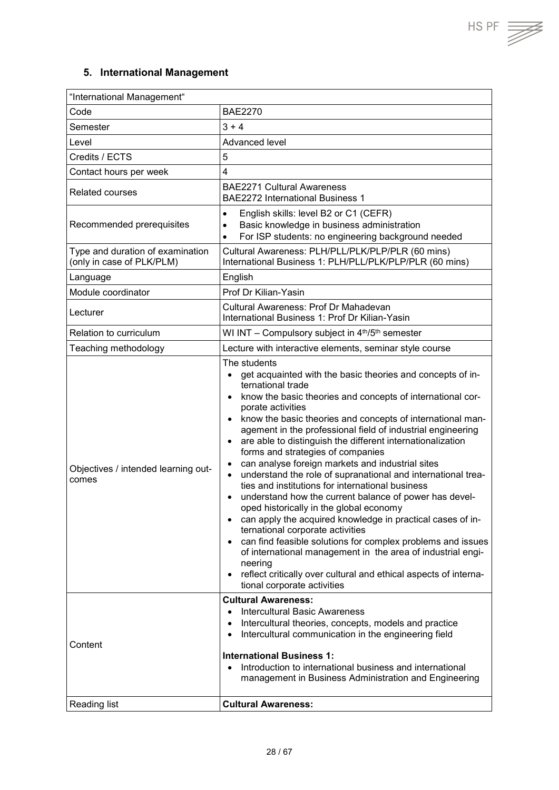#### **5. International Management**

<span id="page-27-0"></span>

| "International Management"                                    |                                                                                                                                                                                                                                                                                                                                                                                                                                                                                                                                                                                                                                                                                                                                                                                                                                                                                                                                                                                                                                                                                                                     |
|---------------------------------------------------------------|---------------------------------------------------------------------------------------------------------------------------------------------------------------------------------------------------------------------------------------------------------------------------------------------------------------------------------------------------------------------------------------------------------------------------------------------------------------------------------------------------------------------------------------------------------------------------------------------------------------------------------------------------------------------------------------------------------------------------------------------------------------------------------------------------------------------------------------------------------------------------------------------------------------------------------------------------------------------------------------------------------------------------------------------------------------------------------------------------------------------|
| Code                                                          | <b>BAE2270</b>                                                                                                                                                                                                                                                                                                                                                                                                                                                                                                                                                                                                                                                                                                                                                                                                                                                                                                                                                                                                                                                                                                      |
| Semester                                                      | $3 + 4$                                                                                                                                                                                                                                                                                                                                                                                                                                                                                                                                                                                                                                                                                                                                                                                                                                                                                                                                                                                                                                                                                                             |
| Level                                                         | Advanced level                                                                                                                                                                                                                                                                                                                                                                                                                                                                                                                                                                                                                                                                                                                                                                                                                                                                                                                                                                                                                                                                                                      |
| Credits / ECTS                                                | 5                                                                                                                                                                                                                                                                                                                                                                                                                                                                                                                                                                                                                                                                                                                                                                                                                                                                                                                                                                                                                                                                                                                   |
| Contact hours per week                                        | 4                                                                                                                                                                                                                                                                                                                                                                                                                                                                                                                                                                                                                                                                                                                                                                                                                                                                                                                                                                                                                                                                                                                   |
| <b>Related courses</b>                                        | <b>BAE2271 Cultural Awareness</b><br><b>BAE2272 International Business 1</b>                                                                                                                                                                                                                                                                                                                                                                                                                                                                                                                                                                                                                                                                                                                                                                                                                                                                                                                                                                                                                                        |
| Recommended prerequisites                                     | English skills: level B2 or C1 (CEFR)<br>$\bullet$<br>Basic knowledge in business administration<br>$\bullet$<br>For ISP students: no engineering background needed<br>$\bullet$                                                                                                                                                                                                                                                                                                                                                                                                                                                                                                                                                                                                                                                                                                                                                                                                                                                                                                                                    |
| Type and duration of examination<br>(only in case of PLK/PLM) | Cultural Awareness: PLH/PLL/PLK/PLP/PLR (60 mins)<br>International Business 1: PLH/PLL/PLK/PLP/PLR (60 mins)                                                                                                                                                                                                                                                                                                                                                                                                                                                                                                                                                                                                                                                                                                                                                                                                                                                                                                                                                                                                        |
| Language                                                      | English                                                                                                                                                                                                                                                                                                                                                                                                                                                                                                                                                                                                                                                                                                                                                                                                                                                                                                                                                                                                                                                                                                             |
| Module coordinator                                            | Prof Dr Kilian-Yasin                                                                                                                                                                                                                                                                                                                                                                                                                                                                                                                                                                                                                                                                                                                                                                                                                                                                                                                                                                                                                                                                                                |
| Lecturer                                                      | Cultural Awareness: Prof Dr Mahadevan<br>International Business 1: Prof Dr Kilian-Yasin                                                                                                                                                                                                                                                                                                                                                                                                                                                                                                                                                                                                                                                                                                                                                                                                                                                                                                                                                                                                                             |
| Relation to curriculum                                        | WI INT - Compulsory subject in 4th/5th semester                                                                                                                                                                                                                                                                                                                                                                                                                                                                                                                                                                                                                                                                                                                                                                                                                                                                                                                                                                                                                                                                     |
| Teaching methodology                                          | Lecture with interactive elements, seminar style course                                                                                                                                                                                                                                                                                                                                                                                                                                                                                                                                                                                                                                                                                                                                                                                                                                                                                                                                                                                                                                                             |
| Objectives / intended learning out-<br>comes                  | The students<br>get acquainted with the basic theories and concepts of in-<br>ternational trade<br>know the basic theories and concepts of international cor-<br>porate activities<br>know the basic theories and concepts of international man-<br>$\bullet$<br>agement in the professional field of industrial engineering<br>are able to distinguish the different internationalization<br>forms and strategies of companies<br>can analyse foreign markets and industrial sites<br>understand the role of supranational and international trea-<br>$\bullet$<br>ties and institutions for international business<br>understand how the current balance of power has devel-<br>$\bullet$<br>oped historically in the global economy<br>can apply the acquired knowledge in practical cases of in-<br>$\bullet$<br>ternational corporate activities<br>can find feasible solutions for complex problems and issues<br>$\bullet$<br>of international management in the area of industrial engi-<br>neering<br>reflect critically over cultural and ethical aspects of interna-<br>٠<br>tional corporate activities |
| Content                                                       | <b>Cultural Awareness:</b><br><b>Intercultural Basic Awareness</b><br>Intercultural theories, concepts, models and practice<br>Intercultural communication in the engineering field<br><b>International Business 1:</b><br>Introduction to international business and international<br>management in Business Administration and Engineering                                                                                                                                                                                                                                                                                                                                                                                                                                                                                                                                                                                                                                                                                                                                                                        |
| Reading list                                                  | <b>Cultural Awareness:</b>                                                                                                                                                                                                                                                                                                                                                                                                                                                                                                                                                                                                                                                                                                                                                                                                                                                                                                                                                                                                                                                                                          |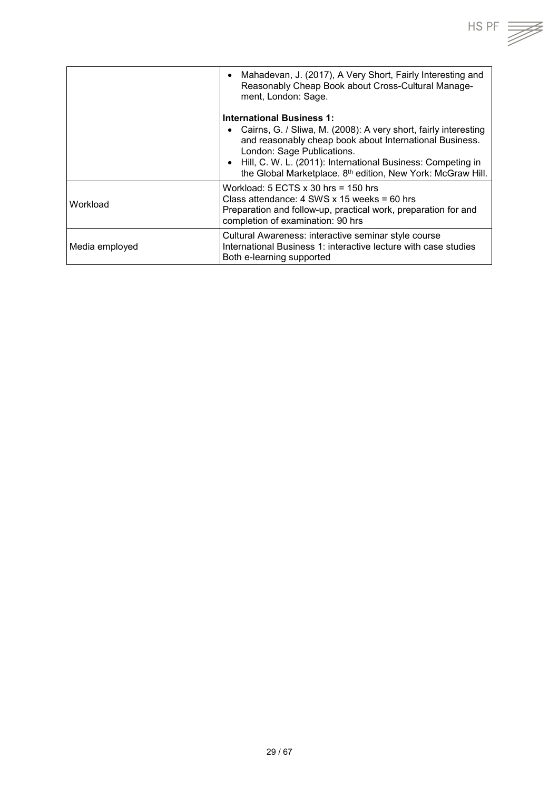

|                | Mahadevan, J. (2017), A Very Short, Fairly Interesting and<br>$\bullet$<br>Reasonably Cheap Book about Cross-Cultural Manage-<br>ment, London: Sage.                                                                                                                                                                                   |
|----------------|----------------------------------------------------------------------------------------------------------------------------------------------------------------------------------------------------------------------------------------------------------------------------------------------------------------------------------------|
|                | <b>International Business 1:</b><br>Cairns, G. / Sliwa, M. (2008): A very short, fairly interesting<br>and reasonably cheap book about International Business.<br>London: Sage Publications.<br>Hill, C. W. L. (2011): International Business: Competing in<br>the Global Marketplace. 8 <sup>th</sup> edition, New York: McGraw Hill. |
| Workload       | Workload: $5$ ECTS $x$ 30 hrs = 150 hrs<br>Class attendance: $4$ SWS x 15 weeks = 60 hrs<br>Preparation and follow-up, practical work, preparation for and<br>completion of examination: 90 hrs                                                                                                                                        |
| Media employed | Cultural Awareness: interactive seminar style course<br>International Business 1: interactive lecture with case studies<br>Both e-learning supported                                                                                                                                                                                   |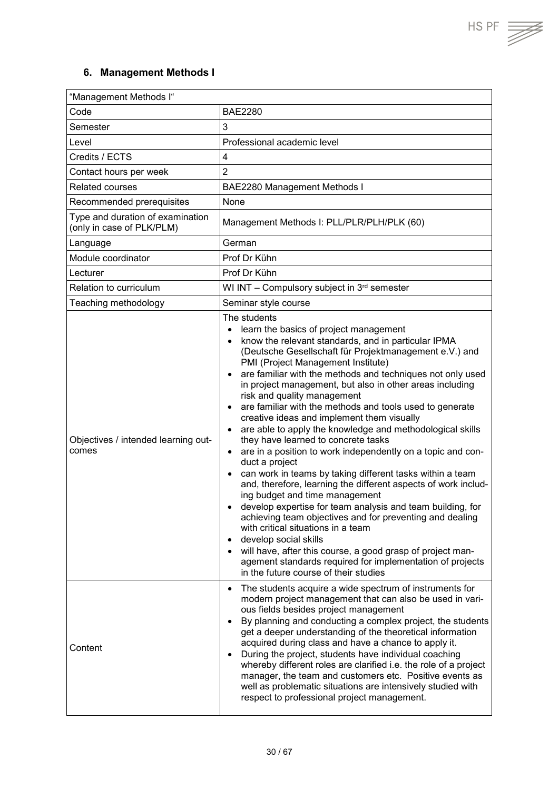$\overline{\mathbb{Z}}$ 

#### <span id="page-29-0"></span>**6. Management Methods I**

| "Management Methods I"                                        |                                                                                                                                                                                                                                                                                                                                                                                                                                                                                                                                                                                                                                                                                                                                                                                                                                                                                                                                                                                                                                                                                                                                                                                                                                 |  |
|---------------------------------------------------------------|---------------------------------------------------------------------------------------------------------------------------------------------------------------------------------------------------------------------------------------------------------------------------------------------------------------------------------------------------------------------------------------------------------------------------------------------------------------------------------------------------------------------------------------------------------------------------------------------------------------------------------------------------------------------------------------------------------------------------------------------------------------------------------------------------------------------------------------------------------------------------------------------------------------------------------------------------------------------------------------------------------------------------------------------------------------------------------------------------------------------------------------------------------------------------------------------------------------------------------|--|
| Code                                                          | <b>BAE2280</b>                                                                                                                                                                                                                                                                                                                                                                                                                                                                                                                                                                                                                                                                                                                                                                                                                                                                                                                                                                                                                                                                                                                                                                                                                  |  |
| Semester                                                      | 3                                                                                                                                                                                                                                                                                                                                                                                                                                                                                                                                                                                                                                                                                                                                                                                                                                                                                                                                                                                                                                                                                                                                                                                                                               |  |
| Level                                                         | Professional academic level                                                                                                                                                                                                                                                                                                                                                                                                                                                                                                                                                                                                                                                                                                                                                                                                                                                                                                                                                                                                                                                                                                                                                                                                     |  |
| Credits / ECTS                                                | 4                                                                                                                                                                                                                                                                                                                                                                                                                                                                                                                                                                                                                                                                                                                                                                                                                                                                                                                                                                                                                                                                                                                                                                                                                               |  |
| Contact hours per week                                        | $\overline{2}$                                                                                                                                                                                                                                                                                                                                                                                                                                                                                                                                                                                                                                                                                                                                                                                                                                                                                                                                                                                                                                                                                                                                                                                                                  |  |
| <b>Related courses</b>                                        | BAE2280 Management Methods I                                                                                                                                                                                                                                                                                                                                                                                                                                                                                                                                                                                                                                                                                                                                                                                                                                                                                                                                                                                                                                                                                                                                                                                                    |  |
| Recommended prerequisites                                     | None                                                                                                                                                                                                                                                                                                                                                                                                                                                                                                                                                                                                                                                                                                                                                                                                                                                                                                                                                                                                                                                                                                                                                                                                                            |  |
| Type and duration of examination<br>(only in case of PLK/PLM) | Management Methods I: PLL/PLR/PLH/PLK (60)                                                                                                                                                                                                                                                                                                                                                                                                                                                                                                                                                                                                                                                                                                                                                                                                                                                                                                                                                                                                                                                                                                                                                                                      |  |
| Language                                                      | German                                                                                                                                                                                                                                                                                                                                                                                                                                                                                                                                                                                                                                                                                                                                                                                                                                                                                                                                                                                                                                                                                                                                                                                                                          |  |
| Module coordinator                                            | Prof Dr Kühn                                                                                                                                                                                                                                                                                                                                                                                                                                                                                                                                                                                                                                                                                                                                                                                                                                                                                                                                                                                                                                                                                                                                                                                                                    |  |
| Lecturer                                                      | Prof Dr Kühn                                                                                                                                                                                                                                                                                                                                                                                                                                                                                                                                                                                                                                                                                                                                                                                                                                                                                                                                                                                                                                                                                                                                                                                                                    |  |
| Relation to curriculum                                        | WI INT - Compulsory subject in 3rd semester                                                                                                                                                                                                                                                                                                                                                                                                                                                                                                                                                                                                                                                                                                                                                                                                                                                                                                                                                                                                                                                                                                                                                                                     |  |
| Teaching methodology                                          | Seminar style course                                                                                                                                                                                                                                                                                                                                                                                                                                                                                                                                                                                                                                                                                                                                                                                                                                                                                                                                                                                                                                                                                                                                                                                                            |  |
| Objectives / intended learning out-<br>comes                  | The students<br>learn the basics of project management<br>$\bullet$<br>know the relevant standards, and in particular IPMA<br>(Deutsche Gesellschaft für Projektmanagement e.V.) and<br>PMI (Project Management Institute)<br>are familiar with the methods and techniques not only used<br>in project management, but also in other areas including<br>risk and quality management<br>are familiar with the methods and tools used to generate<br>creative ideas and implement them visually<br>are able to apply the knowledge and methodological skills<br>they have learned to concrete tasks<br>are in a position to work independently on a topic and con-<br>$\bullet$<br>duct a project<br>can work in teams by taking different tasks within a team<br>and, therefore, learning the different aspects of work includ-<br>ing budget and time management<br>develop expertise for team analysis and team building, for<br>achieving team objectives and for preventing and dealing<br>with critical situations in a team<br>develop social skills<br>• will have, after this course, a good grasp of project man-<br>agement standards required for implementation of projects<br>in the future course of their studies |  |
| Content                                                       | The students acquire a wide spectrum of instruments for<br>$\bullet$<br>modern project management that can also be used in vari-<br>ous fields besides project management<br>By planning and conducting a complex project, the students<br>get a deeper understanding of the theoretical information<br>acquired during class and have a chance to apply it.<br>During the project, students have individual coaching<br>whereby different roles are clarified i.e. the role of a project<br>manager, the team and customers etc. Positive events as<br>well as problematic situations are intensively studied with<br>respect to professional project management.                                                                                                                                                                                                                                                                                                                                                                                                                                                                                                                                                              |  |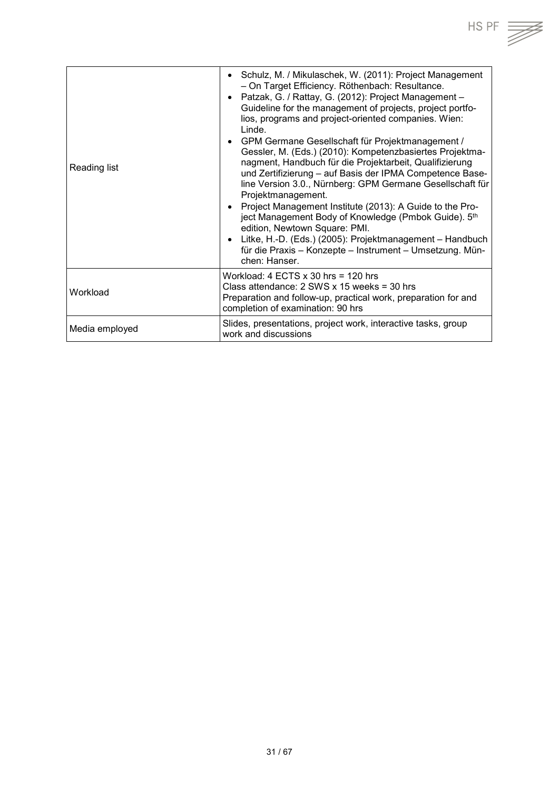| Reading list   | Schulz, M. / Mikulaschek, W. (2011): Project Management<br>$\bullet$<br>- On Target Efficiency. Röthenbach: Resultance.<br>Patzak, G. / Rattay, G. (2012): Project Management -<br>$\bullet$<br>Guideline for the management of projects, project portfo-<br>lios, programs and project-oriented companies. Wien:<br>Linde.<br>• GPM Germane Gesellschaft für Projektmanagement /<br>Gessler, M. (Eds.) (2010): Kompetenzbasiertes Projektma-<br>nagment, Handbuch für die Projektarbeit, Qualifizierung<br>und Zertifizierung - auf Basis der IPMA Competence Base-<br>line Version 3.0., Nürnberg: GPM Germane Gesellschaft für<br>Projektmanagement.<br>Project Management Institute (2013): A Guide to the Pro-<br>$\bullet$<br>ject Management Body of Knowledge (Pmbok Guide). 5th<br>edition, Newtown Square: PMI.<br>Litke, H.-D. (Eds.) (2005): Projektmanagement - Handbuch<br>$\bullet$<br>für die Praxis - Konzepte - Instrument - Umsetzung. Mün-<br>chen: Hanser. |
|----------------|---------------------------------------------------------------------------------------------------------------------------------------------------------------------------------------------------------------------------------------------------------------------------------------------------------------------------------------------------------------------------------------------------------------------------------------------------------------------------------------------------------------------------------------------------------------------------------------------------------------------------------------------------------------------------------------------------------------------------------------------------------------------------------------------------------------------------------------------------------------------------------------------------------------------------------------------------------------------------------|
| Workload       | Workload: $4$ ECTS $x$ 30 hrs = 120 hrs<br>Class attendance: $2$ SWS x 15 weeks = 30 hrs<br>Preparation and follow-up, practical work, preparation for and<br>completion of examination: 90 hrs                                                                                                                                                                                                                                                                                                                                                                                                                                                                                                                                                                                                                                                                                                                                                                                 |
| Media employed | Slides, presentations, project work, interactive tasks, group<br>work and discussions                                                                                                                                                                                                                                                                                                                                                                                                                                                                                                                                                                                                                                                                                                                                                                                                                                                                                           |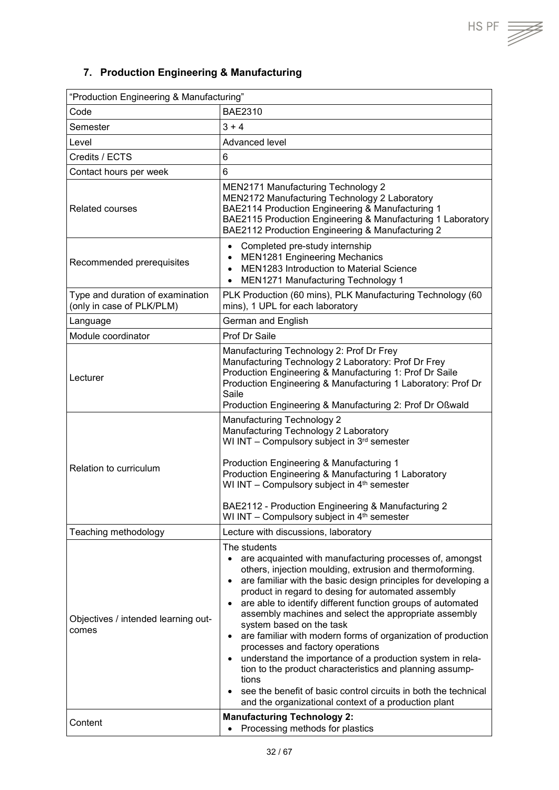$HSPF \implies$ 

## <span id="page-31-0"></span>**7. Production Engineering & Manufacturing**

| "Production Engineering & Manufacturing"                      |                                                                                                                                                                                                                                                                                                                                                                                                                                                                                                                                                                                                                                                                                                                                                                                                                                                   |
|---------------------------------------------------------------|---------------------------------------------------------------------------------------------------------------------------------------------------------------------------------------------------------------------------------------------------------------------------------------------------------------------------------------------------------------------------------------------------------------------------------------------------------------------------------------------------------------------------------------------------------------------------------------------------------------------------------------------------------------------------------------------------------------------------------------------------------------------------------------------------------------------------------------------------|
| Code                                                          | <b>BAE2310</b>                                                                                                                                                                                                                                                                                                                                                                                                                                                                                                                                                                                                                                                                                                                                                                                                                                    |
| Semester                                                      | $3 + 4$                                                                                                                                                                                                                                                                                                                                                                                                                                                                                                                                                                                                                                                                                                                                                                                                                                           |
| Level                                                         | Advanced level                                                                                                                                                                                                                                                                                                                                                                                                                                                                                                                                                                                                                                                                                                                                                                                                                                    |
| Credits / ECTS                                                | 6                                                                                                                                                                                                                                                                                                                                                                                                                                                                                                                                                                                                                                                                                                                                                                                                                                                 |
| Contact hours per week                                        | $6\phantom{1}$                                                                                                                                                                                                                                                                                                                                                                                                                                                                                                                                                                                                                                                                                                                                                                                                                                    |
| <b>Related courses</b>                                        | <b>MEN2171 Manufacturing Technology 2</b><br>MEN2172 Manufacturing Technology 2 Laboratory<br>BAE2114 Production Engineering & Manufacturing 1<br>BAE2115 Production Engineering & Manufacturing 1 Laboratory<br>BAE2112 Production Engineering & Manufacturing 2                                                                                                                                                                                                                                                                                                                                                                                                                                                                                                                                                                                 |
| Recommended prerequisites                                     | Completed pre-study internship<br>$\bullet$<br><b>MEN1281 Engineering Mechanics</b><br>$\bullet$<br>MEN1283 Introduction to Material Science<br>$\bullet$<br>MEN1271 Manufacturing Technology 1<br>$\bullet$                                                                                                                                                                                                                                                                                                                                                                                                                                                                                                                                                                                                                                      |
| Type and duration of examination<br>(only in case of PLK/PLM) | PLK Production (60 mins), PLK Manufacturing Technology (60<br>mins), 1 UPL for each laboratory                                                                                                                                                                                                                                                                                                                                                                                                                                                                                                                                                                                                                                                                                                                                                    |
| Language                                                      | German and English                                                                                                                                                                                                                                                                                                                                                                                                                                                                                                                                                                                                                                                                                                                                                                                                                                |
| Module coordinator                                            | Prof Dr Saile                                                                                                                                                                                                                                                                                                                                                                                                                                                                                                                                                                                                                                                                                                                                                                                                                                     |
| Lecturer                                                      | Manufacturing Technology 2: Prof Dr Frey<br>Manufacturing Technology 2 Laboratory: Prof Dr Frey<br>Production Engineering & Manufacturing 1: Prof Dr Saile<br>Production Engineering & Manufacturing 1 Laboratory: Prof Dr<br>Saile<br>Production Engineering & Manufacturing 2: Prof Dr Oßwald                                                                                                                                                                                                                                                                                                                                                                                                                                                                                                                                                   |
| Relation to curriculum                                        | Manufacturing Technology 2<br>Manufacturing Technology 2 Laboratory<br>WI INT - Compulsory subject in 3rd semester<br>Production Engineering & Manufacturing 1<br>Production Engineering & Manufacturing 1 Laboratory<br>WI INT - Compulsory subject in 4 <sup>th</sup> semester<br>BAE2112 - Production Engineering & Manufacturing 2<br>WI INT - Compulsory subject in 4 <sup>th</sup> semester                                                                                                                                                                                                                                                                                                                                                                                                                                                 |
| Teaching methodology                                          | Lecture with discussions, laboratory                                                                                                                                                                                                                                                                                                                                                                                                                                                                                                                                                                                                                                                                                                                                                                                                              |
| Objectives / intended learning out-<br>comes                  | The students<br>are acquainted with manufacturing processes of, amongst<br>$\bullet$<br>others, injection moulding, extrusion and thermoforming.<br>are familiar with the basic design principles for developing a<br>$\bullet$<br>product in regard to desing for automated assembly<br>are able to identify different function groups of automated<br>$\bullet$<br>assembly machines and select the appropriate assembly<br>system based on the task<br>are familiar with modern forms of organization of production<br>$\bullet$<br>processes and factory operations<br>understand the importance of a production system in rela-<br>$\bullet$<br>tion to the product characteristics and planning assump-<br>tions<br>see the benefit of basic control circuits in both the technical<br>and the organizational context of a production plant |
| Content                                                       | <b>Manufacturing Technology 2:</b><br>Processing methods for plastics                                                                                                                                                                                                                                                                                                                                                                                                                                                                                                                                                                                                                                                                                                                                                                             |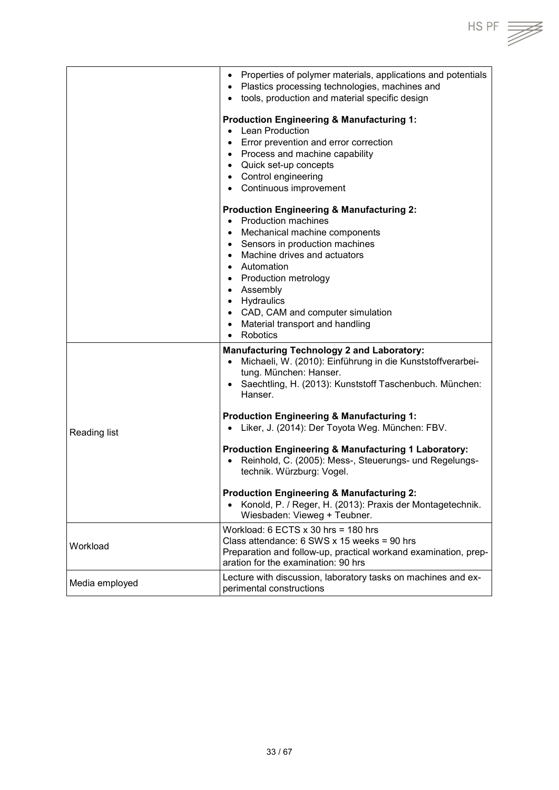• Properties of polymer materials, applications and potentials • Plastics processing technologies, machines and • tools, production and material specific design **Production Engineering & Manufacturing 1:**  • Lean Production • Error prevention and error correction • Process and machine capability • Quick set-up concepts • Control engineering • Continuous improvement **Production Engineering & Manufacturing 2:** • Production machines • Mechanical machine components • Sensors in production machines • Machine drives and actuators • Automation • Production metrology • Assembly • Hydraulics • CAD, CAM and computer simulation • Material transport and handling • Robotics Reading list **Manufacturing Technology 2 and Laboratory:** • Michaeli, W. (2010): Einführung in die Kunststoffverarbeitung. München: Hanser. • Saechtling, H. (2013): Kunststoff Taschenbuch. München: Hanser. **Production Engineering & Manufacturing 1:** • Liker, J. (2014): Der Toyota Weg. München: FBV. **Production Engineering & Manufacturing 1 Laboratory:** • Reinhold, C. (2005): Mess-, Steuerungs- und Regelungstechnik. Würzburg: Vogel. **Production Engineering & Manufacturing 2:** • Konold, P. / Reger, H. (2013): Praxis der Montagetechnik. Wiesbaden: Vieweg + Teubner. Workload Workload: 6 ECTS x 30 hrs = 180 hrs Class attendance: 6 SWS x 15 weeks = 90 hrs Preparation and follow-up, practical workand examination, preparation for the examination: 90 hrs Media employed **Lecture with discussion, laboratory tasks on machines and ex**perimental constructions

HS PF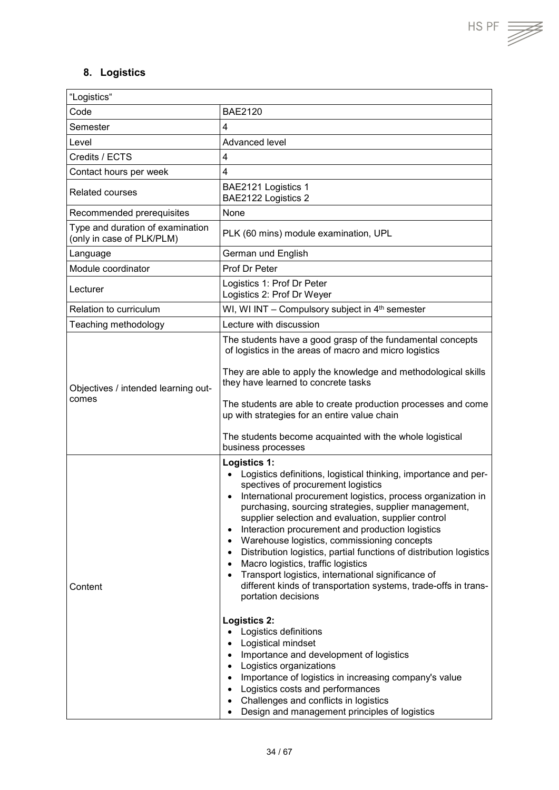## <span id="page-33-0"></span>**8. Logistics**

| "Logistics"                                                   |                                                                                                                                                                                                                                                                                                                                                                                                                                                                                                                                                                                                                                                                                           |
|---------------------------------------------------------------|-------------------------------------------------------------------------------------------------------------------------------------------------------------------------------------------------------------------------------------------------------------------------------------------------------------------------------------------------------------------------------------------------------------------------------------------------------------------------------------------------------------------------------------------------------------------------------------------------------------------------------------------------------------------------------------------|
| Code                                                          | <b>BAE2120</b>                                                                                                                                                                                                                                                                                                                                                                                                                                                                                                                                                                                                                                                                            |
| Semester                                                      | 4                                                                                                                                                                                                                                                                                                                                                                                                                                                                                                                                                                                                                                                                                         |
| Level                                                         | Advanced level                                                                                                                                                                                                                                                                                                                                                                                                                                                                                                                                                                                                                                                                            |
| Credits / ECTS                                                | $\overline{4}$                                                                                                                                                                                                                                                                                                                                                                                                                                                                                                                                                                                                                                                                            |
| Contact hours per week                                        | 4                                                                                                                                                                                                                                                                                                                                                                                                                                                                                                                                                                                                                                                                                         |
| <b>Related courses</b>                                        | BAE2121 Logistics 1<br>BAE2122 Logistics 2                                                                                                                                                                                                                                                                                                                                                                                                                                                                                                                                                                                                                                                |
| Recommended prerequisites                                     | None                                                                                                                                                                                                                                                                                                                                                                                                                                                                                                                                                                                                                                                                                      |
| Type and duration of examination<br>(only in case of PLK/PLM) | PLK (60 mins) module examination, UPL                                                                                                                                                                                                                                                                                                                                                                                                                                                                                                                                                                                                                                                     |
| Language                                                      | German und English                                                                                                                                                                                                                                                                                                                                                                                                                                                                                                                                                                                                                                                                        |
| Module coordinator                                            | Prof Dr Peter                                                                                                                                                                                                                                                                                                                                                                                                                                                                                                                                                                                                                                                                             |
| Lecturer                                                      | Logistics 1: Prof Dr Peter<br>Logistics 2: Prof Dr Weyer                                                                                                                                                                                                                                                                                                                                                                                                                                                                                                                                                                                                                                  |
| Relation to curriculum                                        | WI, WI INT - Compulsory subject in $4th$ semester                                                                                                                                                                                                                                                                                                                                                                                                                                                                                                                                                                                                                                         |
| Teaching methodology                                          | Lecture with discussion                                                                                                                                                                                                                                                                                                                                                                                                                                                                                                                                                                                                                                                                   |
|                                                               | The students have a good grasp of the fundamental concepts<br>of logistics in the areas of macro and micro logistics                                                                                                                                                                                                                                                                                                                                                                                                                                                                                                                                                                      |
| Objectives / intended learning out-<br>comes                  | They are able to apply the knowledge and methodological skills<br>they have learned to concrete tasks                                                                                                                                                                                                                                                                                                                                                                                                                                                                                                                                                                                     |
|                                                               | The students are able to create production processes and come<br>up with strategies for an entire value chain                                                                                                                                                                                                                                                                                                                                                                                                                                                                                                                                                                             |
|                                                               | The students become acquainted with the whole logistical<br>business processes                                                                                                                                                                                                                                                                                                                                                                                                                                                                                                                                                                                                            |
| Content                                                       | <b>Logistics 1:</b><br>Logistics definitions, logistical thinking, importance and per-<br>$\bullet$<br>spectives of procurement logistics<br>International procurement logistics, process organization in<br>purchasing, sourcing strategies, supplier management,<br>supplier selection and evaluation, supplier control<br>Interaction procurement and production logistics<br>Warehouse logistics, commissioning concepts<br>Distribution logistics, partial functions of distribution logistics<br>Macro logistics, traffic logistics<br>Transport logistics, international significance of<br>different kinds of transportation systems, trade-offs in trans-<br>portation decisions |
|                                                               | <b>Logistics 2:</b><br>Logistics definitions<br>Logistical mindset<br>Importance and development of logistics<br>Logistics organizations<br>Importance of logistics in increasing company's value<br>Logistics costs and performances<br>Challenges and conflicts in logistics<br>$\bullet$<br>Design and management principles of logistics                                                                                                                                                                                                                                                                                                                                              |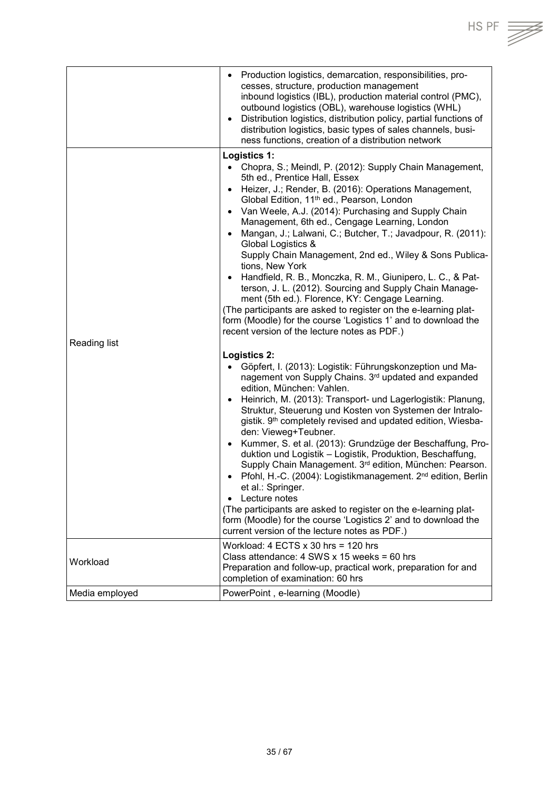

|                | Production logistics, demarcation, responsibilities, pro-<br>$\bullet$<br>cesses, structure, production management<br>inbound logistics (IBL), production material control (PMC),<br>outbound logistics (OBL), warehouse logistics (WHL)<br>Distribution logistics, distribution policy, partial functions of<br>$\bullet$<br>distribution logistics, basic types of sales channels, busi-<br>ness functions, creation of a distribution network                                                                                                                                                                                                                                                                                                                                                                                                                                     |
|----------------|--------------------------------------------------------------------------------------------------------------------------------------------------------------------------------------------------------------------------------------------------------------------------------------------------------------------------------------------------------------------------------------------------------------------------------------------------------------------------------------------------------------------------------------------------------------------------------------------------------------------------------------------------------------------------------------------------------------------------------------------------------------------------------------------------------------------------------------------------------------------------------------|
|                | Logistics 1:                                                                                                                                                                                                                                                                                                                                                                                                                                                                                                                                                                                                                                                                                                                                                                                                                                                                         |
|                | • Chopra, S.; Meindl, P. (2012): Supply Chain Management,<br>5th ed., Prentice Hall, Essex<br>Heizer, J.; Render, B. (2016): Operations Management,<br>$\bullet$<br>Global Edition, 11 <sup>th</sup> ed., Pearson, London<br>• Van Weele, A.J. (2014): Purchasing and Supply Chain<br>Management, 6th ed., Cengage Learning, London<br>Mangan, J.; Lalwani, C.; Butcher, T.; Javadpour, R. (2011):<br>Global Logistics &<br>Supply Chain Management, 2nd ed., Wiley & Sons Publica-<br>tions, New York<br>Handfield, R. B., Monczka, R. M., Giunipero, L. C., & Pat-<br>$\bullet$<br>terson, J. L. (2012). Sourcing and Supply Chain Manage-<br>ment (5th ed.). Florence, KY: Cengage Learning.<br>(The participants are asked to register on the e-learning plat-<br>form (Moodle) for the course 'Logistics 1' and to download the<br>recent version of the lecture notes as PDF.) |
| Reading list   |                                                                                                                                                                                                                                                                                                                                                                                                                                                                                                                                                                                                                                                                                                                                                                                                                                                                                      |
|                | Logistics 2:<br>Göpfert, I. (2013): Logistik: Führungskonzeption und Ma-<br>$\bullet$<br>nagement von Supply Chains. 3 <sup>rd</sup> updated and expanded<br>edition, München: Vahlen.<br>Heinrich, M. (2013): Transport- und Lagerlogistik: Planung,<br>$\bullet$<br>Struktur, Steuerung und Kosten von Systemen der Intralo-<br>gistik. 9 <sup>th</sup> completely revised and updated edition, Wiesba-<br>den: Vieweg+Teubner.<br>Kummer, S. et al. (2013): Grundzüge der Beschaffung, Pro-<br>$\bullet$<br>duktion und Logistik - Logistik, Produktion, Beschaffung,<br>Supply Chain Management. 3rd edition, München: Pearson.<br>Pfohl, H.-C. (2004): Logistikmanagement. 2 <sup>nd</sup> edition, Berlin<br>et al.: Springer.<br>Lecture notes<br>$\bullet$                                                                                                                   |
|                | (The participants are asked to register on the e-learning plat-<br>form (Moodle) for the course 'Logistics 2' and to download the<br>current version of the lecture notes as PDF.)                                                                                                                                                                                                                                                                                                                                                                                                                                                                                                                                                                                                                                                                                                   |
| Workload       | Workload: $4$ ECTS $\times$ 30 hrs = 120 hrs<br>Class attendance: $4$ SWS x 15 weeks = 60 hrs<br>Preparation and follow-up, practical work, preparation for and<br>completion of examination: 60 hrs                                                                                                                                                                                                                                                                                                                                                                                                                                                                                                                                                                                                                                                                                 |
| Media employed | PowerPoint, e-learning (Moodle)                                                                                                                                                                                                                                                                                                                                                                                                                                                                                                                                                                                                                                                                                                                                                                                                                                                      |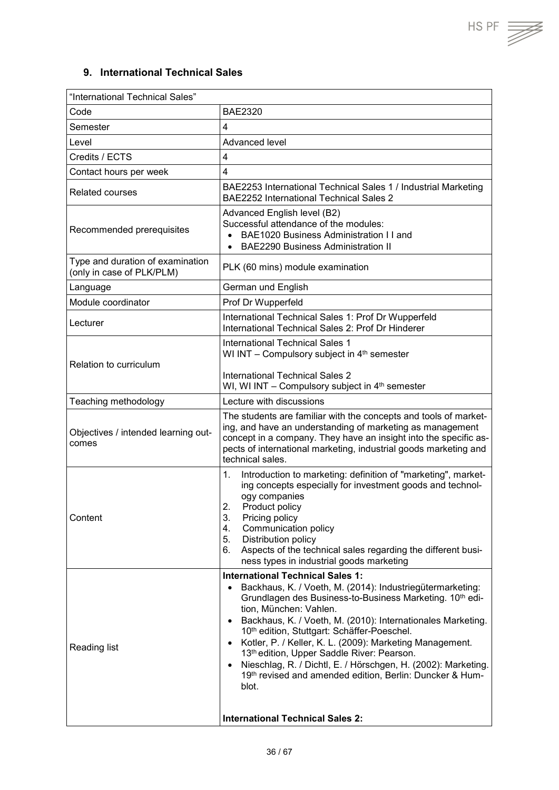T

#### <span id="page-35-0"></span>**9. International Technical Sales**

| "International Technical Sales"<br>Code<br>Semester<br>Level<br>Credits / ECTS<br>Contact hours per week | <b>BAE2320</b><br>$\overline{4}$<br>Advanced level<br>$\overline{4}$<br>$\overline{4}$<br>BAE2253 International Technical Sales 1 / Industrial Marketing                                                                                                                                                                                                                                                                                                                                                                                                                                            |
|----------------------------------------------------------------------------------------------------------|-----------------------------------------------------------------------------------------------------------------------------------------------------------------------------------------------------------------------------------------------------------------------------------------------------------------------------------------------------------------------------------------------------------------------------------------------------------------------------------------------------------------------------------------------------------------------------------------------------|
|                                                                                                          |                                                                                                                                                                                                                                                                                                                                                                                                                                                                                                                                                                                                     |
|                                                                                                          |                                                                                                                                                                                                                                                                                                                                                                                                                                                                                                                                                                                                     |
|                                                                                                          |                                                                                                                                                                                                                                                                                                                                                                                                                                                                                                                                                                                                     |
|                                                                                                          |                                                                                                                                                                                                                                                                                                                                                                                                                                                                                                                                                                                                     |
|                                                                                                          |                                                                                                                                                                                                                                                                                                                                                                                                                                                                                                                                                                                                     |
|                                                                                                          |                                                                                                                                                                                                                                                                                                                                                                                                                                                                                                                                                                                                     |
| <b>Related courses</b>                                                                                   | <b>BAE2252 International Technical Sales 2</b>                                                                                                                                                                                                                                                                                                                                                                                                                                                                                                                                                      |
| Recommended prerequisites                                                                                | Advanced English level (B2)<br>Successful attendance of the modules:<br>BAE1020 Business Administration I I and<br>$\bullet$<br><b>BAE2290 Business Administration II</b><br>$\bullet$                                                                                                                                                                                                                                                                                                                                                                                                              |
| Type and duration of examination<br>(only in case of PLK/PLM)                                            | PLK (60 mins) module examination                                                                                                                                                                                                                                                                                                                                                                                                                                                                                                                                                                    |
| Language                                                                                                 | German und English                                                                                                                                                                                                                                                                                                                                                                                                                                                                                                                                                                                  |
| Module coordinator                                                                                       | Prof Dr Wupperfeld                                                                                                                                                                                                                                                                                                                                                                                                                                                                                                                                                                                  |
| Lecturer                                                                                                 | International Technical Sales 1: Prof Dr Wupperfeld<br>International Technical Sales 2: Prof Dr Hinderer                                                                                                                                                                                                                                                                                                                                                                                                                                                                                            |
| Relation to curriculum                                                                                   | International Technical Sales 1<br>WI INT - Compulsory subject in 4 <sup>th</sup> semester<br><b>International Technical Sales 2</b>                                                                                                                                                                                                                                                                                                                                                                                                                                                                |
|                                                                                                          | WI, WI INT - Compulsory subject in 4 <sup>th</sup> semester                                                                                                                                                                                                                                                                                                                                                                                                                                                                                                                                         |
| Teaching methodology                                                                                     | Lecture with discussions                                                                                                                                                                                                                                                                                                                                                                                                                                                                                                                                                                            |
| Objectives / intended learning out-<br>comes                                                             | The students are familiar with the concepts and tools of market-<br>ing, and have an understanding of marketing as management<br>concept in a company. They have an insight into the specific as-<br>pects of international marketing, industrial goods marketing and<br>technical sales.                                                                                                                                                                                                                                                                                                           |
| Content                                                                                                  | 1.<br>Introduction to marketing: definition of "marketing", market-<br>ing concepts especially for investment goods and technol-<br>ogy companies<br>2.<br>Product policy<br>3.<br>Pricing policy<br>Communication policy<br>4.<br>5.<br>Distribution policy<br>6.<br>Aspects of the technical sales regarding the different busi-<br>ness types in industrial goods marketing                                                                                                                                                                                                                      |
| Reading list                                                                                             | <b>International Technical Sales 1:</b><br>Backhaus, K. / Voeth, M. (2014): Industriegütermarketing:<br>Grundlagen des Business-to-Business Marketing. 10th edi-<br>tion, München: Vahlen.<br>Backhaus, K. / Voeth, M. (2010): Internationales Marketing.<br>10th edition, Stuttgart: Schäffer-Poeschel.<br>Kotler, P. / Keller, K. L. (2009): Marketing Management.<br>13th edition, Upper Saddle River: Pearson.<br>Nieschlag, R. / Dichtl, E. / Hörschgen, H. (2002): Marketing.<br>19th revised and amended edition, Berlin: Duncker & Hum-<br>blot.<br><b>International Technical Sales 2:</b> |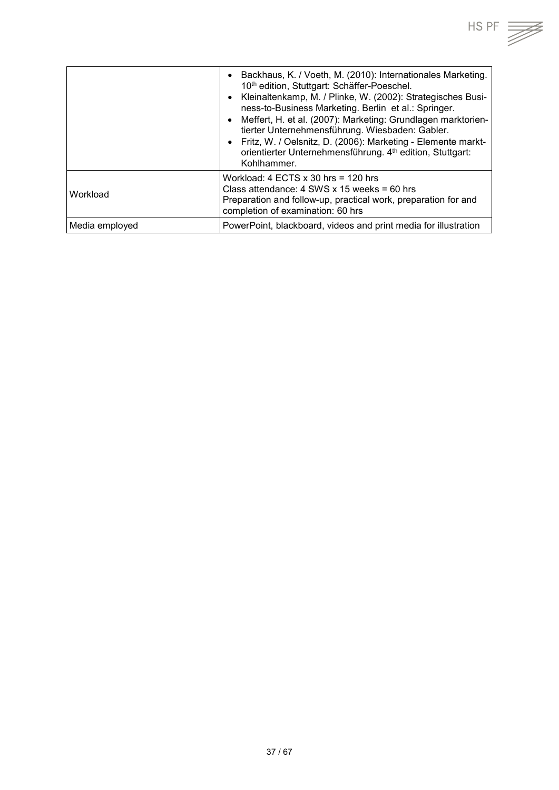

|                | Backhaus, K. / Voeth, M. (2010): Internationales Marketing.<br>10th edition, Stuttgart: Schäffer-Poeschel.<br>Kleinaltenkamp, M. / Plinke, W. (2002): Strategisches Busi-<br>ness-to-Business Marketing. Berlin et al.: Springer.<br>Meffert, H. et al. (2007): Marketing: Grundlagen marktorien-<br>tierter Unternehmensführung. Wiesbaden: Gabler.<br>Fritz, W. / Oelsnitz, D. (2006): Marketing - Elemente markt-<br>orientierter Unternehmensführung. 4 <sup>th</sup> edition, Stuttgart:<br>Kohlhammer. |
|----------------|--------------------------------------------------------------------------------------------------------------------------------------------------------------------------------------------------------------------------------------------------------------------------------------------------------------------------------------------------------------------------------------------------------------------------------------------------------------------------------------------------------------|
| Workload       | Workload: $4$ ECTS $x$ 30 hrs = 120 hrs<br>Class attendance: $4$ SWS x 15 weeks = 60 hrs<br>Preparation and follow-up, practical work, preparation for and<br>completion of examination: 60 hrs                                                                                                                                                                                                                                                                                                              |
| Media employed | PowerPoint, blackboard, videos and print media for illustration                                                                                                                                                                                                                                                                                                                                                                                                                                              |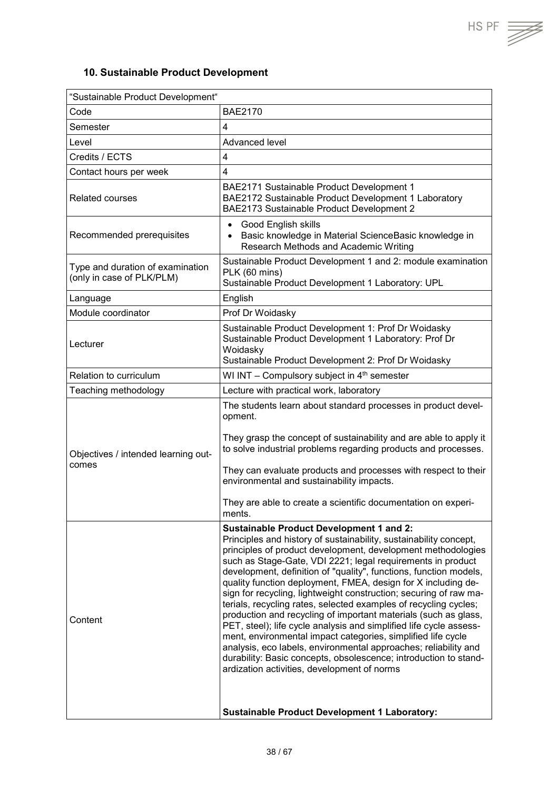$HSPF \implies$ 

## <span id="page-37-0"></span>**10. Sustainable Product Development**

| "Sustainable Product Development"                             |                                                                                                                                                                                                                                                                                                                                                                                                                                                                                                                                                                                                                                                                                                                                                                                                                                                                                                                                                                                           |
|---------------------------------------------------------------|-------------------------------------------------------------------------------------------------------------------------------------------------------------------------------------------------------------------------------------------------------------------------------------------------------------------------------------------------------------------------------------------------------------------------------------------------------------------------------------------------------------------------------------------------------------------------------------------------------------------------------------------------------------------------------------------------------------------------------------------------------------------------------------------------------------------------------------------------------------------------------------------------------------------------------------------------------------------------------------------|
| Code                                                          | <b>BAE2170</b>                                                                                                                                                                                                                                                                                                                                                                                                                                                                                                                                                                                                                                                                                                                                                                                                                                                                                                                                                                            |
| Semester                                                      | $\overline{4}$                                                                                                                                                                                                                                                                                                                                                                                                                                                                                                                                                                                                                                                                                                                                                                                                                                                                                                                                                                            |
| Level                                                         | Advanced level                                                                                                                                                                                                                                                                                                                                                                                                                                                                                                                                                                                                                                                                                                                                                                                                                                                                                                                                                                            |
| Credits / ECTS                                                | $\overline{\mathbf{4}}$                                                                                                                                                                                                                                                                                                                                                                                                                                                                                                                                                                                                                                                                                                                                                                                                                                                                                                                                                                   |
| Contact hours per week                                        | $\overline{\mathbf{4}}$                                                                                                                                                                                                                                                                                                                                                                                                                                                                                                                                                                                                                                                                                                                                                                                                                                                                                                                                                                   |
| <b>Related courses</b>                                        | BAE2171 Sustainable Product Development 1<br>BAE2172 Sustainable Product Development 1 Laboratory<br>BAE2173 Sustainable Product Development 2                                                                                                                                                                                                                                                                                                                                                                                                                                                                                                                                                                                                                                                                                                                                                                                                                                            |
| Recommended prerequisites                                     | Good English skills<br>$\bullet$<br>Basic knowledge in Material ScienceBasic knowledge in<br>$\bullet$<br>Research Methods and Academic Writing                                                                                                                                                                                                                                                                                                                                                                                                                                                                                                                                                                                                                                                                                                                                                                                                                                           |
| Type and duration of examination<br>(only in case of PLK/PLM) | Sustainable Product Development 1 and 2: module examination<br>PLK (60 mins)<br>Sustainable Product Development 1 Laboratory: UPL                                                                                                                                                                                                                                                                                                                                                                                                                                                                                                                                                                                                                                                                                                                                                                                                                                                         |
| Language                                                      | English                                                                                                                                                                                                                                                                                                                                                                                                                                                                                                                                                                                                                                                                                                                                                                                                                                                                                                                                                                                   |
| Module coordinator                                            | Prof Dr Woidasky                                                                                                                                                                                                                                                                                                                                                                                                                                                                                                                                                                                                                                                                                                                                                                                                                                                                                                                                                                          |
| Lecturer                                                      | Sustainable Product Development 1: Prof Dr Woidasky<br>Sustainable Product Development 1 Laboratory: Prof Dr<br>Woidasky<br>Sustainable Product Development 2: Prof Dr Woidasky                                                                                                                                                                                                                                                                                                                                                                                                                                                                                                                                                                                                                                                                                                                                                                                                           |
| Relation to curriculum                                        | WI INT - Compulsory subject in 4 <sup>th</sup> semester                                                                                                                                                                                                                                                                                                                                                                                                                                                                                                                                                                                                                                                                                                                                                                                                                                                                                                                                   |
| Teaching methodology                                          | Lecture with practical work, laboratory                                                                                                                                                                                                                                                                                                                                                                                                                                                                                                                                                                                                                                                                                                                                                                                                                                                                                                                                                   |
| Objectives / intended learning out-<br>comes                  | The students learn about standard processes in product devel-<br>opment.<br>They grasp the concept of sustainability and are able to apply it<br>to solve industrial problems regarding products and processes.<br>They can evaluate products and processes with respect to their<br>environmental and sustainability impacts.<br>They are able to create a scientific documentation on experi-<br>ments.                                                                                                                                                                                                                                                                                                                                                                                                                                                                                                                                                                                 |
| Content                                                       | <b>Sustainable Product Development 1 and 2:</b><br>Principles and history of sustainability, sustainability concept,<br>principles of product development, development methodologies<br>such as Stage-Gate, VDI 2221; legal requirements in product<br>development, definition of "quality", functions, function models,<br>quality function deployment, FMEA, design for X including de-<br>sign for recycling, lightweight construction; securing of raw ma-<br>terials, recycling rates, selected examples of recycling cycles;<br>production and recycling of important materials (such as glass,<br>PET, steel); life cycle analysis and simplified life cycle assess-<br>ment, environmental impact categories, simplified life cycle<br>analysis, eco labels, environmental approaches; reliability and<br>durability: Basic concepts, obsolescence; introduction to stand-<br>ardization activities, development of norms<br><b>Sustainable Product Development 1 Laboratory:</b> |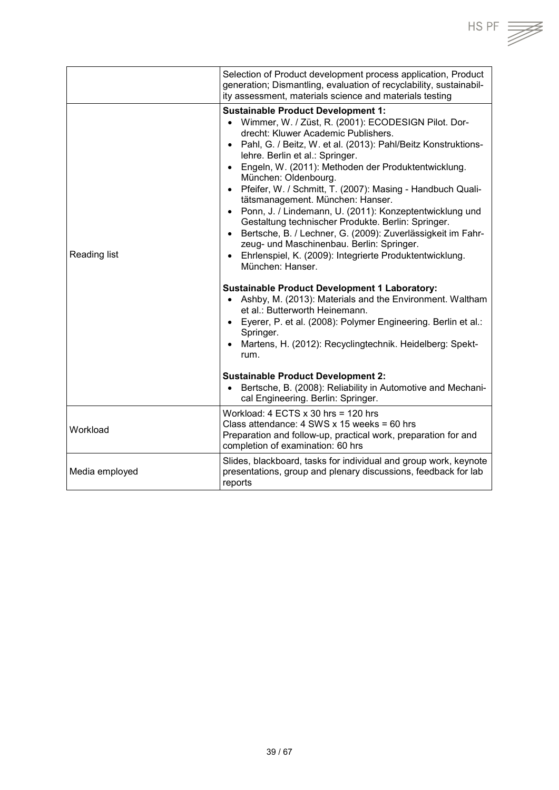|                | Selection of Product development process application, Product                                                                                                                                                                                                                                                                                                                                                                                                                                                                                                                                                                                                                                                                                                                                                                                                                                                                                                                                                                                                                   |
|----------------|---------------------------------------------------------------------------------------------------------------------------------------------------------------------------------------------------------------------------------------------------------------------------------------------------------------------------------------------------------------------------------------------------------------------------------------------------------------------------------------------------------------------------------------------------------------------------------------------------------------------------------------------------------------------------------------------------------------------------------------------------------------------------------------------------------------------------------------------------------------------------------------------------------------------------------------------------------------------------------------------------------------------------------------------------------------------------------|
|                | generation; Dismantling, evaluation of recyclability, sustainabil-<br>ity assessment, materials science and materials testing                                                                                                                                                                                                                                                                                                                                                                                                                                                                                                                                                                                                                                                                                                                                                                                                                                                                                                                                                   |
| Reading list   | <b>Sustainable Product Development 1:</b><br>• Wimmer, W. / Züst, R. (2001): ECODESIGN Pilot. Dor-<br>drecht: Kluwer Academic Publishers.<br>• Pahl, G. / Beitz, W. et al. (2013): Pahl/Beitz Konstruktions-<br>lehre. Berlin et al.: Springer.<br>• Engeln, W. (2011): Methoden der Produktentwicklung.<br>München: Oldenbourg.<br>• Pfeifer, W. / Schmitt, T. (2007): Masing - Handbuch Quali-<br>tätsmanagement. München: Hanser.<br>• Ponn, J. / Lindemann, U. (2011): Konzeptentwicklung und<br>Gestaltung technischer Produkte. Berlin: Springer.<br>· Bertsche, B. / Lechner, G. (2009): Zuverlässigkeit im Fahr-<br>zeug- und Maschinenbau. Berlin: Springer.<br>• Ehrlenspiel, K. (2009): Integrierte Produktentwicklung.<br>München: Hanser.<br><b>Sustainable Product Development 1 Laboratory:</b><br>Ashby, M. (2013): Materials and the Environment. Waltham<br>$\bullet$<br>et al.: Butterworth Heinemann.<br>• Eyerer, P. et al. (2008): Polymer Engineering. Berlin et al.:<br>Springer.<br>• Martens, H. (2012): Recyclingtechnik. Heidelberg: Spekt-<br>rum. |
|                | <b>Sustainable Product Development 2:</b><br>Bertsche, B. (2008): Reliability in Automotive and Mechani-<br>$\bullet$<br>cal Engineering. Berlin: Springer.                                                                                                                                                                                                                                                                                                                                                                                                                                                                                                                                                                                                                                                                                                                                                                                                                                                                                                                     |
| Workload       | Workload: $4$ ECTS $\times$ 30 hrs = 120 hrs<br>Class attendance: 4 SWS x 15 weeks = 60 hrs<br>Preparation and follow-up, practical work, preparation for and<br>completion of examination: 60 hrs                                                                                                                                                                                                                                                                                                                                                                                                                                                                                                                                                                                                                                                                                                                                                                                                                                                                              |
| Media employed | Slides, blackboard, tasks for individual and group work, keynote<br>presentations, group and plenary discussions, feedback for lab<br>reports                                                                                                                                                                                                                                                                                                                                                                                                                                                                                                                                                                                                                                                                                                                                                                                                                                                                                                                                   |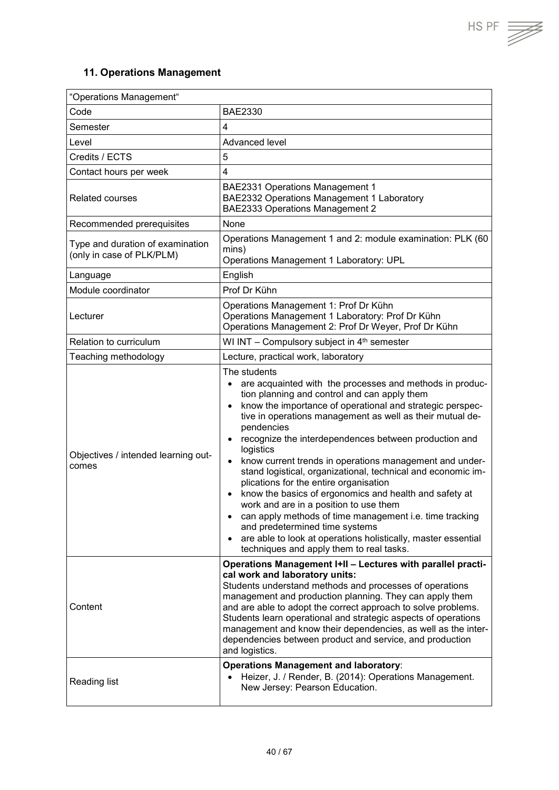$HS PF \equiv \sqrt{\frac{1}{100}}$ 

## <span id="page-39-0"></span>**11. Operations Management**

| "Operations Management"                                       |                                                                                                                                                                                                                                                                                                                                                                                                                                                                                                                                                                                                                                                                                                                                                                                                                                                                                            |
|---------------------------------------------------------------|--------------------------------------------------------------------------------------------------------------------------------------------------------------------------------------------------------------------------------------------------------------------------------------------------------------------------------------------------------------------------------------------------------------------------------------------------------------------------------------------------------------------------------------------------------------------------------------------------------------------------------------------------------------------------------------------------------------------------------------------------------------------------------------------------------------------------------------------------------------------------------------------|
| Code                                                          | <b>BAE2330</b>                                                                                                                                                                                                                                                                                                                                                                                                                                                                                                                                                                                                                                                                                                                                                                                                                                                                             |
| Semester                                                      | 4                                                                                                                                                                                                                                                                                                                                                                                                                                                                                                                                                                                                                                                                                                                                                                                                                                                                                          |
| Level                                                         | Advanced level                                                                                                                                                                                                                                                                                                                                                                                                                                                                                                                                                                                                                                                                                                                                                                                                                                                                             |
| Credits / ECTS                                                | 5                                                                                                                                                                                                                                                                                                                                                                                                                                                                                                                                                                                                                                                                                                                                                                                                                                                                                          |
| Contact hours per week                                        | $\overline{4}$                                                                                                                                                                                                                                                                                                                                                                                                                                                                                                                                                                                                                                                                                                                                                                                                                                                                             |
| <b>Related courses</b>                                        | <b>BAE2331 Operations Management 1</b><br>BAE2332 Operations Management 1 Laboratory<br><b>BAE2333 Operations Management 2</b>                                                                                                                                                                                                                                                                                                                                                                                                                                                                                                                                                                                                                                                                                                                                                             |
| Recommended prerequisites                                     | None                                                                                                                                                                                                                                                                                                                                                                                                                                                                                                                                                                                                                                                                                                                                                                                                                                                                                       |
| Type and duration of examination<br>(only in case of PLK/PLM) | Operations Management 1 and 2: module examination: PLK (60<br>mins)<br>Operations Management 1 Laboratory: UPL                                                                                                                                                                                                                                                                                                                                                                                                                                                                                                                                                                                                                                                                                                                                                                             |
| Language                                                      | English                                                                                                                                                                                                                                                                                                                                                                                                                                                                                                                                                                                                                                                                                                                                                                                                                                                                                    |
| Module coordinator                                            | Prof Dr Kühn                                                                                                                                                                                                                                                                                                                                                                                                                                                                                                                                                                                                                                                                                                                                                                                                                                                                               |
| Lecturer                                                      | Operations Management 1: Prof Dr Kühn<br>Operations Management 1 Laboratory: Prof Dr Kühn<br>Operations Management 2: Prof Dr Weyer, Prof Dr Kühn                                                                                                                                                                                                                                                                                                                                                                                                                                                                                                                                                                                                                                                                                                                                          |
| Relation to curriculum                                        | WI INT - Compulsory subject in 4 <sup>th</sup> semester                                                                                                                                                                                                                                                                                                                                                                                                                                                                                                                                                                                                                                                                                                                                                                                                                                    |
| Teaching methodology                                          | Lecture, practical work, laboratory                                                                                                                                                                                                                                                                                                                                                                                                                                                                                                                                                                                                                                                                                                                                                                                                                                                        |
| Objectives / intended learning out-<br>comes                  | The students<br>are acquainted with the processes and methods in produc-<br>tion planning and control and can apply them<br>know the importance of operational and strategic perspec-<br>$\bullet$<br>tive in operations management as well as their mutual de-<br>pendencies<br>recognize the interdependences between production and<br>$\bullet$<br>logistics<br>know current trends in operations management and under-<br>$\bullet$<br>stand logistical, organizational, technical and economic im-<br>plications for the entire organisation<br>know the basics of ergonomics and health and safety at<br>$\bullet$<br>work and are in a position to use them<br>can apply methods of time management i.e. time tracking<br>and predetermined time systems<br>are able to look at operations holistically, master essential<br>$\bullet$<br>techniques and apply them to real tasks. |
| Content                                                       | Operations Management I+II - Lectures with parallel practi-<br>cal work and laboratory units:<br>Students understand methods and processes of operations<br>management and production planning. They can apply them<br>and are able to adopt the correct approach to solve problems.<br>Students learn operational and strategic aspects of operations<br>management and know their dependencies, as well as the inter-<br>dependencies between product and service, and production<br>and logistics.                                                                                                                                                                                                                                                                                                                                                                                      |
| Reading list                                                  | <b>Operations Management and laboratory:</b><br>Heizer, J. / Render, B. (2014): Operations Management.<br>$\bullet$<br>New Jersey: Pearson Education.                                                                                                                                                                                                                                                                                                                                                                                                                                                                                                                                                                                                                                                                                                                                      |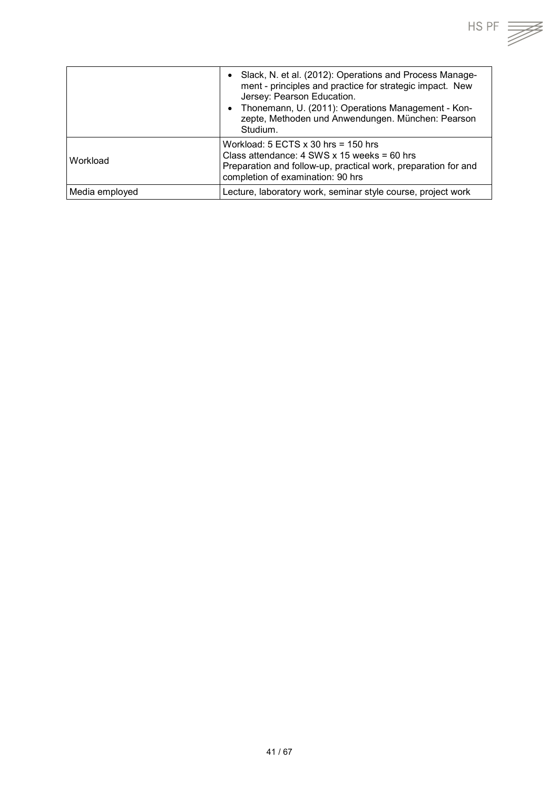

|                | Slack, N. et al. (2012): Operations and Process Manage-<br>ment - principles and practice for strategic impact. New<br>Jersey: Pearson Education.<br>Thonemann, U. (2011): Operations Management - Kon-<br>zepte, Methoden und Anwendungen. München: Pearson<br>Studium. |
|----------------|--------------------------------------------------------------------------------------------------------------------------------------------------------------------------------------------------------------------------------------------------------------------------|
| Workload       | Workload: $5$ ECTS $x$ 30 hrs = 150 hrs<br>Class attendance: $4$ SWS x 15 weeks = 60 hrs<br>Preparation and follow-up, practical work, preparation for and<br>completion of examination: 90 hrs                                                                          |
| Media employed | Lecture, laboratory work, seminar style course, project work                                                                                                                                                                                                             |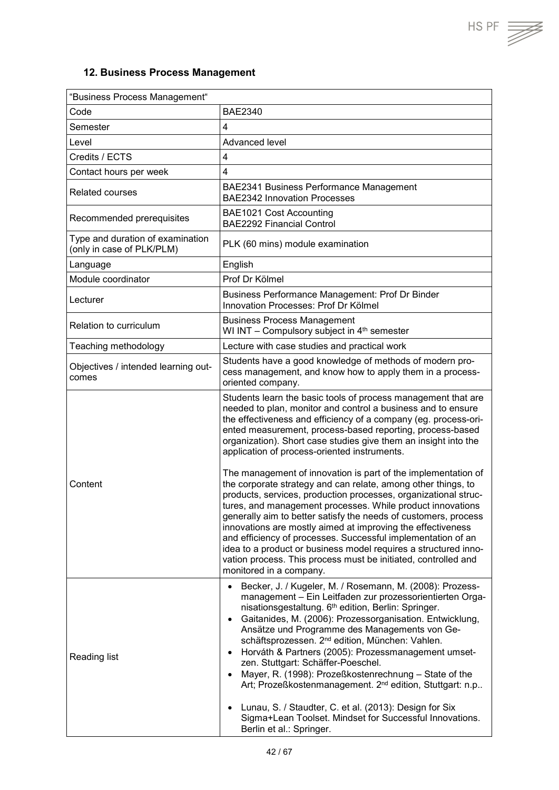$HSPF \implies$ 

## <span id="page-41-0"></span>**12. Business Process Management**

| "Business Process Management"                                 |                                                                                                                                                                                                                                                                                                                                                                                                                                                                                                                                                                                                                                                                                                                                                                                                                                                                                                                                                                                                                       |  |
|---------------------------------------------------------------|-----------------------------------------------------------------------------------------------------------------------------------------------------------------------------------------------------------------------------------------------------------------------------------------------------------------------------------------------------------------------------------------------------------------------------------------------------------------------------------------------------------------------------------------------------------------------------------------------------------------------------------------------------------------------------------------------------------------------------------------------------------------------------------------------------------------------------------------------------------------------------------------------------------------------------------------------------------------------------------------------------------------------|--|
| Code                                                          | <b>BAE2340</b>                                                                                                                                                                                                                                                                                                                                                                                                                                                                                                                                                                                                                                                                                                                                                                                                                                                                                                                                                                                                        |  |
| Semester                                                      | 4                                                                                                                                                                                                                                                                                                                                                                                                                                                                                                                                                                                                                                                                                                                                                                                                                                                                                                                                                                                                                     |  |
| Level                                                         | Advanced level                                                                                                                                                                                                                                                                                                                                                                                                                                                                                                                                                                                                                                                                                                                                                                                                                                                                                                                                                                                                        |  |
| Credits / ECTS                                                | $\overline{\mathbf{4}}$                                                                                                                                                                                                                                                                                                                                                                                                                                                                                                                                                                                                                                                                                                                                                                                                                                                                                                                                                                                               |  |
| Contact hours per week                                        | $\overline{4}$                                                                                                                                                                                                                                                                                                                                                                                                                                                                                                                                                                                                                                                                                                                                                                                                                                                                                                                                                                                                        |  |
| <b>Related courses</b>                                        | BAE2341 Business Performance Management<br><b>BAE2342 Innovation Processes</b>                                                                                                                                                                                                                                                                                                                                                                                                                                                                                                                                                                                                                                                                                                                                                                                                                                                                                                                                        |  |
| Recommended prerequisites                                     | BAE1021 Cost Accounting<br><b>BAE2292 Financial Control</b>                                                                                                                                                                                                                                                                                                                                                                                                                                                                                                                                                                                                                                                                                                                                                                                                                                                                                                                                                           |  |
| Type and duration of examination<br>(only in case of PLK/PLM) | PLK (60 mins) module examination                                                                                                                                                                                                                                                                                                                                                                                                                                                                                                                                                                                                                                                                                                                                                                                                                                                                                                                                                                                      |  |
| Language                                                      | English                                                                                                                                                                                                                                                                                                                                                                                                                                                                                                                                                                                                                                                                                                                                                                                                                                                                                                                                                                                                               |  |
| Module coordinator                                            | Prof Dr Kölmel                                                                                                                                                                                                                                                                                                                                                                                                                                                                                                                                                                                                                                                                                                                                                                                                                                                                                                                                                                                                        |  |
| Lecturer                                                      | Business Performance Management: Prof Dr Binder<br>Innovation Processes: Prof Dr Kölmel                                                                                                                                                                                                                                                                                                                                                                                                                                                                                                                                                                                                                                                                                                                                                                                                                                                                                                                               |  |
| Relation to curriculum                                        | <b>Business Process Management</b><br>WI INT - Compulsory subject in 4 <sup>th</sup> semester                                                                                                                                                                                                                                                                                                                                                                                                                                                                                                                                                                                                                                                                                                                                                                                                                                                                                                                         |  |
| Teaching methodology                                          | Lecture with case studies and practical work                                                                                                                                                                                                                                                                                                                                                                                                                                                                                                                                                                                                                                                                                                                                                                                                                                                                                                                                                                          |  |
| Objectives / intended learning out-<br>comes                  | Students have a good knowledge of methods of modern pro-<br>cess management, and know how to apply them in a process-<br>oriented company.                                                                                                                                                                                                                                                                                                                                                                                                                                                                                                                                                                                                                                                                                                                                                                                                                                                                            |  |
| Content                                                       | Students learn the basic tools of process management that are<br>needed to plan, monitor and control a business and to ensure<br>the effectiveness and efficiency of a company (eg. process-ori-<br>ented measurement, process-based reporting, process-based<br>organization). Short case studies give them an insight into the<br>application of process-oriented instruments.<br>The management of innovation is part of the implementation of<br>the corporate strategy and can relate, among other things, to<br>products, services, production processes, organizational struc-<br>tures, and management processes. While product innovations<br>generally aim to better satisfy the needs of customers, process<br>innovations are mostly aimed at improving the effectiveness<br>and efficiency of processes. Successful implementation of an<br>idea to a product or business model requires a structured inno-<br>vation process. This process must be initiated, controlled and<br>monitored in a company. |  |
| <b>Reading list</b>                                           | Becker, J. / Kugeler, M. / Rosemann, M. (2008): Prozess-<br>management - Ein Leitfaden zur prozessorientierten Orga-<br>nisationsgestaltung. 6th edition, Berlin: Springer.<br>Gaitanides, M. (2006): Prozessorganisation. Entwicklung,<br>$\bullet$<br>Ansätze und Programme des Managements von Ge-<br>schäftsprozessen. 2 <sup>nd</sup> edition, München: Vahlen.<br>Horváth & Partners (2005): Prozessmanagement umset-<br>$\bullet$<br>zen. Stuttgart: Schäffer-Poeschel.<br>Mayer, R. (1998): Prozeßkostenrechnung - State of the<br>$\bullet$<br>Art; Prozeßkostenmanagement. 2 <sup>nd</sup> edition, Stuttgart: n.p<br>Lunau, S. / Staudter, C. et al. (2013): Design for Six<br>$\bullet$<br>Sigma+Lean Toolset. Mindset for Successful Innovations.<br>Berlin et al.: Springer.                                                                                                                                                                                                                            |  |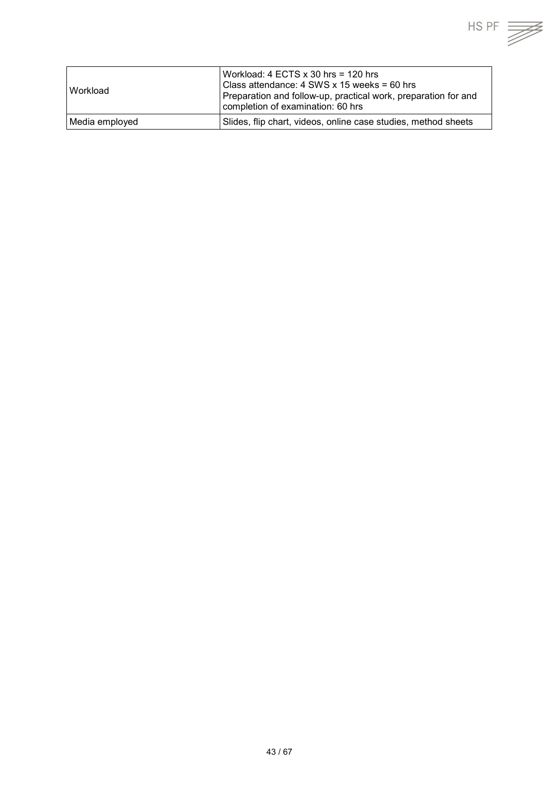| l Workload     | Workload: 4 ECTS x 30 hrs = 120 hrs<br>Class attendance: 4 SWS x 15 weeks = 60 hrs<br>Preparation and follow-up, practical work, preparation for and<br>completion of examination: 60 hrs |
|----------------|-------------------------------------------------------------------------------------------------------------------------------------------------------------------------------------------|
| Media employed | Slides, flip chart, videos, online case studies, method sheets                                                                                                                            |

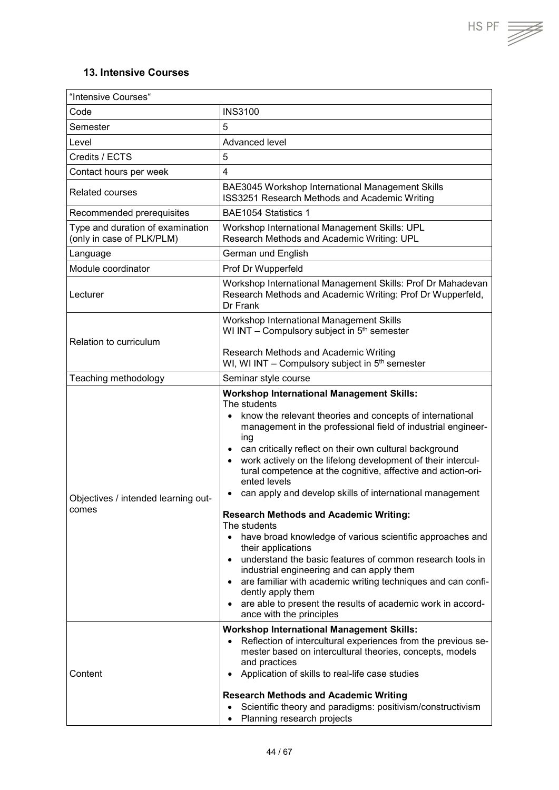$HS PF$   $\overrightarrow{=}$ 

#### <span id="page-43-0"></span>**13. Intensive Courses**

| "Intensive Courses"                                           |                                                                                                                                                                                                                                                                                                                                                                                                                                                                                                                                                                                                                                                                                                                                                                                                                                                                                                                                                                                                                     |  |
|---------------------------------------------------------------|---------------------------------------------------------------------------------------------------------------------------------------------------------------------------------------------------------------------------------------------------------------------------------------------------------------------------------------------------------------------------------------------------------------------------------------------------------------------------------------------------------------------------------------------------------------------------------------------------------------------------------------------------------------------------------------------------------------------------------------------------------------------------------------------------------------------------------------------------------------------------------------------------------------------------------------------------------------------------------------------------------------------|--|
| Code                                                          | <b>INS3100</b>                                                                                                                                                                                                                                                                                                                                                                                                                                                                                                                                                                                                                                                                                                                                                                                                                                                                                                                                                                                                      |  |
| Semester                                                      | 5                                                                                                                                                                                                                                                                                                                                                                                                                                                                                                                                                                                                                                                                                                                                                                                                                                                                                                                                                                                                                   |  |
| Level                                                         | Advanced level                                                                                                                                                                                                                                                                                                                                                                                                                                                                                                                                                                                                                                                                                                                                                                                                                                                                                                                                                                                                      |  |
| Credits / ECTS                                                | 5                                                                                                                                                                                                                                                                                                                                                                                                                                                                                                                                                                                                                                                                                                                                                                                                                                                                                                                                                                                                                   |  |
| Contact hours per week                                        | 4                                                                                                                                                                                                                                                                                                                                                                                                                                                                                                                                                                                                                                                                                                                                                                                                                                                                                                                                                                                                                   |  |
| <b>Related courses</b>                                        | BAE3045 Workshop International Management Skills<br>ISS3251 Research Methods and Academic Writing                                                                                                                                                                                                                                                                                                                                                                                                                                                                                                                                                                                                                                                                                                                                                                                                                                                                                                                   |  |
| Recommended prerequisites                                     | BAE1054 Statistics 1                                                                                                                                                                                                                                                                                                                                                                                                                                                                                                                                                                                                                                                                                                                                                                                                                                                                                                                                                                                                |  |
| Type and duration of examination<br>(only in case of PLK/PLM) | Workshop International Management Skills: UPL<br>Research Methods and Academic Writing: UPL                                                                                                                                                                                                                                                                                                                                                                                                                                                                                                                                                                                                                                                                                                                                                                                                                                                                                                                         |  |
| Language                                                      | German und English                                                                                                                                                                                                                                                                                                                                                                                                                                                                                                                                                                                                                                                                                                                                                                                                                                                                                                                                                                                                  |  |
| Module coordinator                                            | Prof Dr Wupperfeld                                                                                                                                                                                                                                                                                                                                                                                                                                                                                                                                                                                                                                                                                                                                                                                                                                                                                                                                                                                                  |  |
| Lecturer                                                      | Workshop International Management Skills: Prof Dr Mahadevan<br>Research Methods and Academic Writing: Prof Dr Wupperfeld,<br>Dr Frank                                                                                                                                                                                                                                                                                                                                                                                                                                                                                                                                                                                                                                                                                                                                                                                                                                                                               |  |
| Relation to curriculum                                        | Workshop International Management Skills<br>WI INT - Compulsory subject in 5 <sup>th</sup> semester<br>Research Methods and Academic Writing                                                                                                                                                                                                                                                                                                                                                                                                                                                                                                                                                                                                                                                                                                                                                                                                                                                                        |  |
|                                                               | WI, WI INT - Compulsory subject in 5 <sup>th</sup> semester                                                                                                                                                                                                                                                                                                                                                                                                                                                                                                                                                                                                                                                                                                                                                                                                                                                                                                                                                         |  |
| Teaching methodology                                          | Seminar style course                                                                                                                                                                                                                                                                                                                                                                                                                                                                                                                                                                                                                                                                                                                                                                                                                                                                                                                                                                                                |  |
| Objectives / intended learning out-<br>comes                  | <b>Workshop International Management Skills:</b><br>The students<br>know the relevant theories and concepts of international<br>$\bullet$<br>management in the professional field of industrial engineer-<br>ing<br>can critically reflect on their own cultural background<br>$\bullet$<br>work actively on the lifelong development of their intercul-<br>tural competence at the cognitive, affective and action-ori-<br>ented levels<br>can apply and develop skills of international management<br>$\bullet$<br><b>Research Methods and Academic Writing:</b><br>The students<br>have broad knowledge of various scientific approaches and<br>$\bullet$<br>their applications<br>understand the basic features of common research tools in<br>$\bullet$<br>industrial engineering and can apply them<br>are familiar with academic writing techniques and can confi-<br>$\bullet$<br>dently apply them<br>are able to present the results of academic work in accord-<br>$\bullet$<br>ance with the principles |  |
| Content                                                       | <b>Workshop International Management Skills:</b><br>Reflection of intercultural experiences from the previous se-<br>$\bullet$<br>mester based on intercultural theories, concepts, models<br>and practices<br>Application of skills to real-life case studies<br>$\bullet$<br><b>Research Methods and Academic Writing</b><br>Scientific theory and paradigms: positivism/constructivism<br>$\bullet$<br>Planning research projects<br>$\bullet$                                                                                                                                                                                                                                                                                                                                                                                                                                                                                                                                                                   |  |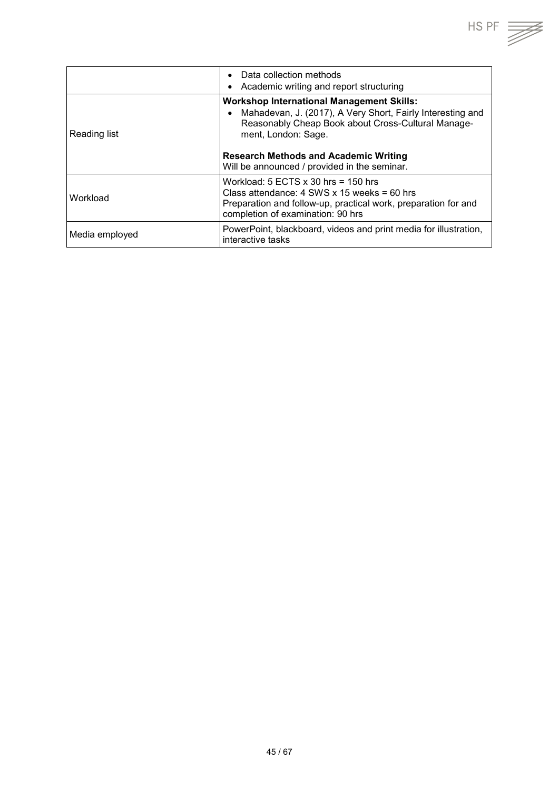|                | Data collection methods<br>Academic writing and report structuring                                                                                                                              |
|----------------|-------------------------------------------------------------------------------------------------------------------------------------------------------------------------------------------------|
| Reading list   | <b>Workshop International Management Skills:</b><br>Mahadevan, J. (2017), A Very Short, Fairly Interesting and<br>Reasonably Cheap Book about Cross-Cultural Manage-<br>ment, London: Sage.     |
|                | <b>Research Methods and Academic Writing</b><br>Will be announced / provided in the seminar.                                                                                                    |
| Workload       | Workload: $5$ ECTS $x$ 30 hrs = 150 hrs<br>Class attendance: $4$ SWS x 15 weeks = 60 hrs<br>Preparation and follow-up, practical work, preparation for and<br>completion of examination: 90 hrs |
| Media employed | PowerPoint, blackboard, videos and print media for illustration,<br>interactive tasks                                                                                                           |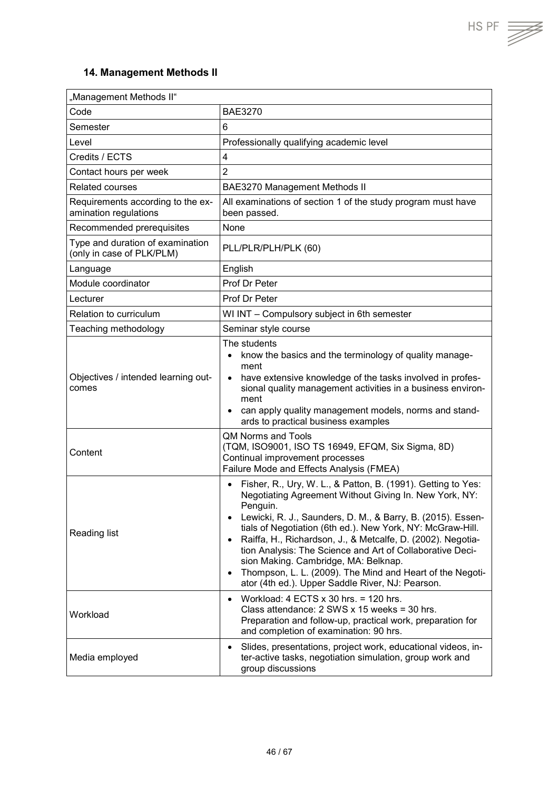$HS PF$   $\overrightarrow{=}$ 

## <span id="page-45-0"></span>**14. Management Methods II**

| "Management Methods II"                                       |                                                                                                                                                                                                                                                                                                                                                                                                                                                                                                                                                                                                          |  |
|---------------------------------------------------------------|----------------------------------------------------------------------------------------------------------------------------------------------------------------------------------------------------------------------------------------------------------------------------------------------------------------------------------------------------------------------------------------------------------------------------------------------------------------------------------------------------------------------------------------------------------------------------------------------------------|--|
| Code                                                          | <b>BAE3270</b>                                                                                                                                                                                                                                                                                                                                                                                                                                                                                                                                                                                           |  |
| Semester                                                      | 6                                                                                                                                                                                                                                                                                                                                                                                                                                                                                                                                                                                                        |  |
| Level                                                         | Professionally qualifying academic level                                                                                                                                                                                                                                                                                                                                                                                                                                                                                                                                                                 |  |
| Credits / ECTS                                                | $\overline{4}$                                                                                                                                                                                                                                                                                                                                                                                                                                                                                                                                                                                           |  |
| Contact hours per week                                        | $\overline{2}$                                                                                                                                                                                                                                                                                                                                                                                                                                                                                                                                                                                           |  |
| <b>Related courses</b>                                        | <b>BAE3270 Management Methods II</b>                                                                                                                                                                                                                                                                                                                                                                                                                                                                                                                                                                     |  |
| Requirements according to the ex-<br>amination regulations    | All examinations of section 1 of the study program must have<br>been passed.                                                                                                                                                                                                                                                                                                                                                                                                                                                                                                                             |  |
| Recommended prerequisites                                     | None                                                                                                                                                                                                                                                                                                                                                                                                                                                                                                                                                                                                     |  |
| Type and duration of examination<br>(only in case of PLK/PLM) | PLL/PLR/PLH/PLK (60)                                                                                                                                                                                                                                                                                                                                                                                                                                                                                                                                                                                     |  |
| Language                                                      | English                                                                                                                                                                                                                                                                                                                                                                                                                                                                                                                                                                                                  |  |
| Module coordinator                                            | Prof Dr Peter                                                                                                                                                                                                                                                                                                                                                                                                                                                                                                                                                                                            |  |
| Lecturer                                                      | Prof Dr Peter                                                                                                                                                                                                                                                                                                                                                                                                                                                                                                                                                                                            |  |
| Relation to curriculum                                        | WI INT - Compulsory subject in 6th semester                                                                                                                                                                                                                                                                                                                                                                                                                                                                                                                                                              |  |
| Teaching methodology                                          | Seminar style course                                                                                                                                                                                                                                                                                                                                                                                                                                                                                                                                                                                     |  |
| Objectives / intended learning out-<br>comes                  | The students<br>know the basics and the terminology of quality manage-<br>ment<br>have extensive knowledge of the tasks involved in profes-<br>$\bullet$<br>sional quality management activities in a business environ-<br>ment<br>can apply quality management models, norms and stand-<br>$\bullet$<br>ards to practical business examples                                                                                                                                                                                                                                                             |  |
| Content                                                       | <b>QM Norms and Tools</b><br>(TQM, ISO9001, ISO TS 16949, EFQM, Six Sigma, 8D)<br>Continual improvement processes<br>Failure Mode and Effects Analysis (FMEA)                                                                                                                                                                                                                                                                                                                                                                                                                                            |  |
| <b>Reading list</b>                                           | Fisher, R., Ury, W. L., & Patton, B. (1991). Getting to Yes:<br>$\bullet$<br>Negotiating Agreement Without Giving In. New York, NY:<br>Penguin.<br>Lewicki, R. J., Saunders, D. M., & Barry, B. (2015). Essen-<br>$\bullet$<br>tials of Negotiation (6th ed.). New York, NY: McGraw-Hill.<br>Raiffa, H., Richardson, J., & Metcalfe, D. (2002). Negotia-<br>$\bullet$<br>tion Analysis: The Science and Art of Collaborative Deci-<br>sion Making. Cambridge, MA: Belknap.<br>Thompson, L. L. (2009). The Mind and Heart of the Negoti-<br>$\bullet$<br>ator (4th ed.). Upper Saddle River, NJ: Pearson. |  |
| Workload                                                      | Workload: $4$ ECTS $\times$ 30 hrs. = 120 hrs.<br>$\bullet$<br>Class attendance: 2 SWS x 15 weeks = 30 hrs.<br>Preparation and follow-up, practical work, preparation for<br>and completion of examination: 90 hrs.                                                                                                                                                                                                                                                                                                                                                                                      |  |
| Media employed                                                | Slides, presentations, project work, educational videos, in-<br>$\bullet$<br>ter-active tasks, negotiation simulation, group work and<br>group discussions                                                                                                                                                                                                                                                                                                                                                                                                                                               |  |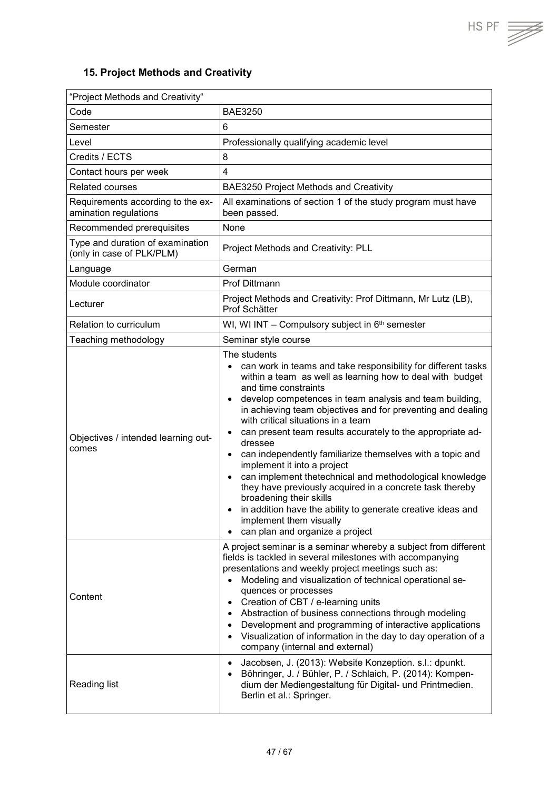## <span id="page-46-0"></span>**15. Project Methods and Creativity**

| "Project Methods and Creativity"                              |                                                                                                                                                                                                                                                                                                                                                                                                                                                                                                                                                                                                                                                                                                                                                                                                                                                 |  |
|---------------------------------------------------------------|-------------------------------------------------------------------------------------------------------------------------------------------------------------------------------------------------------------------------------------------------------------------------------------------------------------------------------------------------------------------------------------------------------------------------------------------------------------------------------------------------------------------------------------------------------------------------------------------------------------------------------------------------------------------------------------------------------------------------------------------------------------------------------------------------------------------------------------------------|--|
| Code                                                          | <b>BAE3250</b>                                                                                                                                                                                                                                                                                                                                                                                                                                                                                                                                                                                                                                                                                                                                                                                                                                  |  |
| Semester                                                      | 6                                                                                                                                                                                                                                                                                                                                                                                                                                                                                                                                                                                                                                                                                                                                                                                                                                               |  |
| Level                                                         | Professionally qualifying academic level                                                                                                                                                                                                                                                                                                                                                                                                                                                                                                                                                                                                                                                                                                                                                                                                        |  |
| Credits / ECTS                                                | 8                                                                                                                                                                                                                                                                                                                                                                                                                                                                                                                                                                                                                                                                                                                                                                                                                                               |  |
| Contact hours per week                                        | $\overline{4}$                                                                                                                                                                                                                                                                                                                                                                                                                                                                                                                                                                                                                                                                                                                                                                                                                                  |  |
| <b>Related courses</b>                                        | BAE3250 Project Methods and Creativity                                                                                                                                                                                                                                                                                                                                                                                                                                                                                                                                                                                                                                                                                                                                                                                                          |  |
| Requirements according to the ex-<br>amination regulations    | All examinations of section 1 of the study program must have<br>been passed.                                                                                                                                                                                                                                                                                                                                                                                                                                                                                                                                                                                                                                                                                                                                                                    |  |
| Recommended prerequisites                                     | None                                                                                                                                                                                                                                                                                                                                                                                                                                                                                                                                                                                                                                                                                                                                                                                                                                            |  |
| Type and duration of examination<br>(only in case of PLK/PLM) | Project Methods and Creativity: PLL                                                                                                                                                                                                                                                                                                                                                                                                                                                                                                                                                                                                                                                                                                                                                                                                             |  |
| Language                                                      | German                                                                                                                                                                                                                                                                                                                                                                                                                                                                                                                                                                                                                                                                                                                                                                                                                                          |  |
| Module coordinator                                            | <b>Prof Dittmann</b>                                                                                                                                                                                                                                                                                                                                                                                                                                                                                                                                                                                                                                                                                                                                                                                                                            |  |
| Lecturer                                                      | Project Methods and Creativity: Prof Dittmann, Mr Lutz (LB),<br>Prof Schätter                                                                                                                                                                                                                                                                                                                                                                                                                                                                                                                                                                                                                                                                                                                                                                   |  |
| Relation to curriculum                                        | WI, WI INT - Compulsory subject in 6 <sup>th</sup> semester                                                                                                                                                                                                                                                                                                                                                                                                                                                                                                                                                                                                                                                                                                                                                                                     |  |
| Teaching methodology                                          | Seminar style course                                                                                                                                                                                                                                                                                                                                                                                                                                                                                                                                                                                                                                                                                                                                                                                                                            |  |
| Objectives / intended learning out-<br>comes                  | The students<br>can work in teams and take responsibility for different tasks<br>within a team as well as learning how to deal with budget<br>and time constraints<br>develop competences in team analysis and team building,<br>$\bullet$<br>in achieving team objectives and for preventing and dealing<br>with critical situations in a team<br>can present team results accurately to the appropriate ad-<br>٠<br>dressee<br>can independently familiarize themselves with a topic and<br>$\bullet$<br>implement it into a project<br>can implement thetechnical and methodological knowledge<br>$\bullet$<br>they have previously acquired in a concrete task thereby<br>broadening their skills<br>in addition have the ability to generate creative ideas and<br>implement them visually<br>can plan and organize a project<br>$\bullet$ |  |
| Content                                                       | A project seminar is a seminar whereby a subject from different<br>fields is tackled in several milestones with accompanying<br>presentations and weekly project meetings such as:<br>Modeling and visualization of technical operational se-<br>quences or processes<br>Creation of CBT / e-learning units<br>٠<br>Abstraction of business connections through modeling<br>$\bullet$<br>Development and programming of interactive applications<br>$\bullet$<br>Visualization of information in the day to day operation of a<br>$\bullet$<br>company (internal and external)<br>Jacobsen, J. (2013): Website Konzeption. s.l.: dpunkt.<br>$\bullet$                                                                                                                                                                                           |  |
| Reading list                                                  | Böhringer, J. / Bühler, P. / Schlaich, P. (2014): Kompen-<br>$\bullet$<br>dium der Mediengestaltung für Digital- und Printmedien.<br>Berlin et al.: Springer.                                                                                                                                                                                                                                                                                                                                                                                                                                                                                                                                                                                                                                                                                   |  |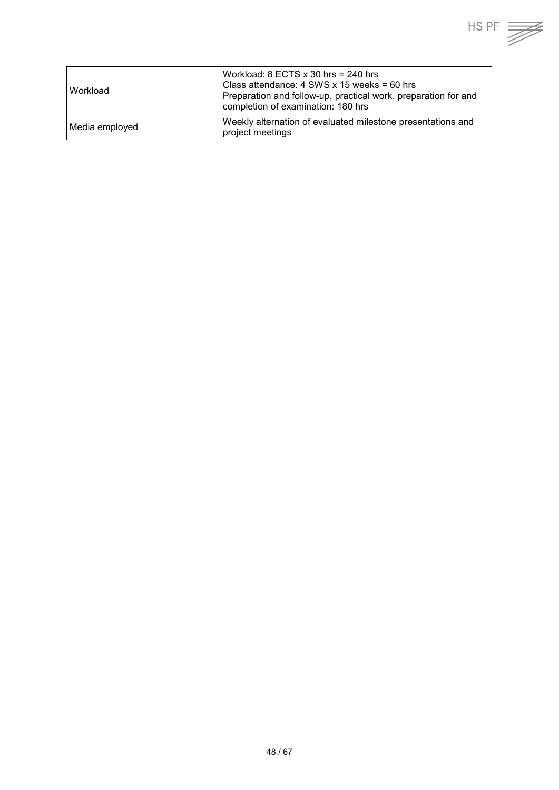| Workload       | Workload: $8$ ECTS $\times$ 30 hrs = 240 hrs<br>Class attendance: 4 SWS x 15 weeks = 60 hrs<br>Preparation and follow-up, practical work, preparation for and<br>completion of examination: 180 hrs |
|----------------|-----------------------------------------------------------------------------------------------------------------------------------------------------------------------------------------------------|
| Media employed | Weekly alternation of evaluated milestone presentations and<br>project meetings                                                                                                                     |

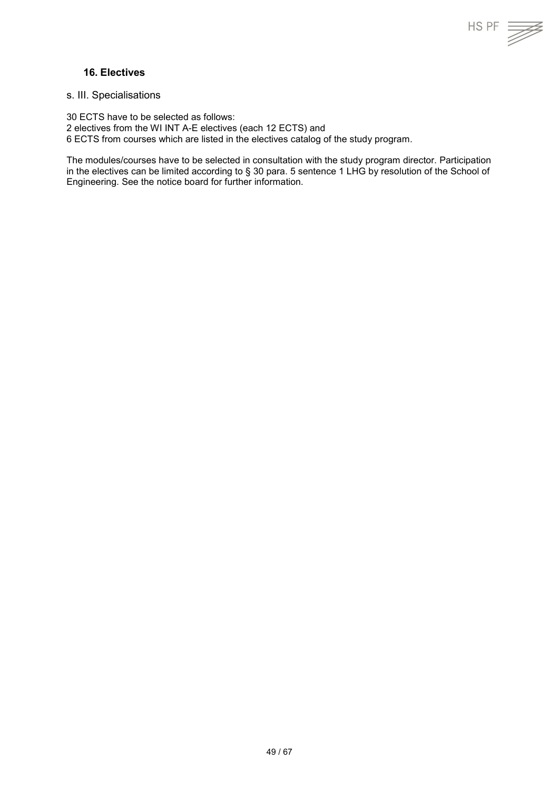#### <span id="page-48-0"></span>**16. Electives**

<span id="page-48-1"></span>s. III. Specialisations

30 ECTS have to be selected as follows: 2 electives from the WI INT A-E electives (each 12 ECTS) and 6 ECTS from courses which are listed in the electives catalog of the study program.

The modules/courses have to be selected in consultation with the study program director. Participation in the electives can be limited according to § 30 para. 5 sentence 1 LHG by resolution of the School of Engineering. See the notice board for further information.

 $HS PF \equiv \equiv$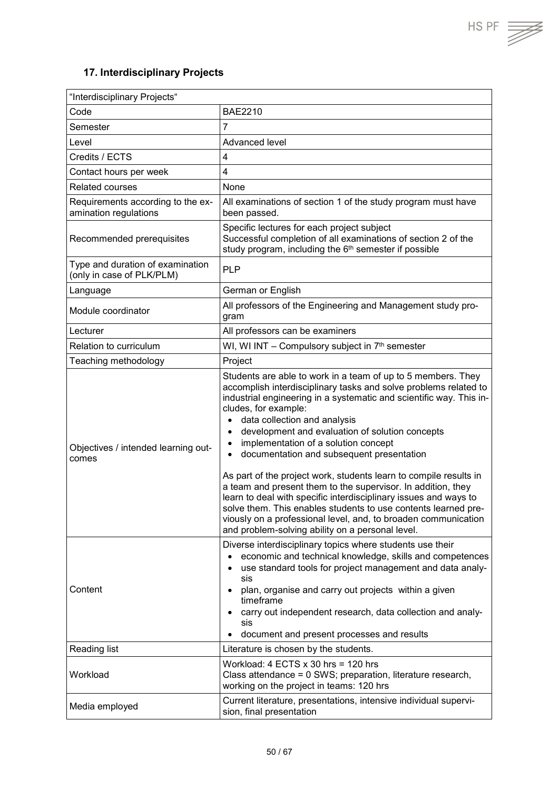## <span id="page-49-0"></span>**17. Interdisciplinary Projects**

| "Interdisciplinary Projects"                                  |                                                                                                                                                                                                                                                                                                                                                                                                                                                                                                                                                                                                                                                                                                                                                                                                                                                              |  |
|---------------------------------------------------------------|--------------------------------------------------------------------------------------------------------------------------------------------------------------------------------------------------------------------------------------------------------------------------------------------------------------------------------------------------------------------------------------------------------------------------------------------------------------------------------------------------------------------------------------------------------------------------------------------------------------------------------------------------------------------------------------------------------------------------------------------------------------------------------------------------------------------------------------------------------------|--|
| Code                                                          | <b>BAE2210</b>                                                                                                                                                                                                                                                                                                                                                                                                                                                                                                                                                                                                                                                                                                                                                                                                                                               |  |
| Semester                                                      | $\overline{7}$                                                                                                                                                                                                                                                                                                                                                                                                                                                                                                                                                                                                                                                                                                                                                                                                                                               |  |
| Level                                                         | Advanced level                                                                                                                                                                                                                                                                                                                                                                                                                                                                                                                                                                                                                                                                                                                                                                                                                                               |  |
| Credits / ECTS                                                | $\overline{4}$                                                                                                                                                                                                                                                                                                                                                                                                                                                                                                                                                                                                                                                                                                                                                                                                                                               |  |
| Contact hours per week                                        | 4                                                                                                                                                                                                                                                                                                                                                                                                                                                                                                                                                                                                                                                                                                                                                                                                                                                            |  |
| <b>Related courses</b>                                        | None                                                                                                                                                                                                                                                                                                                                                                                                                                                                                                                                                                                                                                                                                                                                                                                                                                                         |  |
| Requirements according to the ex-<br>amination regulations    | All examinations of section 1 of the study program must have<br>been passed.                                                                                                                                                                                                                                                                                                                                                                                                                                                                                                                                                                                                                                                                                                                                                                                 |  |
| Recommended prerequisites                                     | Specific lectures for each project subject<br>Successful completion of all examinations of section 2 of the<br>study program, including the 6 <sup>th</sup> semester if possible                                                                                                                                                                                                                                                                                                                                                                                                                                                                                                                                                                                                                                                                             |  |
| Type and duration of examination<br>(only in case of PLK/PLM) | <b>PLP</b>                                                                                                                                                                                                                                                                                                                                                                                                                                                                                                                                                                                                                                                                                                                                                                                                                                                   |  |
| Language                                                      | German or English                                                                                                                                                                                                                                                                                                                                                                                                                                                                                                                                                                                                                                                                                                                                                                                                                                            |  |
| Module coordinator                                            | All professors of the Engineering and Management study pro-<br>gram                                                                                                                                                                                                                                                                                                                                                                                                                                                                                                                                                                                                                                                                                                                                                                                          |  |
| Lecturer                                                      | All professors can be examiners                                                                                                                                                                                                                                                                                                                                                                                                                                                                                                                                                                                                                                                                                                                                                                                                                              |  |
| <b>Relation to curriculum</b>                                 | WI, WI INT - Compulsory subject in 7 <sup>th</sup> semester                                                                                                                                                                                                                                                                                                                                                                                                                                                                                                                                                                                                                                                                                                                                                                                                  |  |
| Teaching methodology                                          | Project                                                                                                                                                                                                                                                                                                                                                                                                                                                                                                                                                                                                                                                                                                                                                                                                                                                      |  |
| Objectives / intended learning out-<br>comes                  | Students are able to work in a team of up to 5 members. They<br>accomplish interdisciplinary tasks and solve problems related to<br>industrial engineering in a systematic and scientific way. This in-<br>cludes, for example:<br>data collection and analysis<br>$\bullet$<br>development and evaluation of solution concepts<br>$\bullet$<br>implementation of a solution concept<br>$\bullet$<br>documentation and subsequent presentation<br>$\bullet$<br>As part of the project work, students learn to compile results in<br>a team and present them to the supervisor. In addition, they<br>learn to deal with specific interdisciplinary issues and ways to<br>solve them. This enables students to use contents learned pre-<br>viously on a professional level, and, to broaden communication<br>and problem-solving ability on a personal level. |  |
| Content                                                       | Diverse interdisciplinary topics where students use their<br>economic and technical knowledge, skills and competences<br>$\bullet$<br>use standard tools for project management and data analy-<br>$\bullet$<br>sis<br>plan, organise and carry out projects within a given<br>$\bullet$<br>timeframe<br>carry out independent research, data collection and analy-<br>$\bullet$<br>sis<br>document and present processes and results                                                                                                                                                                                                                                                                                                                                                                                                                        |  |
| Reading list                                                  | Literature is chosen by the students.                                                                                                                                                                                                                                                                                                                                                                                                                                                                                                                                                                                                                                                                                                                                                                                                                        |  |
| Workload                                                      | Workload: $4$ ECTS $x$ 30 hrs = 120 hrs<br>Class attendance = 0 SWS; preparation, literature research,<br>working on the project in teams: 120 hrs                                                                                                                                                                                                                                                                                                                                                                                                                                                                                                                                                                                                                                                                                                           |  |
| Media employed                                                | Current literature, presentations, intensive individual supervi-<br>sion, final presentation                                                                                                                                                                                                                                                                                                                                                                                                                                                                                                                                                                                                                                                                                                                                                                 |  |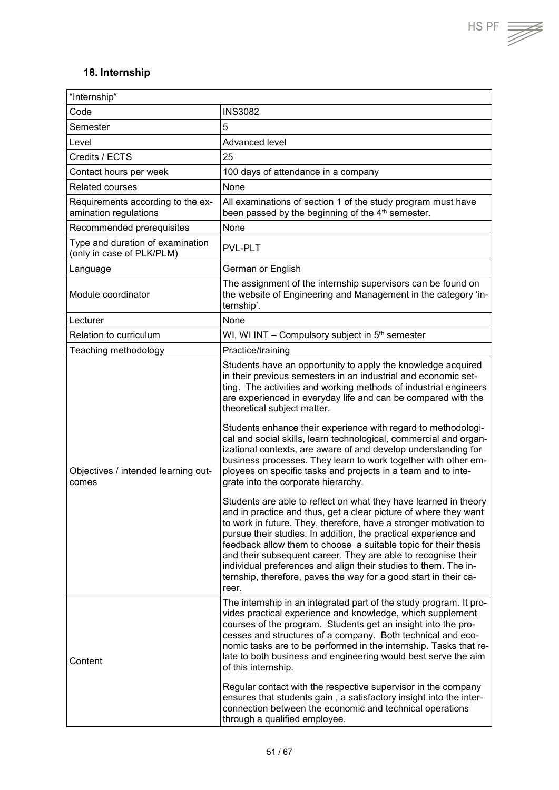HS PF  $\overline{\mathcal{F}}$ 

#### <span id="page-50-0"></span>**18. Internship**

| "Internship"                                                  |                                                                                                                                                                                                                                                                                                                                                                                                                                                                                                                                                                                                                                                                                                                                                                                                                                                                                                                                                                                                                                                                                                                                                                                                                                                          |
|---------------------------------------------------------------|----------------------------------------------------------------------------------------------------------------------------------------------------------------------------------------------------------------------------------------------------------------------------------------------------------------------------------------------------------------------------------------------------------------------------------------------------------------------------------------------------------------------------------------------------------------------------------------------------------------------------------------------------------------------------------------------------------------------------------------------------------------------------------------------------------------------------------------------------------------------------------------------------------------------------------------------------------------------------------------------------------------------------------------------------------------------------------------------------------------------------------------------------------------------------------------------------------------------------------------------------------|
| Code                                                          | <b>INS3082</b>                                                                                                                                                                                                                                                                                                                                                                                                                                                                                                                                                                                                                                                                                                                                                                                                                                                                                                                                                                                                                                                                                                                                                                                                                                           |
| Semester                                                      | 5                                                                                                                                                                                                                                                                                                                                                                                                                                                                                                                                                                                                                                                                                                                                                                                                                                                                                                                                                                                                                                                                                                                                                                                                                                                        |
| Level                                                         | Advanced level                                                                                                                                                                                                                                                                                                                                                                                                                                                                                                                                                                                                                                                                                                                                                                                                                                                                                                                                                                                                                                                                                                                                                                                                                                           |
| Credits / ECTS                                                | 25                                                                                                                                                                                                                                                                                                                                                                                                                                                                                                                                                                                                                                                                                                                                                                                                                                                                                                                                                                                                                                                                                                                                                                                                                                                       |
| Contact hours per week                                        | 100 days of attendance in a company                                                                                                                                                                                                                                                                                                                                                                                                                                                                                                                                                                                                                                                                                                                                                                                                                                                                                                                                                                                                                                                                                                                                                                                                                      |
| Related courses                                               | None                                                                                                                                                                                                                                                                                                                                                                                                                                                                                                                                                                                                                                                                                                                                                                                                                                                                                                                                                                                                                                                                                                                                                                                                                                                     |
| Requirements according to the ex-<br>amination regulations    | All examinations of section 1 of the study program must have<br>been passed by the beginning of the 4 <sup>th</sup> semester.                                                                                                                                                                                                                                                                                                                                                                                                                                                                                                                                                                                                                                                                                                                                                                                                                                                                                                                                                                                                                                                                                                                            |
| Recommended prerequisites                                     | None                                                                                                                                                                                                                                                                                                                                                                                                                                                                                                                                                                                                                                                                                                                                                                                                                                                                                                                                                                                                                                                                                                                                                                                                                                                     |
| Type and duration of examination<br>(only in case of PLK/PLM) | <b>PVL-PLT</b>                                                                                                                                                                                                                                                                                                                                                                                                                                                                                                                                                                                                                                                                                                                                                                                                                                                                                                                                                                                                                                                                                                                                                                                                                                           |
| Language                                                      | German or English                                                                                                                                                                                                                                                                                                                                                                                                                                                                                                                                                                                                                                                                                                                                                                                                                                                                                                                                                                                                                                                                                                                                                                                                                                        |
| Module coordinator                                            | The assignment of the internship supervisors can be found on<br>the website of Engineering and Management in the category 'in-<br>ternship'.                                                                                                                                                                                                                                                                                                                                                                                                                                                                                                                                                                                                                                                                                                                                                                                                                                                                                                                                                                                                                                                                                                             |
| Lecturer                                                      | None                                                                                                                                                                                                                                                                                                                                                                                                                                                                                                                                                                                                                                                                                                                                                                                                                                                                                                                                                                                                                                                                                                                                                                                                                                                     |
| Relation to curriculum                                        | WI, WI INT - Compulsory subject in 5 <sup>th</sup> semester                                                                                                                                                                                                                                                                                                                                                                                                                                                                                                                                                                                                                                                                                                                                                                                                                                                                                                                                                                                                                                                                                                                                                                                              |
| Teaching methodology                                          | Practice/training                                                                                                                                                                                                                                                                                                                                                                                                                                                                                                                                                                                                                                                                                                                                                                                                                                                                                                                                                                                                                                                                                                                                                                                                                                        |
| Objectives / intended learning out-<br>comes                  | Students have an opportunity to apply the knowledge acquired<br>in their previous semesters in an industrial and economic set-<br>ting. The activities and working methods of industrial engineers<br>are experienced in everyday life and can be compared with the<br>theoretical subject matter.<br>Students enhance their experience with regard to methodologi-<br>cal and social skills, learn technological, commercial and organ-<br>izational contexts, are aware of and develop understanding for<br>business processes. They learn to work together with other em-<br>ployees on specific tasks and projects in a team and to inte-<br>grate into the corporate hierarchy.<br>Students are able to reflect on what they have learned in theory<br>and in practice and thus, get a clear picture of where they want<br>to work in future. They, therefore, have a stronger motivation to<br>pursue their studies. In addition, the practical experience and<br>feedback allow them to choose a suitable topic for their thesis<br>and their subsequent career. They are able to recognise their<br>individual preferences and align their studies to them. The in-<br>ternship, therefore, paves the way for a good start in their ca-<br>reer. |
| Content                                                       | The internship in an integrated part of the study program. It pro-<br>vides practical experience and knowledge, which supplement<br>courses of the program. Students get an insight into the pro-<br>cesses and structures of a company. Both technical and eco-<br>nomic tasks are to be performed in the internship. Tasks that re-<br>late to both business and engineering would best serve the aim<br>of this internship.<br>Regular contact with the respective supervisor in the company<br>ensures that students gain, a satisfactory insight into the inter-<br>connection between the economic and technical operations<br>through a qualified employee.                                                                                                                                                                                                                                                                                                                                                                                                                                                                                                                                                                                       |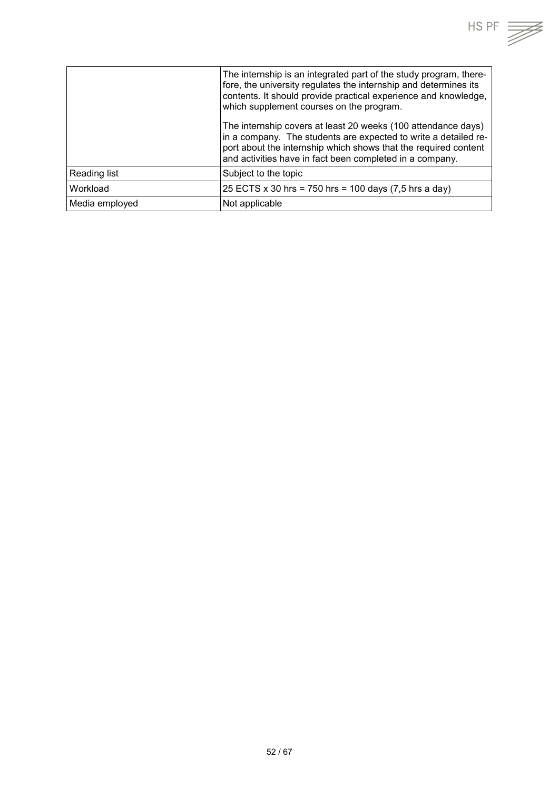| HS PF                                                                                                                                                                                                                                                |  |
|------------------------------------------------------------------------------------------------------------------------------------------------------------------------------------------------------------------------------------------------------|--|
| The internship is an integrated part of the study program, there-<br>fore, the university regulates the internship and determines its<br>contents. It should provide practical experience and knowledge,<br>which supplement courses on the program. |  |
| The internship covers at least 20 weeks (100 attendance days)<br>in a company. The students are expected to write a detailed re-<br>port about the internship which shows that the required content                                                  |  |

|                | port about the internship which shows that the required co<br>and activities have in fact been completed in a company. |
|----------------|------------------------------------------------------------------------------------------------------------------------|
| Reading list   | Subject to the topic                                                                                                   |
| Workload       | $ 25$ ECTS x 30 hrs = 750 hrs = 100 days (7,5 hrs a day)                                                               |
| Media employed | Not applicable                                                                                                         |
|                |                                                                                                                        |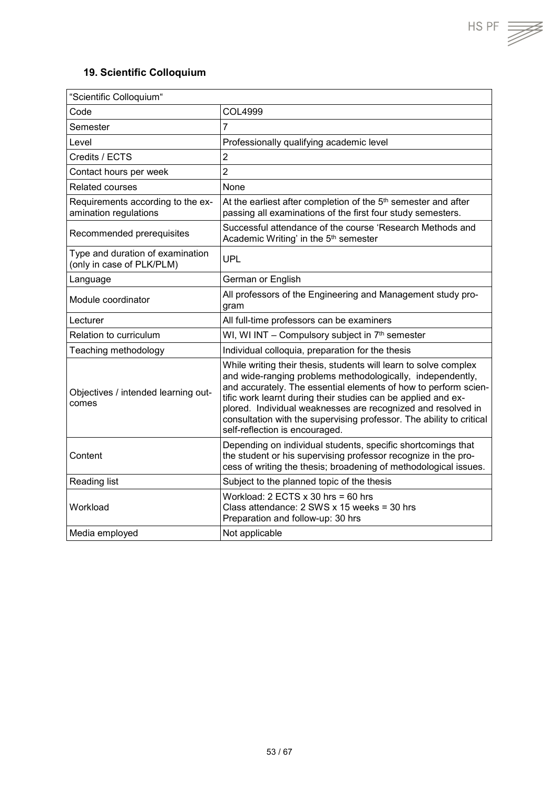## <span id="page-52-0"></span>**19. Scientific Colloquium**

| "Scientific Colloquium"                                       |                                                                                                                                                                                                                                                                                                                                                                                                                                              |
|---------------------------------------------------------------|----------------------------------------------------------------------------------------------------------------------------------------------------------------------------------------------------------------------------------------------------------------------------------------------------------------------------------------------------------------------------------------------------------------------------------------------|
| Code                                                          | <b>COL4999</b>                                                                                                                                                                                                                                                                                                                                                                                                                               |
| Semester                                                      | $\overline{7}$                                                                                                                                                                                                                                                                                                                                                                                                                               |
| Level                                                         | Professionally qualifying academic level                                                                                                                                                                                                                                                                                                                                                                                                     |
| Credits / ECTS                                                | $\overline{2}$                                                                                                                                                                                                                                                                                                                                                                                                                               |
| Contact hours per week                                        | $\overline{2}$                                                                                                                                                                                                                                                                                                                                                                                                                               |
| Related courses                                               | None                                                                                                                                                                                                                                                                                                                                                                                                                                         |
| Requirements according to the ex-<br>amination regulations    | At the earliest after completion of the 5 <sup>th</sup> semester and after<br>passing all examinations of the first four study semesters.                                                                                                                                                                                                                                                                                                    |
| Recommended prerequisites                                     | Successful attendance of the course 'Research Methods and<br>Academic Writing' in the 5 <sup>th</sup> semester                                                                                                                                                                                                                                                                                                                               |
| Type and duration of examination<br>(only in case of PLK/PLM) | <b>UPL</b>                                                                                                                                                                                                                                                                                                                                                                                                                                   |
| Language                                                      | German or English                                                                                                                                                                                                                                                                                                                                                                                                                            |
| Module coordinator                                            | All professors of the Engineering and Management study pro-<br>gram                                                                                                                                                                                                                                                                                                                                                                          |
| Lecturer                                                      | All full-time professors can be examiners                                                                                                                                                                                                                                                                                                                                                                                                    |
| Relation to curriculum                                        | WI, WI INT - Compulsory subject in 7th semester                                                                                                                                                                                                                                                                                                                                                                                              |
| Teaching methodology                                          | Individual colloquia, preparation for the thesis                                                                                                                                                                                                                                                                                                                                                                                             |
| Objectives / intended learning out-<br>comes                  | While writing their thesis, students will learn to solve complex<br>and wide-ranging problems methodologically, independently,<br>and accurately. The essential elements of how to perform scien-<br>tific work learnt during their studies can be applied and ex-<br>plored. Individual weaknesses are recognized and resolved in<br>consultation with the supervising professor. The ability to critical<br>self-reflection is encouraged. |
| Content                                                       | Depending on individual students, specific shortcomings that<br>the student or his supervising professor recognize in the pro-<br>cess of writing the thesis; broadening of methodological issues.                                                                                                                                                                                                                                           |
| Reading list                                                  | Subject to the planned topic of the thesis                                                                                                                                                                                                                                                                                                                                                                                                   |
| Workload                                                      | Workload: $2$ ECTS $x$ 30 hrs = 60 hrs<br>Class attendance: 2 SWS x 15 weeks = 30 hrs<br>Preparation and follow-up: 30 hrs                                                                                                                                                                                                                                                                                                                   |
| Media employed                                                | Not applicable                                                                                                                                                                                                                                                                                                                                                                                                                               |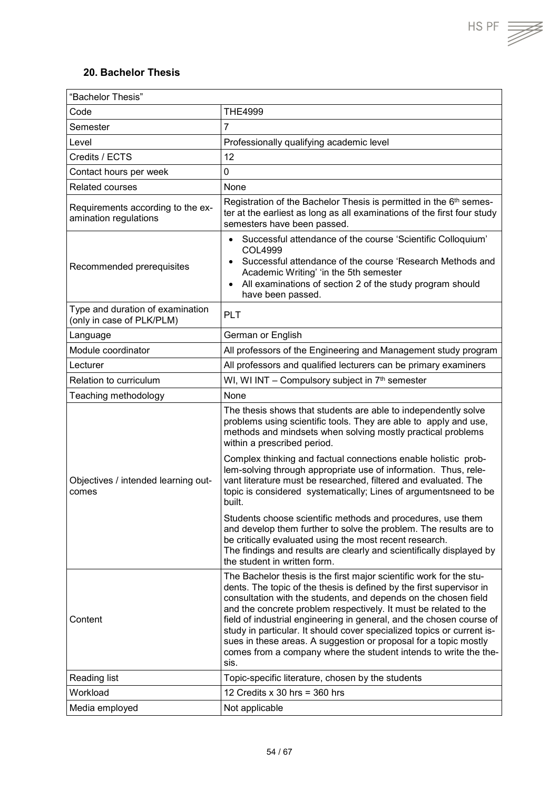$HS PF$   $\overline{\overline{\mathscr{L}}}$ 

## <span id="page-53-0"></span>**20. Bachelor Thesis**

| "Bachelor Thesis"                                             |                                                                                                                                                                                                                                                                                                                                                                                                                                      |  |
|---------------------------------------------------------------|--------------------------------------------------------------------------------------------------------------------------------------------------------------------------------------------------------------------------------------------------------------------------------------------------------------------------------------------------------------------------------------------------------------------------------------|--|
| Code                                                          | <b>THE4999</b>                                                                                                                                                                                                                                                                                                                                                                                                                       |  |
| Semester                                                      | $\overline{7}$                                                                                                                                                                                                                                                                                                                                                                                                                       |  |
| Level                                                         | Professionally qualifying academic level                                                                                                                                                                                                                                                                                                                                                                                             |  |
| Credits / ECTS                                                | 12                                                                                                                                                                                                                                                                                                                                                                                                                                   |  |
| Contact hours per week                                        | 0                                                                                                                                                                                                                                                                                                                                                                                                                                    |  |
| <b>Related courses</b>                                        | None                                                                                                                                                                                                                                                                                                                                                                                                                                 |  |
| Requirements according to the ex-<br>amination regulations    | Registration of the Bachelor Thesis is permitted in the 6 <sup>th</sup> semes-<br>ter at the earliest as long as all examinations of the first four study<br>semesters have been passed.                                                                                                                                                                                                                                             |  |
| Recommended prerequisites                                     | Successful attendance of the course 'Scientific Colloquium'<br>$\bullet$<br>COL4999<br>Successful attendance of the course 'Research Methods and<br>$\bullet$<br>Academic Writing' 'in the 5th semester<br>All examinations of section 2 of the study program should<br>$\bullet$<br>have been passed.                                                                                                                               |  |
| Type and duration of examination<br>(only in case of PLK/PLM) | PLT                                                                                                                                                                                                                                                                                                                                                                                                                                  |  |
| Language                                                      | German or English                                                                                                                                                                                                                                                                                                                                                                                                                    |  |
| Module coordinator                                            | All professors of the Engineering and Management study program                                                                                                                                                                                                                                                                                                                                                                       |  |
| Lecturer                                                      | All professors and qualified lecturers can be primary examiners                                                                                                                                                                                                                                                                                                                                                                      |  |
| Relation to curriculum                                        | WI, WI INT - Compulsory subject in 7 <sup>th</sup> semester                                                                                                                                                                                                                                                                                                                                                                          |  |
| Teaching methodology                                          | None                                                                                                                                                                                                                                                                                                                                                                                                                                 |  |
| Objectives / intended learning out-<br>comes                  | The thesis shows that students are able to independently solve<br>problems using scientific tools. They are able to apply and use,<br>methods and mindsets when solving mostly practical problems<br>within a prescribed period.                                                                                                                                                                                                     |  |
|                                                               | Complex thinking and factual connections enable holistic prob-<br>lem-solving through appropriate use of information. Thus, rele-<br>vant literature must be researched, filtered and evaluated. The<br>topic is considered systematically; Lines of argumentsneed to be<br>built.                                                                                                                                                   |  |
|                                                               | Students choose scientific methods and procedures, use them<br>and develop them further to solve the problem. The results are to<br>be critically evaluated using the most recent research.<br>The findings and results are clearly and scientifically displayed by<br>the student in written form.                                                                                                                                  |  |
| Content                                                       | The Bachelor thesis is the first major scientific work for the stu-<br>dents. The topic of the thesis is defined by the first supervisor in<br>consultation with the students, and depends on the chosen field<br>and the concrete problem respectively. It must be related to the<br>field of industrial engineering in general, and the chosen course of<br>study in particular. It should cover specialized topics or current is- |  |
|                                                               | sues in these areas. A suggestion or proposal for a topic mostly<br>comes from a company where the student intends to write the the-<br>sis.                                                                                                                                                                                                                                                                                         |  |
| Reading list                                                  | Topic-specific literature, chosen by the students                                                                                                                                                                                                                                                                                                                                                                                    |  |
| Workload                                                      | 12 Credits $x$ 30 hrs = 360 hrs                                                                                                                                                                                                                                                                                                                                                                                                      |  |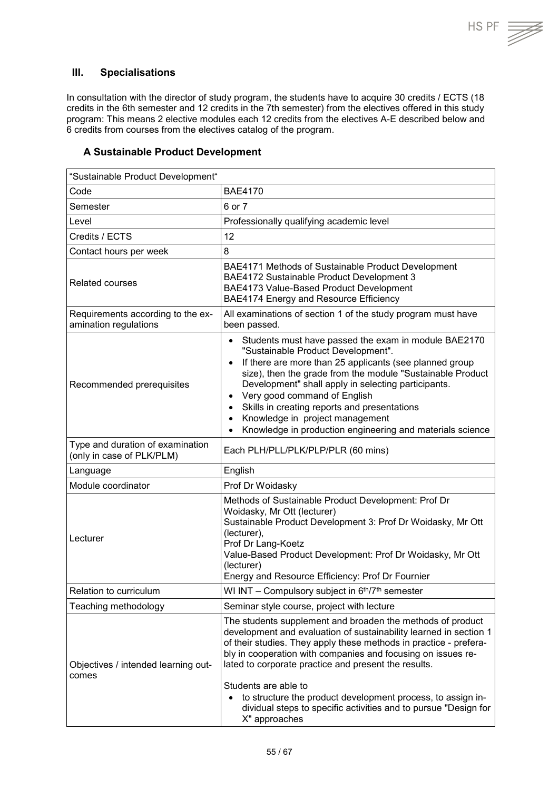#### <span id="page-54-0"></span>**III. Specialisations**

In consultation with the director of study program, the students have to acquire 30 credits / ECTS (18 credits in the 6th semester and 12 credits in the 7th semester) from the electives offered in this study program: This means 2 elective modules each 12 credits from the electives A-E described below and 6 credits from courses from the electives catalog of the program.

#### <span id="page-54-1"></span>**A Sustainable Product Development**

| "Sustainable Product Development"                             |                                                                                                                                                                                                                                                                                                                                                                                                                                                                                                                |  |
|---------------------------------------------------------------|----------------------------------------------------------------------------------------------------------------------------------------------------------------------------------------------------------------------------------------------------------------------------------------------------------------------------------------------------------------------------------------------------------------------------------------------------------------------------------------------------------------|--|
| Code                                                          | <b>BAE4170</b>                                                                                                                                                                                                                                                                                                                                                                                                                                                                                                 |  |
| Semester                                                      | 6 or 7                                                                                                                                                                                                                                                                                                                                                                                                                                                                                                         |  |
| Level                                                         | Professionally qualifying academic level                                                                                                                                                                                                                                                                                                                                                                                                                                                                       |  |
| Credits / ECTS                                                | 12                                                                                                                                                                                                                                                                                                                                                                                                                                                                                                             |  |
| Contact hours per week                                        | 8                                                                                                                                                                                                                                                                                                                                                                                                                                                                                                              |  |
| <b>Related courses</b>                                        | BAE4171 Methods of Sustainable Product Development<br>BAE4172 Sustainable Product Development 3<br>BAE4173 Value-Based Product Development<br>BAE4174 Energy and Resource Efficiency                                                                                                                                                                                                                                                                                                                           |  |
| Requirements according to the ex-<br>amination regulations    | All examinations of section 1 of the study program must have<br>been passed.                                                                                                                                                                                                                                                                                                                                                                                                                                   |  |
| Recommended prerequisites                                     | Students must have passed the exam in module BAE2170<br>$\bullet$<br>"Sustainable Product Development".<br>If there are more than 25 applicants (see planned group<br>$\bullet$<br>size), then the grade from the module "Sustainable Product<br>Development" shall apply in selecting participants.<br>Very good command of English<br>$\bullet$<br>Skills in creating reports and presentations<br>$\bullet$<br>Knowledge in project management<br>Knowledge in production engineering and materials science |  |
| Type and duration of examination<br>(only in case of PLK/PLM) | Each PLH/PLL/PLK/PLP/PLR (60 mins)                                                                                                                                                                                                                                                                                                                                                                                                                                                                             |  |
| Language                                                      | English                                                                                                                                                                                                                                                                                                                                                                                                                                                                                                        |  |
| Module coordinator                                            | Prof Dr Woidasky                                                                                                                                                                                                                                                                                                                                                                                                                                                                                               |  |
| Lecturer                                                      | Methods of Sustainable Product Development: Prof Dr<br>Woidasky, Mr Ott (lecturer)<br>Sustainable Product Development 3: Prof Dr Woidasky, Mr Ott<br>(lecturer),<br>Prof Dr Lang-Koetz<br>Value-Based Product Development: Prof Dr Woidasky, Mr Ott<br>(lecturer)<br>Energy and Resource Efficiency: Prof Dr Fournier                                                                                                                                                                                          |  |
| Relation to curriculum                                        | WI INT - Compulsory subject in 6th/7th semester                                                                                                                                                                                                                                                                                                                                                                                                                                                                |  |
| Teaching methodology                                          | Seminar style course, project with lecture                                                                                                                                                                                                                                                                                                                                                                                                                                                                     |  |
| Objectives / intended learning out-<br>comes                  | The students supplement and broaden the methods of product<br>development and evaluation of sustainability learned in section 1<br>of their studies. They apply these methods in practice - prefera-<br>bly in cooperation with companies and focusing on issues re-<br>lated to corporate practice and present the results.<br>Students are able to<br>to structure the product development process, to assign in-<br>dividual steps to specific activities and to pursue "Design for<br>X" approaches        |  |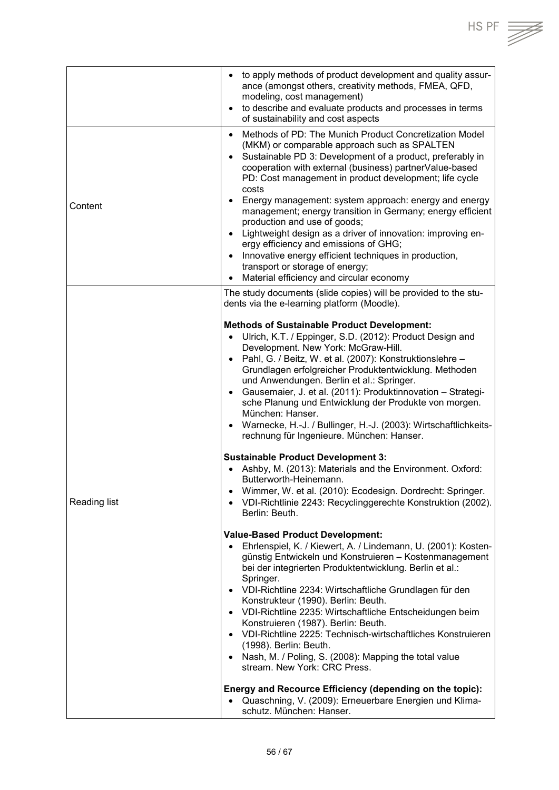|              | to apply methods of product development and quality assur-<br>$\bullet$<br>ance (amongst others, creativity methods, FMEA, QFD,<br>modeling, cost management)<br>to describe and evaluate products and processes in terms<br>$\bullet$<br>of sustainability and cost aspects                                                                                                                                                                                                                                                                                                                                                                                                                                                                                                           |
|--------------|----------------------------------------------------------------------------------------------------------------------------------------------------------------------------------------------------------------------------------------------------------------------------------------------------------------------------------------------------------------------------------------------------------------------------------------------------------------------------------------------------------------------------------------------------------------------------------------------------------------------------------------------------------------------------------------------------------------------------------------------------------------------------------------|
| Content      | Methods of PD: The Munich Product Concretization Model<br>$\bullet$<br>(MKM) or comparable approach such as SPALTEN<br>Sustainable PD 3: Development of a product, preferably in<br>$\bullet$<br>cooperation with external (business) partnerValue-based<br>PD: Cost management in product development; life cycle<br>costs<br>Energy management: system approach: energy and energy<br>$\bullet$<br>management; energy transition in Germany; energy efficient<br>production and use of goods;<br>Lightweight design as a driver of innovation: improving en-<br>$\bullet$<br>ergy efficiency and emissions of GHG;<br>Innovative energy efficient techniques in production,<br>$\bullet$<br>transport or storage of energy;<br>Material efficiency and circular economy<br>$\bullet$ |
|              | The study documents (slide copies) will be provided to the stu-<br>dents via the e-learning platform (Moodle).                                                                                                                                                                                                                                                                                                                                                                                                                                                                                                                                                                                                                                                                         |
| Reading list | <b>Methods of Sustainable Product Development:</b><br>Ulrich, K.T. / Eppinger, S.D. (2012): Product Design and<br>Development. New York: McGraw-Hill.<br>Pahl, G. / Beitz, W. et al. (2007): Konstruktionslehre -<br>$\bullet$<br>Grundlagen erfolgreicher Produktentwicklung. Methoden<br>und Anwendungen. Berlin et al.: Springer.<br>Gausemaier, J. et al. (2011): Produktinnovation - Strategi-<br>$\bullet$<br>sche Planung und Entwicklung der Produkte von morgen.<br>München: Hanser.<br>Warnecke, H.-J. / Bullinger, H.-J. (2003): Wirtschaftlichkeits-<br>$\bullet$<br>rechnung für Ingenieure. München: Hanser.                                                                                                                                                             |
|              | <b>Sustainable Product Development 3:</b><br>Ashby, M. (2013): Materials and the Environment. Oxford:<br>Butterworth-Heinemann.<br>Wimmer, W. et al. (2010): Ecodesign. Dordrecht: Springer.<br>$\bullet$<br>VDI-Richtlinie 2243: Recyclinggerechte Konstruktion (2002).<br>$\bullet$<br>Berlin: Beuth.                                                                                                                                                                                                                                                                                                                                                                                                                                                                                |
|              | <b>Value-Based Product Development:</b><br>Ehrlenspiel, K. / Kiewert, A. / Lindemann, U. (2001): Kosten-<br>$\bullet$<br>günstig Entwickeln und Konstruieren - Kostenmanagement<br>bei der integrierten Produktentwicklung. Berlin et al.:<br>Springer.<br>VDI-Richtline 2234: Wirtschaftliche Grundlagen für den<br>$\bullet$<br>Konstrukteur (1990). Berlin: Beuth.<br>• VDI-Richtline 2235: Wirtschaftliche Entscheidungen beim<br>Konstruieren (1987). Berlin: Beuth.<br>• VDI-Richtline 2225: Technisch-wirtschaftliches Konstruieren<br>(1998). Berlin: Beuth.<br>• Nash, M. / Poling, S. (2008): Mapping the total value<br>stream. New York: CRC Press.                                                                                                                        |
|              | Energy and Recource Efficiency (depending on the topic):<br>• Quaschning, V. (2009): Erneuerbare Energien und Klima-<br>schutz. München: Hanser.                                                                                                                                                                                                                                                                                                                                                                                                                                                                                                                                                                                                                                       |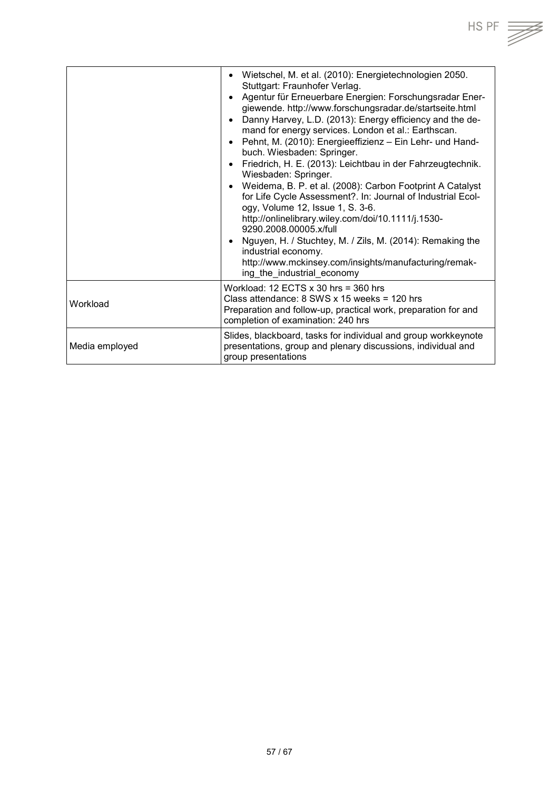

|                | Wietschel, M. et al. (2010): Energietechnologien 2050.<br>Stuttgart: Fraunhofer Verlag.<br>Agentur für Erneuerbare Energien: Forschungsradar Ener-<br>giewende. http://www.forschungsradar.de/startseite.html<br>Danny Harvey, L.D. (2013): Energy efficiency and the de-<br>mand for energy services. London et al.: Earthscan.<br>Pehnt, M. (2010): Energieeffizienz - Ein Lehr- und Hand-<br>buch. Wiesbaden: Springer.<br>Friedrich, H. E. (2013): Leichtbau in der Fahrzeugtechnik.<br>Wiesbaden: Springer.<br>Weidema, B. P. et al. (2008): Carbon Footprint A Catalyst<br>for Life Cycle Assessment?. In: Journal of Industrial Ecol-<br>ogy, Volume 12, Issue 1, S. 3-6.<br>http://onlinelibrary.wiley.com/doi/10.1111/j.1530-<br>9290.2008.00005.x/full<br>• Nguyen, H. / Stuchtey, M. / Zils, M. (2014): Remaking the<br>industrial economy.<br>http://www.mckinsey.com/insights/manufacturing/remak-<br>ing the industrial economy |
|----------------|-----------------------------------------------------------------------------------------------------------------------------------------------------------------------------------------------------------------------------------------------------------------------------------------------------------------------------------------------------------------------------------------------------------------------------------------------------------------------------------------------------------------------------------------------------------------------------------------------------------------------------------------------------------------------------------------------------------------------------------------------------------------------------------------------------------------------------------------------------------------------------------------------------------------------------------------------|
| Workload       | Workload: $12$ ECTS x 30 hrs = 360 hrs<br>Class attendance: $8$ SWS x 15 weeks = 120 hrs<br>Preparation and follow-up, practical work, preparation for and<br>completion of examination: 240 hrs                                                                                                                                                                                                                                                                                                                                                                                                                                                                                                                                                                                                                                                                                                                                              |
| Media employed | Slides, blackboard, tasks for individual and group workkeynote<br>presentations, group and plenary discussions, individual and<br>group presentations                                                                                                                                                                                                                                                                                                                                                                                                                                                                                                                                                                                                                                                                                                                                                                                         |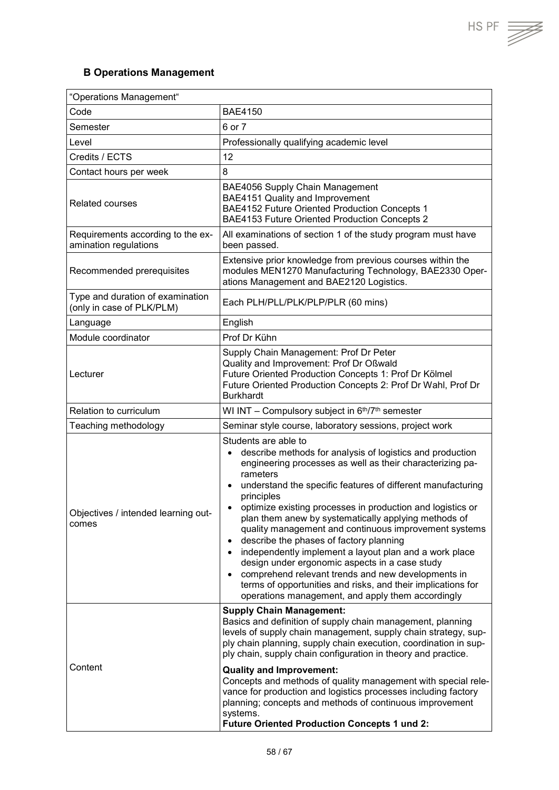$HS PF$   $\overrightarrow{=}$ 

## <span id="page-57-0"></span>**B Operations Management**

| "Operations Management"                                       |                                                                                                                                                                                                                                                                                                                                                                                                                                                                                                                                                                                                                                                                                                                                                                                                              |  |
|---------------------------------------------------------------|--------------------------------------------------------------------------------------------------------------------------------------------------------------------------------------------------------------------------------------------------------------------------------------------------------------------------------------------------------------------------------------------------------------------------------------------------------------------------------------------------------------------------------------------------------------------------------------------------------------------------------------------------------------------------------------------------------------------------------------------------------------------------------------------------------------|--|
| Code                                                          | <b>BAE4150</b>                                                                                                                                                                                                                                                                                                                                                                                                                                                                                                                                                                                                                                                                                                                                                                                               |  |
| Semester                                                      | 6 or 7                                                                                                                                                                                                                                                                                                                                                                                                                                                                                                                                                                                                                                                                                                                                                                                                       |  |
| Level                                                         | Professionally qualifying academic level                                                                                                                                                                                                                                                                                                                                                                                                                                                                                                                                                                                                                                                                                                                                                                     |  |
| Credits / ECTS                                                | 12                                                                                                                                                                                                                                                                                                                                                                                                                                                                                                                                                                                                                                                                                                                                                                                                           |  |
| Contact hours per week                                        | 8                                                                                                                                                                                                                                                                                                                                                                                                                                                                                                                                                                                                                                                                                                                                                                                                            |  |
| <b>Related courses</b>                                        | BAE4056 Supply Chain Management<br>BAE4151 Quality and Improvement<br>BAE4152 Future Oriented Production Concepts 1<br>BAE4153 Future Oriented Production Concepts 2                                                                                                                                                                                                                                                                                                                                                                                                                                                                                                                                                                                                                                         |  |
| Requirements according to the ex-<br>amination regulations    | All examinations of section 1 of the study program must have<br>been passed.                                                                                                                                                                                                                                                                                                                                                                                                                                                                                                                                                                                                                                                                                                                                 |  |
| Recommended prerequisites                                     | Extensive prior knowledge from previous courses within the<br>modules MEN1270 Manufacturing Technology, BAE2330 Oper-<br>ations Management and BAE2120 Logistics.                                                                                                                                                                                                                                                                                                                                                                                                                                                                                                                                                                                                                                            |  |
| Type and duration of examination<br>(only in case of PLK/PLM) | Each PLH/PLL/PLK/PLP/PLR (60 mins)                                                                                                                                                                                                                                                                                                                                                                                                                                                                                                                                                                                                                                                                                                                                                                           |  |
| Language                                                      | English                                                                                                                                                                                                                                                                                                                                                                                                                                                                                                                                                                                                                                                                                                                                                                                                      |  |
| Module coordinator                                            | Prof Dr Kühn                                                                                                                                                                                                                                                                                                                                                                                                                                                                                                                                                                                                                                                                                                                                                                                                 |  |
| Lecturer                                                      | Supply Chain Management: Prof Dr Peter<br>Quality and Improvement: Prof Dr Oßwald<br>Future Oriented Production Concepts 1: Prof Dr Kölmel<br>Future Oriented Production Concepts 2: Prof Dr Wahl, Prof Dr<br><b>Burkhardt</b>                                                                                                                                                                                                                                                                                                                                                                                                                                                                                                                                                                               |  |
| Relation to curriculum                                        | WI INT - Compulsory subject in 6th/7th semester                                                                                                                                                                                                                                                                                                                                                                                                                                                                                                                                                                                                                                                                                                                                                              |  |
| Teaching methodology                                          | Seminar style course, laboratory sessions, project work                                                                                                                                                                                                                                                                                                                                                                                                                                                                                                                                                                                                                                                                                                                                                      |  |
| Objectives / intended learning out-<br>comes                  | Students are able to<br>describe methods for analysis of logistics and production<br>$\bullet$<br>engineering processes as well as their characterizing pa-<br>rameters<br>understand the specific features of different manufacturing<br>principles<br>optimize existing processes in production and logistics or<br>plan them anew by systematically applying methods of<br>quality management and continuous improvement systems<br>describe the phases of factory planning<br>$\bullet$<br>independently implement a layout plan and a work place<br>$\bullet$<br>design under ergonomic aspects in a case study<br>comprehend relevant trends and new developments in<br>$\bullet$<br>terms of opportunities and risks, and their implications for<br>operations management, and apply them accordingly |  |
| Content                                                       | <b>Supply Chain Management:</b><br>Basics and definition of supply chain management, planning<br>levels of supply chain management, supply chain strategy, sup-<br>ply chain planning, supply chain execution, coordination in sup-<br>ply chain, supply chain configuration in theory and practice.<br><b>Quality and Improvement:</b><br>Concepts and methods of quality management with special rele-<br>vance for production and logistics processes including factory<br>planning; concepts and methods of continuous improvement<br>systems.<br><b>Future Oriented Production Concepts 1 und 2:</b>                                                                                                                                                                                                    |  |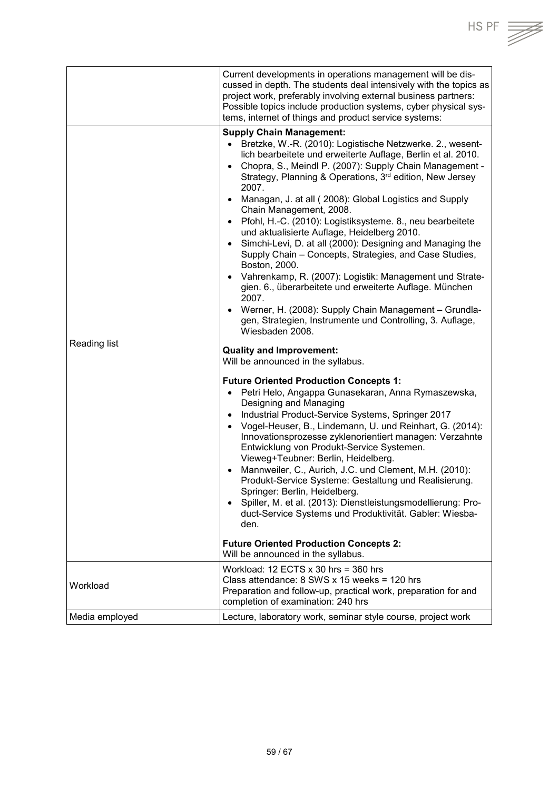|                | Current developments in operations management will be dis-<br>cussed in depth. The students deal intensively with the topics as<br>project work, preferably involving external business partners:<br>Possible topics include production systems, cyber physical sys-<br>tems, internet of things and product service systems:                                                                                                                                                                                                                                                                                                                                                                                                                                                                                                                                                                                                                                                      |
|----------------|------------------------------------------------------------------------------------------------------------------------------------------------------------------------------------------------------------------------------------------------------------------------------------------------------------------------------------------------------------------------------------------------------------------------------------------------------------------------------------------------------------------------------------------------------------------------------------------------------------------------------------------------------------------------------------------------------------------------------------------------------------------------------------------------------------------------------------------------------------------------------------------------------------------------------------------------------------------------------------|
|                | <b>Supply Chain Management:</b><br>Bretzke, W.-R. (2010): Logistische Netzwerke. 2., wesent-<br>lich bearbeitete und erweiterte Auflage, Berlin et al. 2010.<br>• Chopra, S., Meindl P. (2007): Supply Chain Management -<br>Strategy, Planning & Operations, 3 <sup>rd</sup> edition, New Jersey<br>2007.<br>Managan, J. at all ( 2008): Global Logistics and Supply<br>$\bullet$<br>Chain Management, 2008.<br>• Pfohl, H.-C. (2010): Logistiksysteme. 8., neu bearbeitete<br>und aktualisierte Auflage, Heidelberg 2010.<br>Simchi-Levi, D. at all (2000): Designing and Managing the<br>$\bullet$<br>Supply Chain - Concepts, Strategies, and Case Studies,<br>Boston, 2000.<br>Vahrenkamp, R. (2007): Logistik: Management und Strate-<br>$\bullet$<br>gien. 6., überarbeitete und erweiterte Auflage. München<br>2007.<br>Werner, H. (2008): Supply Chain Management - Grundla-<br>$\bullet$<br>gen, Strategien, Instrumente und Controlling, 3. Auflage,<br>Wiesbaden 2008. |
| Reading list   | <b>Quality and Improvement:</b><br>Will be announced in the syllabus.                                                                                                                                                                                                                                                                                                                                                                                                                                                                                                                                                                                                                                                                                                                                                                                                                                                                                                              |
|                | <b>Future Oriented Production Concepts 1:</b><br>Petri Helo, Angappa Gunasekaran, Anna Rymaszewska,<br>Designing and Managing<br>Industrial Product-Service Systems, Springer 2017<br>$\bullet$<br>Vogel-Heuser, B., Lindemann, U. und Reinhart, G. (2014):<br>$\bullet$<br>Innovationsprozesse zyklenorientiert managen: Verzahnte<br>Entwicklung von Produkt-Service Systemen.<br>Vieweg+Teubner: Berlin, Heidelberg.<br>Mannweiler, C., Aurich, J.C. und Clement, M.H. (2010):<br>$\bullet$<br>Produkt-Service Systeme: Gestaltung und Realisierung.<br>Springer: Berlin, Heidelberg.<br>Spiller, M. et al. (2013): Dienstleistungsmodellierung: Pro-<br>$\bullet$<br>duct-Service Systems und Produktivität. Gabler: Wiesba-<br>den.<br><b>Future Oriented Production Concepts 2:</b><br>Will be announced in the syllabus.                                                                                                                                                    |
| Workload       | Workload: $12$ ECTS x 30 hrs = 360 hrs<br>Class attendance: $8$ SWS x 15 weeks = 120 hrs<br>Preparation and follow-up, practical work, preparation for and<br>completion of examination: 240 hrs                                                                                                                                                                                                                                                                                                                                                                                                                                                                                                                                                                                                                                                                                                                                                                                   |
| Media employed | Lecture, laboratory work, seminar style course, project work                                                                                                                                                                                                                                                                                                                                                                                                                                                                                                                                                                                                                                                                                                                                                                                                                                                                                                                       |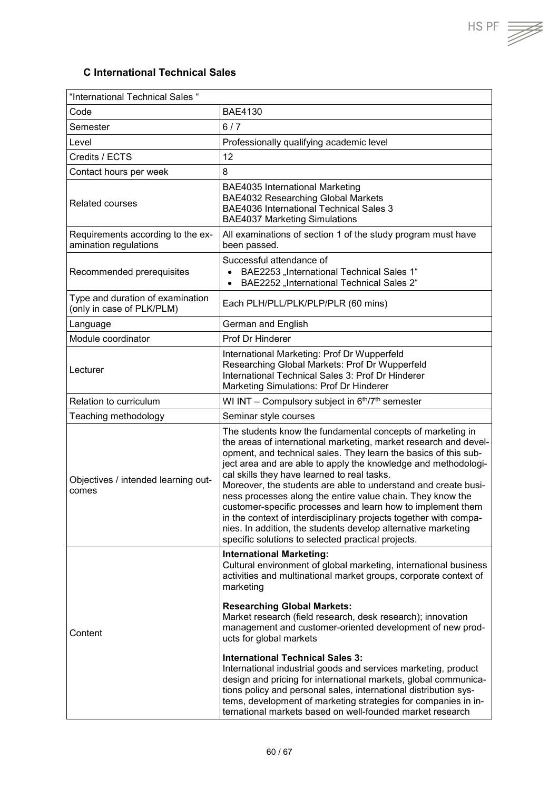$HS PF \equiv \sqrt{\frac{1}{100}}$ 

## <span id="page-59-0"></span>**C International Technical Sales**

| "International Technical Sales "                              |                                                                                                                                                                                                                                                                                                                                                                                                                                                                                                                                                                                                                                                                                                                                                                      |  |
|---------------------------------------------------------------|----------------------------------------------------------------------------------------------------------------------------------------------------------------------------------------------------------------------------------------------------------------------------------------------------------------------------------------------------------------------------------------------------------------------------------------------------------------------------------------------------------------------------------------------------------------------------------------------------------------------------------------------------------------------------------------------------------------------------------------------------------------------|--|
| Code                                                          | <b>BAE4130</b>                                                                                                                                                                                                                                                                                                                                                                                                                                                                                                                                                                                                                                                                                                                                                       |  |
| Semester                                                      | 6/7                                                                                                                                                                                                                                                                                                                                                                                                                                                                                                                                                                                                                                                                                                                                                                  |  |
| Level                                                         | Professionally qualifying academic level                                                                                                                                                                                                                                                                                                                                                                                                                                                                                                                                                                                                                                                                                                                             |  |
| Credits / ECTS                                                | 12                                                                                                                                                                                                                                                                                                                                                                                                                                                                                                                                                                                                                                                                                                                                                                   |  |
| Contact hours per week                                        | 8                                                                                                                                                                                                                                                                                                                                                                                                                                                                                                                                                                                                                                                                                                                                                                    |  |
| <b>Related courses</b>                                        | <b>BAE4035 International Marketing</b><br><b>BAE4032 Researching Global Markets</b><br><b>BAE4036 International Technical Sales 3</b><br><b>BAE4037 Marketing Simulations</b>                                                                                                                                                                                                                                                                                                                                                                                                                                                                                                                                                                                        |  |
| Requirements according to the ex-<br>amination regulations    | All examinations of section 1 of the study program must have<br>been passed.                                                                                                                                                                                                                                                                                                                                                                                                                                                                                                                                                                                                                                                                                         |  |
| Recommended prerequisites                                     | Successful attendance of<br>BAE2253 "International Technical Sales 1"<br>BAE2252 "International Technical Sales 2"<br>$\bullet$                                                                                                                                                                                                                                                                                                                                                                                                                                                                                                                                                                                                                                      |  |
| Type and duration of examination<br>(only in case of PLK/PLM) | Each PLH/PLL/PLK/PLP/PLR (60 mins)                                                                                                                                                                                                                                                                                                                                                                                                                                                                                                                                                                                                                                                                                                                                   |  |
| Language                                                      | German and English                                                                                                                                                                                                                                                                                                                                                                                                                                                                                                                                                                                                                                                                                                                                                   |  |
| Module coordinator                                            | <b>Prof Dr Hinderer</b>                                                                                                                                                                                                                                                                                                                                                                                                                                                                                                                                                                                                                                                                                                                                              |  |
| Lecturer                                                      | International Marketing: Prof Dr Wupperfeld<br>Researching Global Markets: Prof Dr Wupperfeld<br>International Technical Sales 3: Prof Dr Hinderer<br>Marketing Simulations: Prof Dr Hinderer                                                                                                                                                                                                                                                                                                                                                                                                                                                                                                                                                                        |  |
| Relation to curriculum                                        | WI INT - Compulsory subject in 6th/7th semester                                                                                                                                                                                                                                                                                                                                                                                                                                                                                                                                                                                                                                                                                                                      |  |
| Teaching methodology                                          | Seminar style courses                                                                                                                                                                                                                                                                                                                                                                                                                                                                                                                                                                                                                                                                                                                                                |  |
| Objectives / intended learning out-<br>comes                  | The students know the fundamental concepts of marketing in<br>the areas of international marketing, market research and devel-<br>opment, and technical sales. They learn the basics of this sub-<br>ject area and are able to apply the knowledge and methodologi-<br>cal skills they have learned to real tasks.<br>Moreover, the students are able to understand and create busi-<br>ness processes along the entire value chain. They know the<br>customer-specific processes and learn how to implement them<br>in the context of interdisciplinary projects together with compa-<br>nies. In addition, the students develop alternative marketing<br>specific solutions to selected practical projects.                                                        |  |
| Content                                                       | <b>International Marketing:</b><br>Cultural environment of global marketing, international business<br>activities and multinational market groups, corporate context of<br>marketing<br><b>Researching Global Markets:</b><br>Market research (field research, desk research); innovation<br>management and customer-oriented development of new prod-<br>ucts for global markets<br><b>International Technical Sales 3:</b><br>International industrial goods and services marketing, product<br>design and pricing for international markets, global communica-<br>tions policy and personal sales, international distribution sys-<br>tems, development of marketing strategies for companies in in-<br>ternational markets based on well-founded market research |  |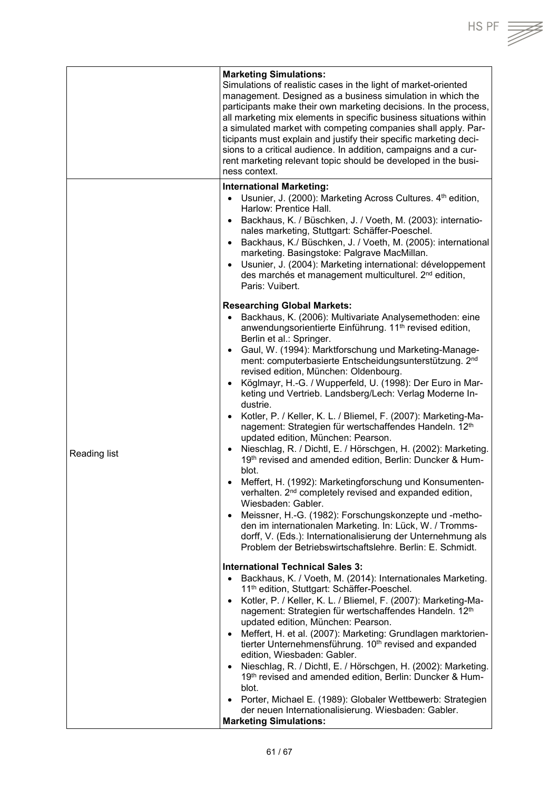|              | <b>Marketing Simulations:</b><br>Simulations of realistic cases in the light of market-oriented<br>management. Designed as a business simulation in which the<br>participants make their own marketing decisions. In the process,<br>all marketing mix elements in specific business situations within<br>a simulated market with competing companies shall apply. Par-<br>ticipants must explain and justify their specific marketing deci-<br>sions to a critical audience. In addition, campaigns and a cur-<br>rent marketing relevant topic should be developed in the busi-<br>ness context.                                                                                                                                                                                                                                                                                                                                                                                                                                                                                                                                                                                                                                                                                   |
|--------------|--------------------------------------------------------------------------------------------------------------------------------------------------------------------------------------------------------------------------------------------------------------------------------------------------------------------------------------------------------------------------------------------------------------------------------------------------------------------------------------------------------------------------------------------------------------------------------------------------------------------------------------------------------------------------------------------------------------------------------------------------------------------------------------------------------------------------------------------------------------------------------------------------------------------------------------------------------------------------------------------------------------------------------------------------------------------------------------------------------------------------------------------------------------------------------------------------------------------------------------------------------------------------------------|
|              | <b>International Marketing:</b><br>Usunier, J. (2000): Marketing Across Cultures. 4th edition,<br>$\bullet$<br>Harlow: Prentice Hall.<br>Backhaus, K. / Büschken, J. / Voeth, M. (2003): internatio-<br>$\bullet$<br>nales marketing, Stuttgart: Schäffer-Poeschel.<br>Backhaus, K./ Büschken, J. / Voeth, M. (2005): international<br>$\bullet$<br>marketing. Basingstoke: Palgrave MacMillan.<br>Usunier, J. (2004): Marketing international: développement<br>$\bullet$<br>des marchés et management multiculturel. 2 <sup>nd</sup> edition,<br>Paris: Vuibert.                                                                                                                                                                                                                                                                                                                                                                                                                                                                                                                                                                                                                                                                                                                   |
| Reading list | <b>Researching Global Markets:</b><br>Backhaus, K. (2006): Multivariate Analysemethoden: eine<br>$\bullet$<br>anwendungsorientierte Einführung. 11 <sup>th</sup> revised edition,<br>Berlin et al.: Springer.<br>Gaul, W. (1994): Marktforschung und Marketing-Manage-<br>$\bullet$<br>ment: computerbasierte Entscheidungsunterstützung. 2nd<br>revised edition, München: Oldenbourg.<br>Köglmayr, H.-G. / Wupperfeld, U. (1998): Der Euro in Mar-<br>$\bullet$<br>keting und Vertrieb. Landsberg/Lech: Verlag Moderne In-<br>dustrie.<br>Kotler, P. / Keller, K. L. / Bliemel, F. (2007): Marketing-Ma-<br>nagement: Strategien für wertschaffendes Handeln. 12th<br>updated edition, München: Pearson.<br>Nieschlag, R. / Dichtl, E. / Hörschgen, H. (2002): Marketing.<br>$\bullet$<br>19th revised and amended edition, Berlin: Duncker & Hum-<br>blot.<br>Meffert, H. (1992): Marketingforschung und Konsumenten-<br>verhalten. 2 <sup>nd</sup> completely revised and expanded edition,<br>Wiesbaden: Gabler.<br>Meissner, H.-G. (1982): Forschungskonzepte und -metho-<br>$\bullet$<br>den im internationalen Marketing. In: Lück, W. / Tromms-<br>dorff, V. (Eds.): Internationalisierung der Unternehmung als<br>Problem der Betriebswirtschaftslehre. Berlin: E. Schmidt. |
|              | <b>International Technical Sales 3:</b><br>Backhaus, K. / Voeth, M. (2014): Internationales Marketing.<br>$\bullet$<br>11 <sup>th</sup> edition, Stuttgart: Schäffer-Poeschel.<br>Kotler, P. / Keller, K. L. / Bliemel, F. (2007): Marketing-Ma-<br>$\bullet$<br>nagement: Strategien für wertschaffendes Handeln. 12th<br>updated edition, München: Pearson.<br>Meffert, H. et al. (2007): Marketing: Grundlagen marktorien-<br>$\bullet$<br>tierter Unternehmensführung. 10 <sup>th</sup> revised and expanded<br>edition, Wiesbaden: Gabler.<br>Nieschlag, R. / Dichtl, E. / Hörschgen, H. (2002): Marketing.<br>$\bullet$<br>19th revised and amended edition, Berlin: Duncker & Hum-<br>blot.<br>Porter, Michael E. (1989): Globaler Wettbewerb: Strategien<br>$\bullet$<br>der neuen Internationalisierung. Wiesbaden: Gabler.<br><b>Marketing Simulations:</b>                                                                                                                                                                                                                                                                                                                                                                                                                |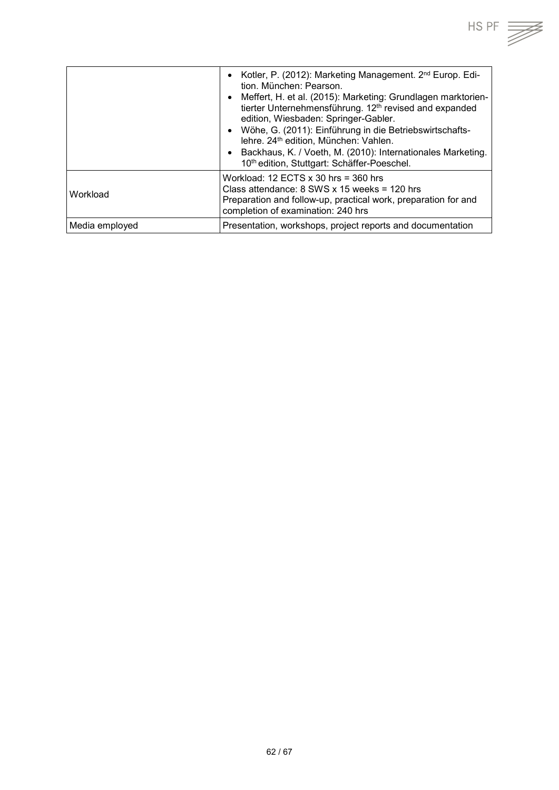|                | Kotler, P. (2012): Marketing Management. 2 <sup>nd</sup> Europ. Edi-<br>$\bullet$<br>tion, München: Pearson.<br>Meffert, H. et al. (2015): Marketing: Grundlagen marktorien-<br>$\bullet$<br>tierter Unternehmensführung. 12 <sup>th</sup> revised and expanded<br>edition, Wiesbaden: Springer-Gabler.<br>Wöhe, G. (2011): Einführung in die Betriebswirtschafts-<br>$\bullet$<br>lehre. 24 <sup>th</sup> edition, München: Vahlen.<br>Backhaus, K. / Voeth, M. (2010): Internationales Marketing.<br>$\bullet$<br>10th edition, Stuttgart: Schäffer-Poeschel. |
|----------------|-----------------------------------------------------------------------------------------------------------------------------------------------------------------------------------------------------------------------------------------------------------------------------------------------------------------------------------------------------------------------------------------------------------------------------------------------------------------------------------------------------------------------------------------------------------------|
| Workload       | Workload: 12 ECTS $x$ 30 hrs = 360 hrs<br>Class attendance: $8$ SWS x 15 weeks = 120 hrs<br>Preparation and follow-up, practical work, preparation for and<br>completion of examination: 240 hrs                                                                                                                                                                                                                                                                                                                                                                |
| Media employed | Presentation, workshops, project reports and documentation                                                                                                                                                                                                                                                                                                                                                                                                                                                                                                      |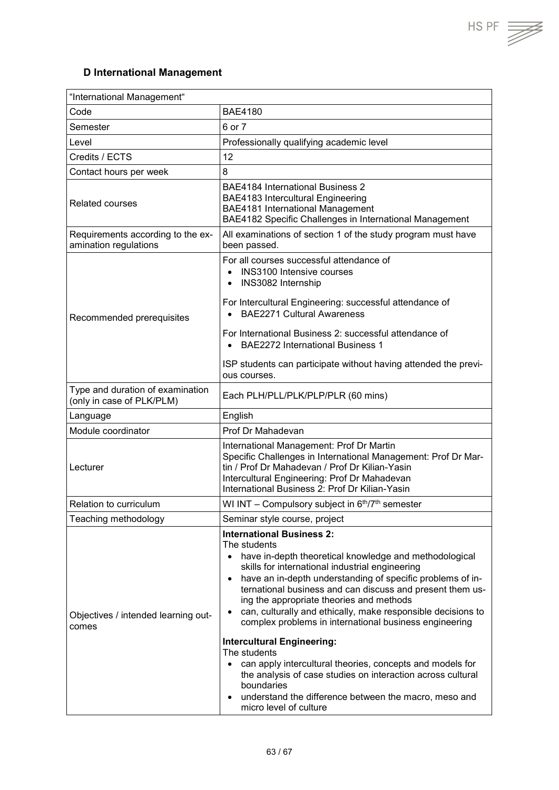T

## <span id="page-62-0"></span>**D International Management**

| "International Management"                                    |                                                                                                                                                                                                                                                                                                                                                                                                                                                                                                                                                                                                                                                                                                                                                                                                      |
|---------------------------------------------------------------|------------------------------------------------------------------------------------------------------------------------------------------------------------------------------------------------------------------------------------------------------------------------------------------------------------------------------------------------------------------------------------------------------------------------------------------------------------------------------------------------------------------------------------------------------------------------------------------------------------------------------------------------------------------------------------------------------------------------------------------------------------------------------------------------------|
| Code                                                          | <b>BAE4180</b>                                                                                                                                                                                                                                                                                                                                                                                                                                                                                                                                                                                                                                                                                                                                                                                       |
| Semester                                                      | 6 or 7                                                                                                                                                                                                                                                                                                                                                                                                                                                                                                                                                                                                                                                                                                                                                                                               |
| Level                                                         | Professionally qualifying academic level                                                                                                                                                                                                                                                                                                                                                                                                                                                                                                                                                                                                                                                                                                                                                             |
| Credits / ECTS                                                | 12                                                                                                                                                                                                                                                                                                                                                                                                                                                                                                                                                                                                                                                                                                                                                                                                   |
| Contact hours per week                                        | 8                                                                                                                                                                                                                                                                                                                                                                                                                                                                                                                                                                                                                                                                                                                                                                                                    |
| <b>Related courses</b>                                        | <b>BAE4184 International Business 2</b><br><b>BAE4183 Intercultural Engineering</b><br>BAE4181 International Management<br>BAE4182 Specific Challenges in International Management                                                                                                                                                                                                                                                                                                                                                                                                                                                                                                                                                                                                                   |
| Requirements according to the ex-<br>amination regulations    | All examinations of section 1 of the study program must have<br>been passed.                                                                                                                                                                                                                                                                                                                                                                                                                                                                                                                                                                                                                                                                                                                         |
| Recommended prerequisites                                     | For all courses successful attendance of<br><b>INS3100 Intensive courses</b><br>$\bullet$<br>INS3082 Internship<br>$\bullet$<br>For Intercultural Engineering: successful attendance of<br><b>BAE2271 Cultural Awareness</b>                                                                                                                                                                                                                                                                                                                                                                                                                                                                                                                                                                         |
|                                                               | For International Business 2: successful attendance of<br><b>BAE2272 International Business 1</b><br>ISP students can participate without having attended the previ-                                                                                                                                                                                                                                                                                                                                                                                                                                                                                                                                                                                                                                 |
|                                                               | ous courses.                                                                                                                                                                                                                                                                                                                                                                                                                                                                                                                                                                                                                                                                                                                                                                                         |
| Type and duration of examination<br>(only in case of PLK/PLM) | Each PLH/PLL/PLK/PLP/PLR (60 mins)                                                                                                                                                                                                                                                                                                                                                                                                                                                                                                                                                                                                                                                                                                                                                                   |
| Language                                                      | English                                                                                                                                                                                                                                                                                                                                                                                                                                                                                                                                                                                                                                                                                                                                                                                              |
| Module coordinator                                            | Prof Dr Mahadevan                                                                                                                                                                                                                                                                                                                                                                                                                                                                                                                                                                                                                                                                                                                                                                                    |
| Lecturer                                                      | International Management: Prof Dr Martin<br>Specific Challenges in International Management: Prof Dr Mar-<br>tin / Prof Dr Mahadevan / Prof Dr Kilian-Yasin<br>Intercultural Engineering: Prof Dr Mahadevan<br>International Business 2: Prof Dr Kilian-Yasin                                                                                                                                                                                                                                                                                                                                                                                                                                                                                                                                        |
| Relation to curriculum                                        | WI INT - Compulsory subject in 6th/7th semester                                                                                                                                                                                                                                                                                                                                                                                                                                                                                                                                                                                                                                                                                                                                                      |
| Teaching methodology                                          | Seminar style course, project                                                                                                                                                                                                                                                                                                                                                                                                                                                                                                                                                                                                                                                                                                                                                                        |
| Objectives / intended learning out-<br>comes                  | <b>International Business 2:</b><br>The students<br>have in-depth theoretical knowledge and methodological<br>$\bullet$<br>skills for international industrial engineering<br>have an in-depth understanding of specific problems of in-<br>$\bullet$<br>ternational business and can discuss and present them us-<br>ing the appropriate theories and methods<br>can, culturally and ethically, make responsible decisions to<br>$\bullet$<br>complex problems in international business engineering<br><b>Intercultural Engineering:</b><br>The students<br>can apply intercultural theories, concepts and models for<br>the analysis of case studies on interaction across cultural<br>boundaries<br>understand the difference between the macro, meso and<br>$\bullet$<br>micro level of culture |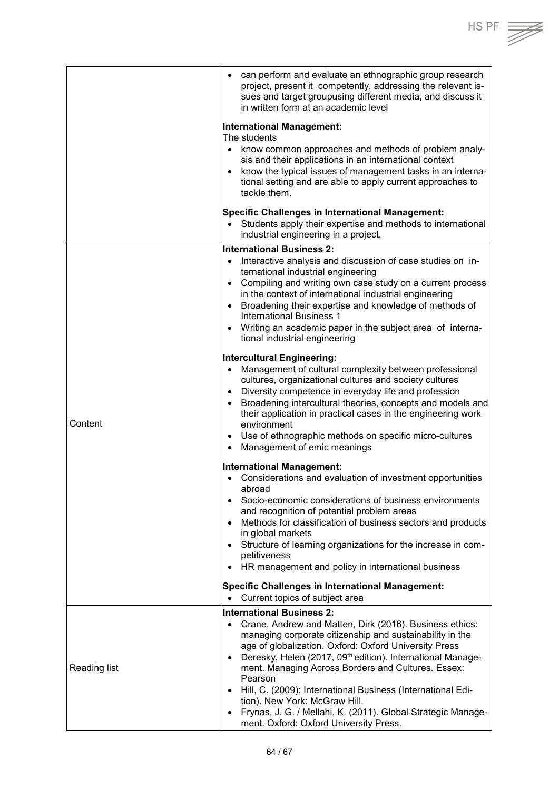|              | can perform and evaluate an ethnographic group research<br>$\bullet$<br>project, present it competently, addressing the relevant is-<br>sues and target groupusing different media, and discuss it<br>in written form at an academic level |
|--------------|--------------------------------------------------------------------------------------------------------------------------------------------------------------------------------------------------------------------------------------------|
|              | <b>International Management:</b>                                                                                                                                                                                                           |
|              | The students                                                                                                                                                                                                                               |
|              | know common approaches and methods of problem analy-                                                                                                                                                                                       |
|              | sis and their applications in an international context                                                                                                                                                                                     |
|              | know the typical issues of management tasks in an interna-<br>$\bullet$                                                                                                                                                                    |
|              | tional setting and are able to apply current approaches to                                                                                                                                                                                 |
|              | tackle them.                                                                                                                                                                                                                               |
|              | <b>Specific Challenges in International Management:</b><br>• Students apply their expertise and methods to international<br>industrial engineering in a project.                                                                           |
|              | <b>International Business 2:</b>                                                                                                                                                                                                           |
|              | Interactive analysis and discussion of case studies on in-                                                                                                                                                                                 |
|              | ternational industrial engineering                                                                                                                                                                                                         |
|              | Compiling and writing own case study on a current process<br>$\bullet$<br>in the context of international industrial engineering                                                                                                           |
|              | Broadening their expertise and knowledge of methods of<br>$\bullet$                                                                                                                                                                        |
|              | <b>International Business 1</b>                                                                                                                                                                                                            |
|              | Writing an academic paper in the subject area of interna-<br>$\bullet$                                                                                                                                                                     |
|              | tional industrial engineering                                                                                                                                                                                                              |
|              | <b>Intercultural Engineering:</b>                                                                                                                                                                                                          |
|              | Management of cultural complexity between professional<br>$\bullet$                                                                                                                                                                        |
|              | cultures, organizational cultures and society cultures<br>Diversity competence in everyday life and profession<br>$\bullet$                                                                                                                |
|              | Broadening intercultural theories, concepts and models and<br>$\bullet$                                                                                                                                                                    |
| Content      | their application in practical cases in the engineering work<br>environment                                                                                                                                                                |
|              | Use of ethnographic methods on specific micro-cultures<br>$\bullet$                                                                                                                                                                        |
|              | Management of emic meanings<br>$\bullet$                                                                                                                                                                                                   |
|              | <b>International Management:</b>                                                                                                                                                                                                           |
|              | • Considerations and evaluation of investment opportunities<br>abroad                                                                                                                                                                      |
|              | Socio-economic considerations of business environments<br>$\bullet$                                                                                                                                                                        |
|              | and recognition of potential problem areas<br>Methods for classification of business sectors and products<br>$\bullet$                                                                                                                     |
|              | in global markets                                                                                                                                                                                                                          |
|              | • Structure of learning organizations for the increase in com-                                                                                                                                                                             |
|              | petitiveness                                                                                                                                                                                                                               |
|              | HR management and policy in international business<br>$\bullet$                                                                                                                                                                            |
|              | <b>Specific Challenges in International Management:</b>                                                                                                                                                                                    |
|              | Current topics of subject area                                                                                                                                                                                                             |
| Reading list | <b>International Business 2:</b>                                                                                                                                                                                                           |
|              | Crane, Andrew and Matten, Dirk (2016). Business ethics:<br>$\bullet$<br>managing corporate citizenship and sustainability in the                                                                                                           |
|              | age of globalization. Oxford: Oxford University Press                                                                                                                                                                                      |
|              | Deresky, Helen (2017, 09th edition). International Manage-<br>$\bullet$                                                                                                                                                                    |
|              | ment. Managing Across Borders and Cultures. Essex:                                                                                                                                                                                         |
|              | Pearson<br>Hill, C. (2009): International Business (International Edi-<br>$\bullet$                                                                                                                                                        |
|              | tion). New York: McGraw Hill.                                                                                                                                                                                                              |
|              | Frynas, J. G. / Mellahi, K. (2011). Global Strategic Manage-<br>$\bullet$                                                                                                                                                                  |
|              | ment. Oxford: Oxford University Press.                                                                                                                                                                                                     |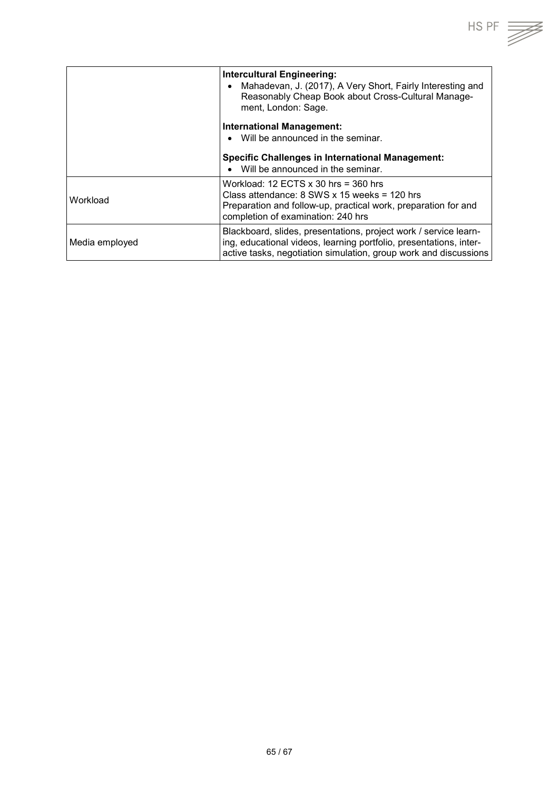|                | <b>Intercultural Engineering:</b><br>Mahadevan, J. (2017), A Very Short, Fairly Interesting and<br>Reasonably Cheap Book about Cross-Cultural Manage-<br>ment, London: Sage.                               |
|----------------|------------------------------------------------------------------------------------------------------------------------------------------------------------------------------------------------------------|
|                | <b>International Management:</b><br>Will be announced in the seminar.<br>$\bullet$<br><b>Specific Challenges in International Management:</b><br>Will be announced in the seminar.                         |
| Workload       | Workload: 12 ECTS $\times$ 30 hrs = 360 hrs<br>Class attendance: $8$ SWS x 15 weeks = 120 hrs<br>Preparation and follow-up, practical work, preparation for and<br>completion of examination: 240 hrs      |
| Media employed | Blackboard, slides, presentations, project work / service learn-<br>ing, educational videos, learning portfolio, presentations, inter-<br>active tasks, negotiation simulation, group work and discussions |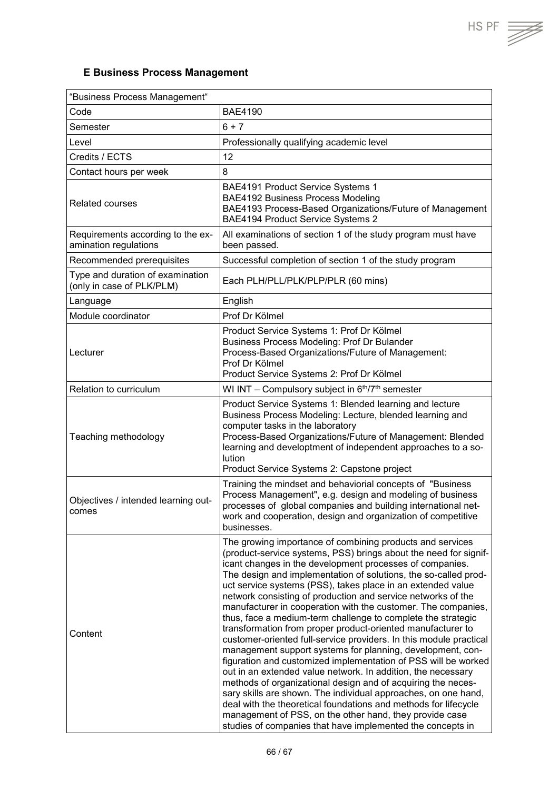$HS PF \equiv \neq$ 

## <span id="page-65-0"></span>**E Business Process Management**

| "Business Process Management"                                 |                                                                                                                                                                                                                                                                                                                                                                                                                                                                                                                                                                                                                                                                                                                                                                                                                                                                                                                                                                                                                                                                                                                                                                                                 |
|---------------------------------------------------------------|-------------------------------------------------------------------------------------------------------------------------------------------------------------------------------------------------------------------------------------------------------------------------------------------------------------------------------------------------------------------------------------------------------------------------------------------------------------------------------------------------------------------------------------------------------------------------------------------------------------------------------------------------------------------------------------------------------------------------------------------------------------------------------------------------------------------------------------------------------------------------------------------------------------------------------------------------------------------------------------------------------------------------------------------------------------------------------------------------------------------------------------------------------------------------------------------------|
| Code                                                          | <b>BAE4190</b>                                                                                                                                                                                                                                                                                                                                                                                                                                                                                                                                                                                                                                                                                                                                                                                                                                                                                                                                                                                                                                                                                                                                                                                  |
| Semester                                                      | $6 + 7$                                                                                                                                                                                                                                                                                                                                                                                                                                                                                                                                                                                                                                                                                                                                                                                                                                                                                                                                                                                                                                                                                                                                                                                         |
| Level                                                         | Professionally qualifying academic level                                                                                                                                                                                                                                                                                                                                                                                                                                                                                                                                                                                                                                                                                                                                                                                                                                                                                                                                                                                                                                                                                                                                                        |
| Credits / ECTS                                                | 12                                                                                                                                                                                                                                                                                                                                                                                                                                                                                                                                                                                                                                                                                                                                                                                                                                                                                                                                                                                                                                                                                                                                                                                              |
| Contact hours per week                                        | 8                                                                                                                                                                                                                                                                                                                                                                                                                                                                                                                                                                                                                                                                                                                                                                                                                                                                                                                                                                                                                                                                                                                                                                                               |
| <b>Related courses</b>                                        | BAE4191 Product Service Systems 1<br><b>BAE4192 Business Process Modeling</b><br>BAE4193 Process-Based Organizations/Future of Management<br>BAE4194 Product Service Systems 2                                                                                                                                                                                                                                                                                                                                                                                                                                                                                                                                                                                                                                                                                                                                                                                                                                                                                                                                                                                                                  |
| Requirements according to the ex-<br>amination regulations    | All examinations of section 1 of the study program must have<br>been passed.                                                                                                                                                                                                                                                                                                                                                                                                                                                                                                                                                                                                                                                                                                                                                                                                                                                                                                                                                                                                                                                                                                                    |
| Recommended prerequisites                                     | Successful completion of section 1 of the study program                                                                                                                                                                                                                                                                                                                                                                                                                                                                                                                                                                                                                                                                                                                                                                                                                                                                                                                                                                                                                                                                                                                                         |
| Type and duration of examination<br>(only in case of PLK/PLM) | Each PLH/PLL/PLK/PLP/PLR (60 mins)                                                                                                                                                                                                                                                                                                                                                                                                                                                                                                                                                                                                                                                                                                                                                                                                                                                                                                                                                                                                                                                                                                                                                              |
| Language                                                      | English                                                                                                                                                                                                                                                                                                                                                                                                                                                                                                                                                                                                                                                                                                                                                                                                                                                                                                                                                                                                                                                                                                                                                                                         |
| Module coordinator                                            | Prof Dr Kölmel                                                                                                                                                                                                                                                                                                                                                                                                                                                                                                                                                                                                                                                                                                                                                                                                                                                                                                                                                                                                                                                                                                                                                                                  |
| Lecturer                                                      | Product Service Systems 1: Prof Dr Kölmel<br><b>Business Process Modeling: Prof Dr Bulander</b><br>Process-Based Organizations/Future of Management:<br>Prof Dr Kölmel<br>Product Service Systems 2: Prof Dr Kölmel                                                                                                                                                                                                                                                                                                                                                                                                                                                                                                                                                                                                                                                                                                                                                                                                                                                                                                                                                                             |
| Relation to curriculum                                        | WI INT - Compulsory subject in 6 <sup>th</sup> /7 <sup>th</sup> semester                                                                                                                                                                                                                                                                                                                                                                                                                                                                                                                                                                                                                                                                                                                                                                                                                                                                                                                                                                                                                                                                                                                        |
| Teaching methodology                                          | Product Service Systems 1: Blended learning and lecture<br>Business Process Modeling: Lecture, blended learning and<br>computer tasks in the laboratory<br>Process-Based Organizations/Future of Management: Blended<br>learning and developtment of independent approaches to a so-<br>lution<br>Product Service Systems 2: Capstone project                                                                                                                                                                                                                                                                                                                                                                                                                                                                                                                                                                                                                                                                                                                                                                                                                                                   |
| Objectives / intended learning out-<br>comes                  | Training the mindset and behaviorial concepts of "Business"<br>Process Management", e.g. design and modeling of business<br>processes of global companies and building international net-<br>work and cooperation, design and organization of competitive<br>businesses.                                                                                                                                                                                                                                                                                                                                                                                                                                                                                                                                                                                                                                                                                                                                                                                                                                                                                                                        |
| Content                                                       | The growing importance of combining products and services<br>(product-service systems, PSS) brings about the need for signif-<br>icant changes in the development processes of companies.<br>The design and implementation of solutions, the so-called prod-<br>uct service systems (PSS), takes place in an extended value<br>network consisting of production and service networks of the<br>manufacturer in cooperation with the customer. The companies,<br>thus, face a medium-term challenge to complete the strategic<br>transformation from proper product-oriented manufacturer to<br>customer-oriented full-service providers. In this module practical<br>management support systems for planning, development, con-<br>figuration and customized implementation of PSS will be worked<br>out in an extended value network. In addition, the necessary<br>methods of organizational design and of acquiring the neces-<br>sary skills are shown. The individual approaches, on one hand,<br>deal with the theoretical foundations and methods for lifecycle<br>management of PSS, on the other hand, they provide case<br>studies of companies that have implemented the concepts in |